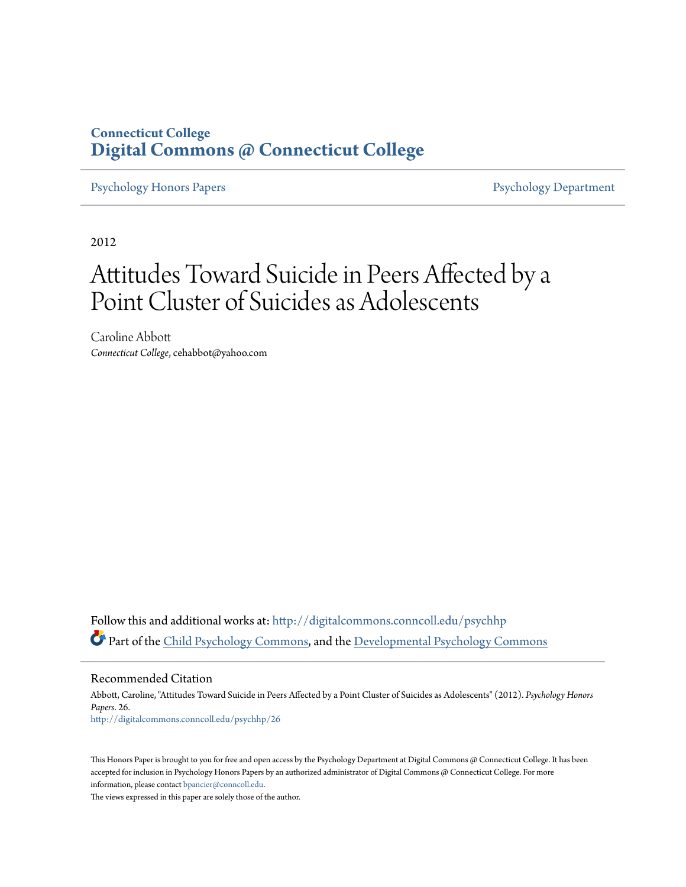### **Connecticut College [Digital Commons @ Connecticut College](http://digitalcommons.conncoll.edu?utm_source=digitalcommons.conncoll.edu%2Fpsychhp%2F26&utm_medium=PDF&utm_campaign=PDFCoverPages)**

[Psychology Honors Papers](http://digitalcommons.conncoll.edu/psychhp?utm_source=digitalcommons.conncoll.edu%2Fpsychhp%2F26&utm_medium=PDF&utm_campaign=PDFCoverPages) **[Psychology Department](http://digitalcommons.conncoll.edu/psychology?utm_source=digitalcommons.conncoll.edu%2Fpsychhp%2F26&utm_medium=PDF&utm_campaign=PDFCoverPages)** 

2012

# Attitudes Toward Suicide in Peers Affected by a Point Cluster of Suicides as Adolescents

Caroline Abbott *Connecticut College*, cehabbot@yahoo.com

Follow this and additional works at: [http://digitalcommons.conncoll.edu/psychhp](http://digitalcommons.conncoll.edu/psychhp?utm_source=digitalcommons.conncoll.edu%2Fpsychhp%2F26&utm_medium=PDF&utm_campaign=PDFCoverPages) Part of the [Child Psychology Commons](http://network.bepress.com/hgg/discipline/1023?utm_source=digitalcommons.conncoll.edu%2Fpsychhp%2F26&utm_medium=PDF&utm_campaign=PDFCoverPages), and the [Developmental Psychology Commons](http://network.bepress.com/hgg/discipline/410?utm_source=digitalcommons.conncoll.edu%2Fpsychhp%2F26&utm_medium=PDF&utm_campaign=PDFCoverPages)

Recommended Citation

Abbott, Caroline, "Attitudes Toward Suicide in Peers Affected by a Point Cluster of Suicides as Adolescents" (2012). *Psychology Honors Papers*. 26. [http://digitalcommons.conncoll.edu/psychhp/26](http://digitalcommons.conncoll.edu/psychhp/26?utm_source=digitalcommons.conncoll.edu%2Fpsychhp%2F26&utm_medium=PDF&utm_campaign=PDFCoverPages)

This Honors Paper is brought to you for free and open access by the Psychology Department at Digital Commons @ Connecticut College. It has been accepted for inclusion in Psychology Honors Papers by an authorized administrator of Digital Commons @ Connecticut College. For more information, please contact [bpancier@conncoll.edu](mailto:bpancier@conncoll.edu).

The views expressed in this paper are solely those of the author.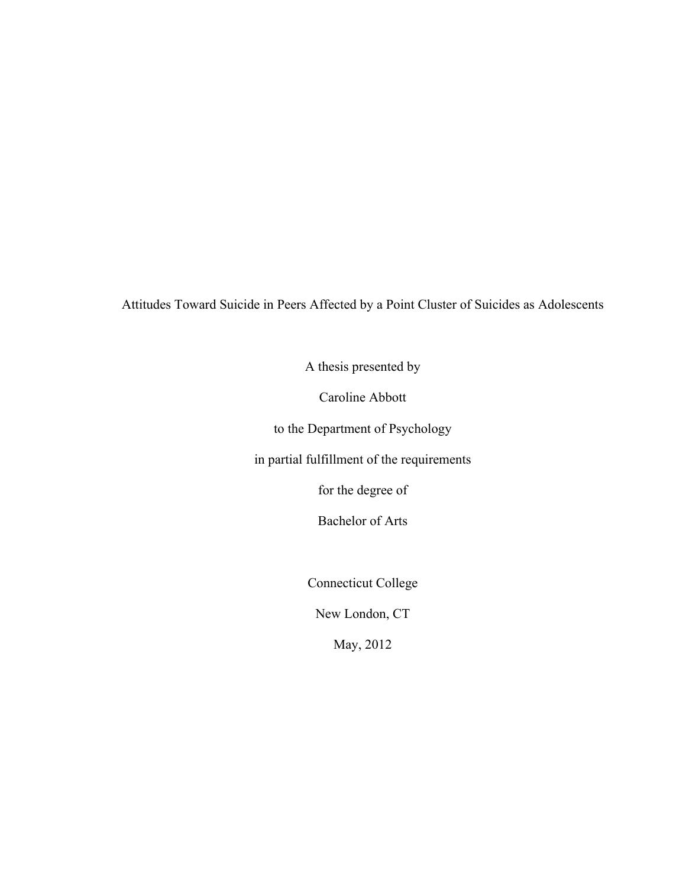Attitudes Toward Suicide in Peers Affected by a Point Cluster of Suicides as Adolescents

A thesis presented by

Caroline Abbott

to the Department of Psychology

in partial fulfillment of the requirements

for the degree of

Bachelor of Arts

Connecticut College

New London, CT

May, 2012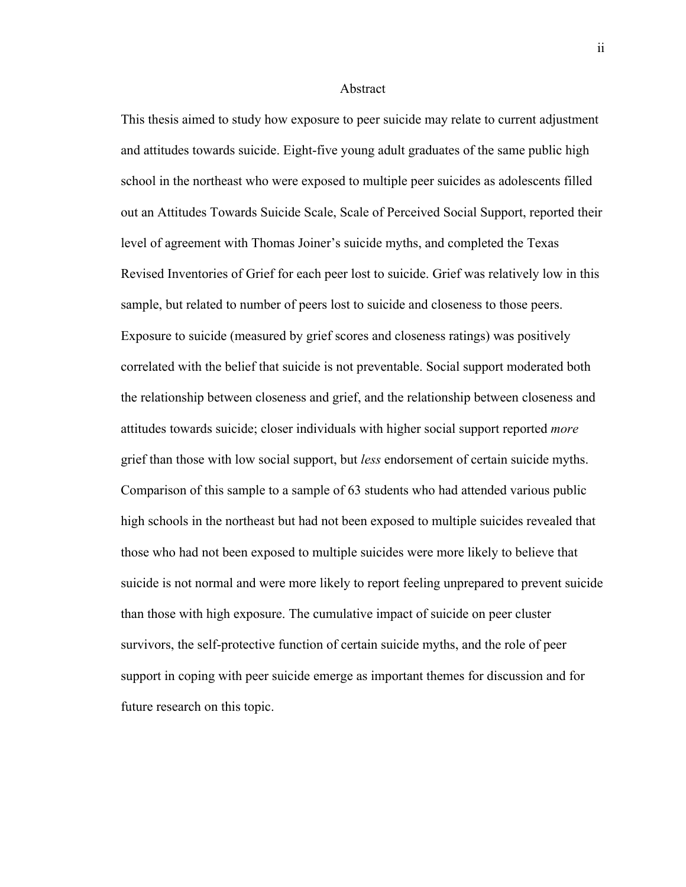#### Abstract

This thesis aimed to study how exposure to peer suicide may relate to current adjustment and attitudes towards suicide. Eight-five young adult graduates of the same public high school in the northeast who were exposed to multiple peer suicides as adolescents filled out an Attitudes Towards Suicide Scale, Scale of Perceived Social Support, reported their level of agreement with Thomas Joiner's suicide myths, and completed the Texas Revised Inventories of Grief for each peer lost to suicide. Grief was relatively low in this sample, but related to number of peers lost to suicide and closeness to those peers. Exposure to suicide (measured by grief scores and closeness ratings) was positively correlated with the belief that suicide is not preventable. Social support moderated both the relationship between closeness and grief, and the relationship between closeness and attitudes towards suicide; closer individuals with higher social support reported *more* grief than those with low social support, but *less* endorsement of certain suicide myths. Comparison of this sample to a sample of 63 students who had attended various public high schools in the northeast but had not been exposed to multiple suicides revealed that those who had not been exposed to multiple suicides were more likely to believe that suicide is not normal and were more likely to report feeling unprepared to prevent suicide than those with high exposure. The cumulative impact of suicide on peer cluster survivors, the self-protective function of certain suicide myths, and the role of peer support in coping with peer suicide emerge as important themes for discussion and for future research on this topic.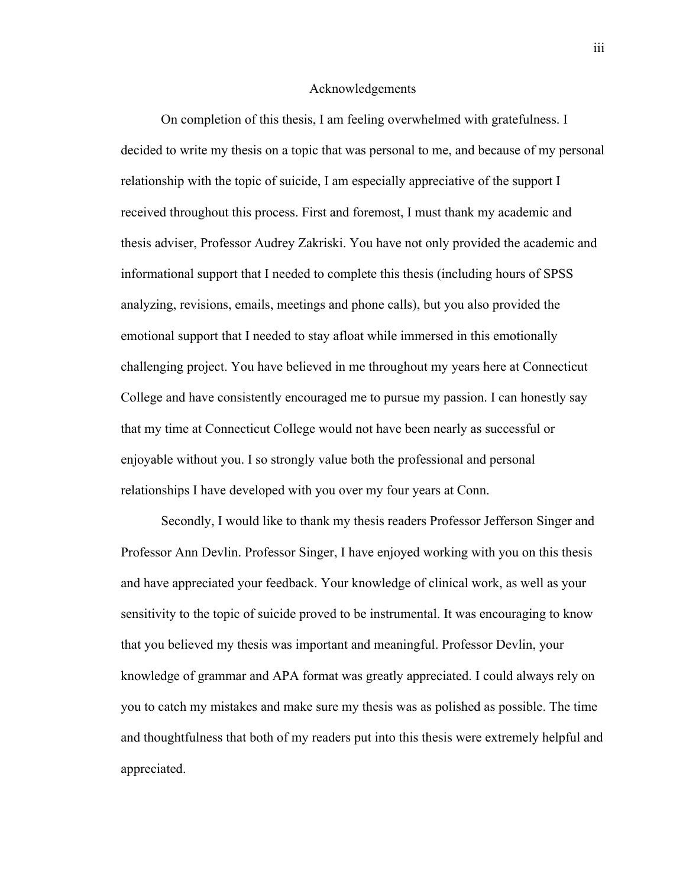#### Acknowledgements

On completion of this thesis, I am feeling overwhelmed with gratefulness. I decided to write my thesis on a topic that was personal to me, and because of my personal relationship with the topic of suicide, I am especially appreciative of the support I received throughout this process. First and foremost, I must thank my academic and thesis adviser, Professor Audrey Zakriski. You have not only provided the academic and informational support that I needed to complete this thesis (including hours of SPSS analyzing, revisions, emails, meetings and phone calls), but you also provided the emotional support that I needed to stay afloat while immersed in this emotionally challenging project. You have believed in me throughout my years here at Connecticut College and have consistently encouraged me to pursue my passion. I can honestly say that my time at Connecticut College would not have been nearly as successful or enjoyable without you. I so strongly value both the professional and personal relationships I have developed with you over my four years at Conn.

Secondly, I would like to thank my thesis readers Professor Jefferson Singer and Professor Ann Devlin. Professor Singer, I have enjoyed working with you on this thesis and have appreciated your feedback. Your knowledge of clinical work, as well as your sensitivity to the topic of suicide proved to be instrumental. It was encouraging to know that you believed my thesis was important and meaningful. Professor Devlin, your knowledge of grammar and APA format was greatly appreciated. I could always rely on you to catch my mistakes and make sure my thesis was as polished as possible. The time and thoughtfulness that both of my readers put into this thesis were extremely helpful and appreciated.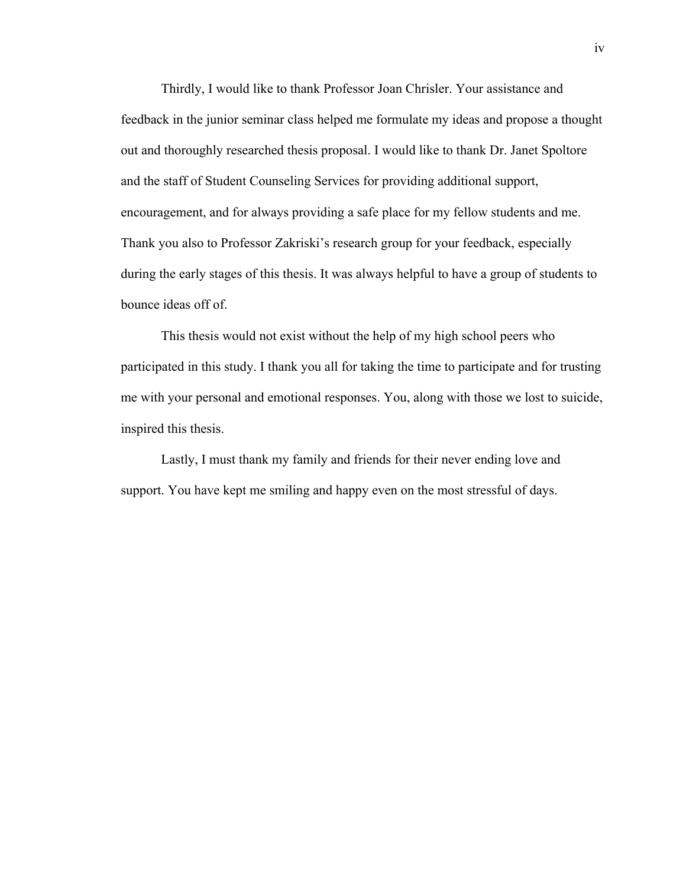Thirdly, I would like to thank Professor Joan Chrisler. Your assistance and feedback in the junior seminar class helped me formulate my ideas and propose a thought out and thoroughly researched thesis proposal. I would like to thank Dr. Janet Spoltore and the staff of Student Counseling Services for providing additional support, encouragement, and for always providing a safe place for my fellow students and me. Thank you also to Professor Zakriski's research group for your feedback, especially during the early stages of this thesis. It was always helpful to have a group of students to bounce ideas off of.

This thesis would not exist without the help of my high school peers who participated in this study. I thank you all for taking the time to participate and for trusting me with your personal and emotional responses. You, along with those we lost to suicide, inspired this thesis.

Lastly, I must thank my family and friends for their never ending love and support. You have kept me smiling and happy even on the most stressful of days.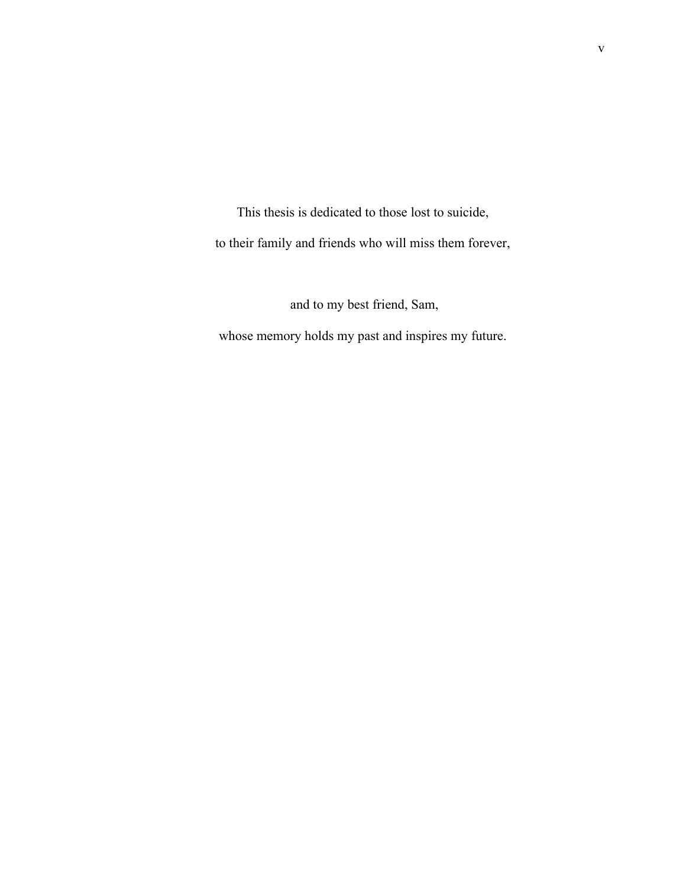This thesis is dedicated to those lost to suicide, to their family and friends who will miss them forever,

and to my best friend, Sam,

whose memory holds my past and inspires my future.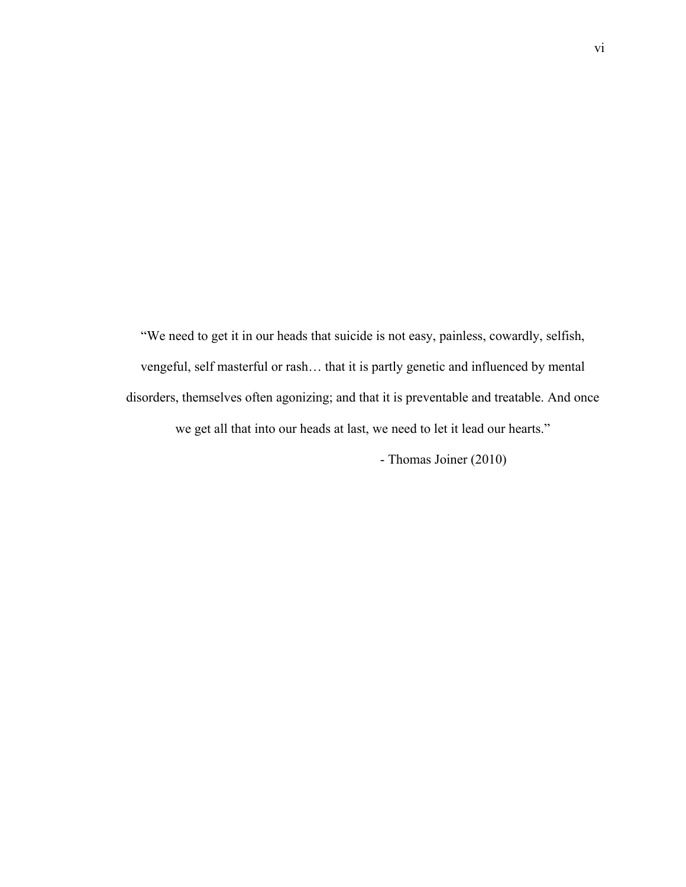"We need to get it in our heads that suicide is not easy, painless, cowardly, selfish, vengeful, self masterful or rash… that it is partly genetic and influenced by mental disorders, themselves often agonizing; and that it is preventable and treatable. And once we get all that into our heads at last, we need to let it lead our hearts." - Thomas Joiner (2010)

vi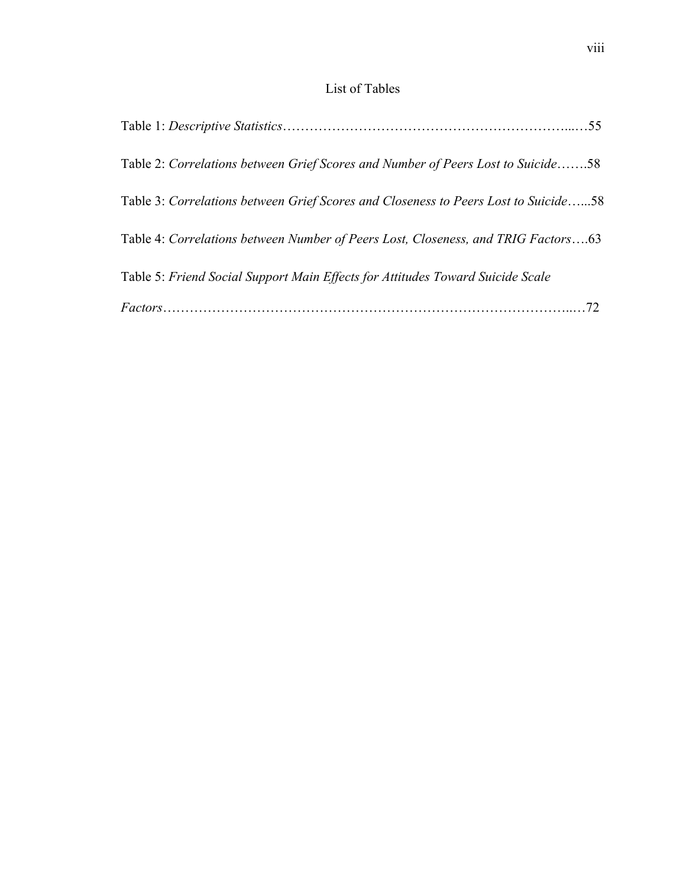### List of Tables

| Table 2: Correlations between Grief Scores and Number of Peers Lost to Suicide58    |  |
|-------------------------------------------------------------------------------------|--|
| Table 3: Correlations between Grief Scores and Closeness to Peers Lost to Suicide58 |  |
| Table 4: Correlations between Number of Peers Lost, Closeness, and TRIG Factors63   |  |
| Table 5: Friend Social Support Main Effects for Attitudes Toward Suicide Scale      |  |
|                                                                                     |  |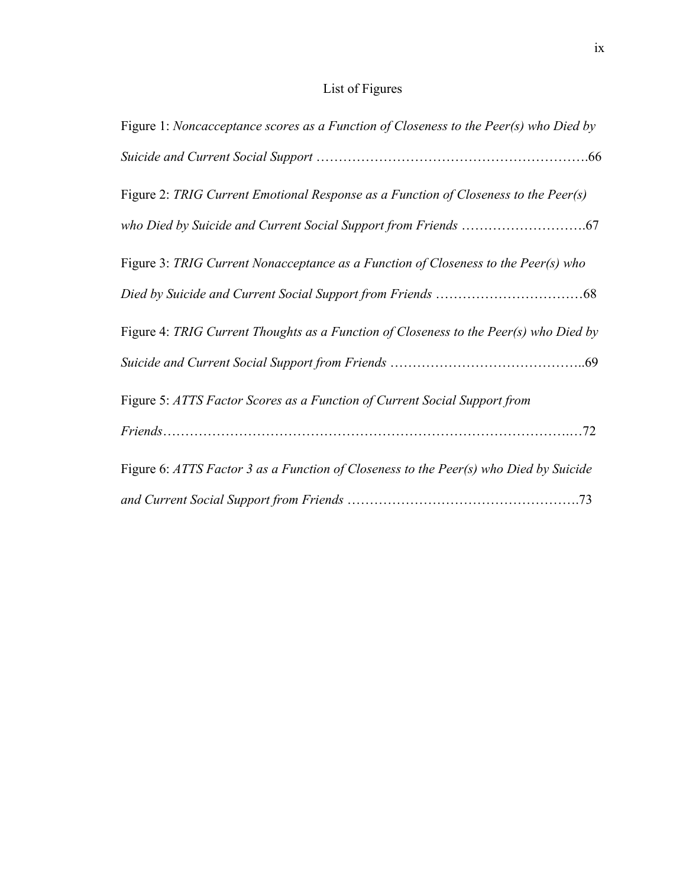# List of Figures

| Figure 1: Noncacceptance scores as a Function of Closeness to the Peer(s) who Died by |
|---------------------------------------------------------------------------------------|
|                                                                                       |
| Figure 2: TRIG Current Emotional Response as a Function of Closeness to the Peer(s)   |
|                                                                                       |
| Figure 3: TRIG Current Nonacceptance as a Function of Closeness to the Peer(s) who    |
|                                                                                       |
| Figure 4: TRIG Current Thoughts as a Function of Closeness to the Peer(s) who Died by |
|                                                                                       |
| Figure 5: ATTS Factor Scores as a Function of Current Social Support from             |
|                                                                                       |
| Figure 6: ATTS Factor 3 as a Function of Closeness to the Peer(s) who Died by Suicide |
|                                                                                       |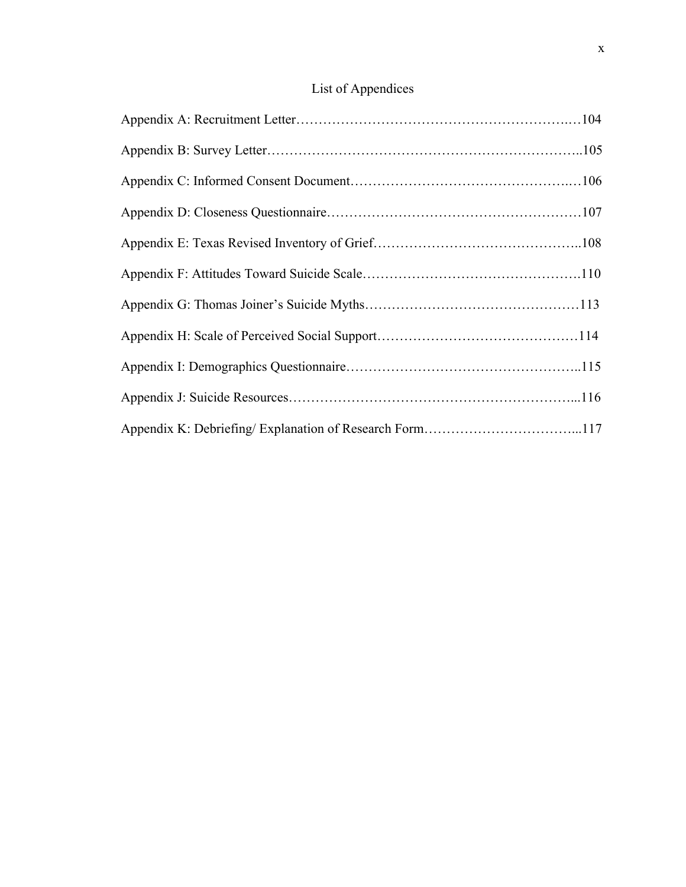## List of Appendices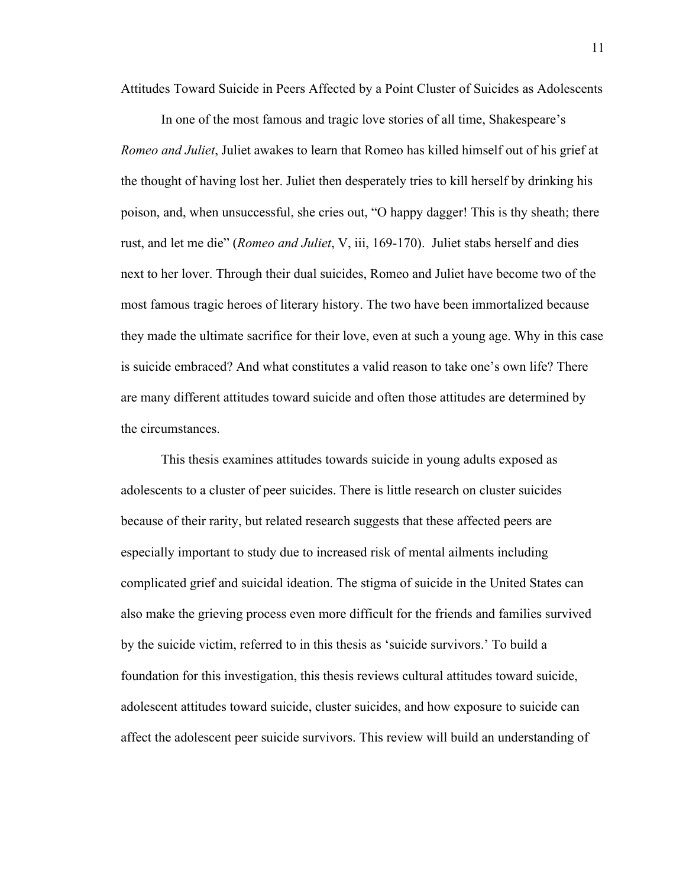Attitudes Toward Suicide in Peers Affected by a Point Cluster of Suicides as Adolescents

In one of the most famous and tragic love stories of all time, Shakespeare's *Romeo and Juliet*, Juliet awakes to learn that Romeo has killed himself out of his grief at the thought of having lost her. Juliet then desperately tries to kill herself by drinking his poison, and, when unsuccessful, she cries out, "O happy dagger! This is thy sheath; there rust, and let me die" (*Romeo and Juliet*, V, iii, 169-170). Juliet stabs herself and dies next to her lover. Through their dual suicides, Romeo and Juliet have become two of the most famous tragic heroes of literary history. The two have been immortalized because they made the ultimate sacrifice for their love, even at such a young age. Why in this case is suicide embraced? And what constitutes a valid reason to take one's own life? There are many different attitudes toward suicide and often those attitudes are determined by the circumstances.

This thesis examines attitudes towards suicide in young adults exposed as adolescents to a cluster of peer suicides. There is little research on cluster suicides because of their rarity, but related research suggests that these affected peers are especially important to study due to increased risk of mental ailments including complicated grief and suicidal ideation. The stigma of suicide in the United States can also make the grieving process even more difficult for the friends and families survived by the suicide victim, referred to in this thesis as 'suicide survivors.' To build a foundation for this investigation, this thesis reviews cultural attitudes toward suicide, adolescent attitudes toward suicide, cluster suicides, and how exposure to suicide can affect the adolescent peer suicide survivors. This review will build an understanding of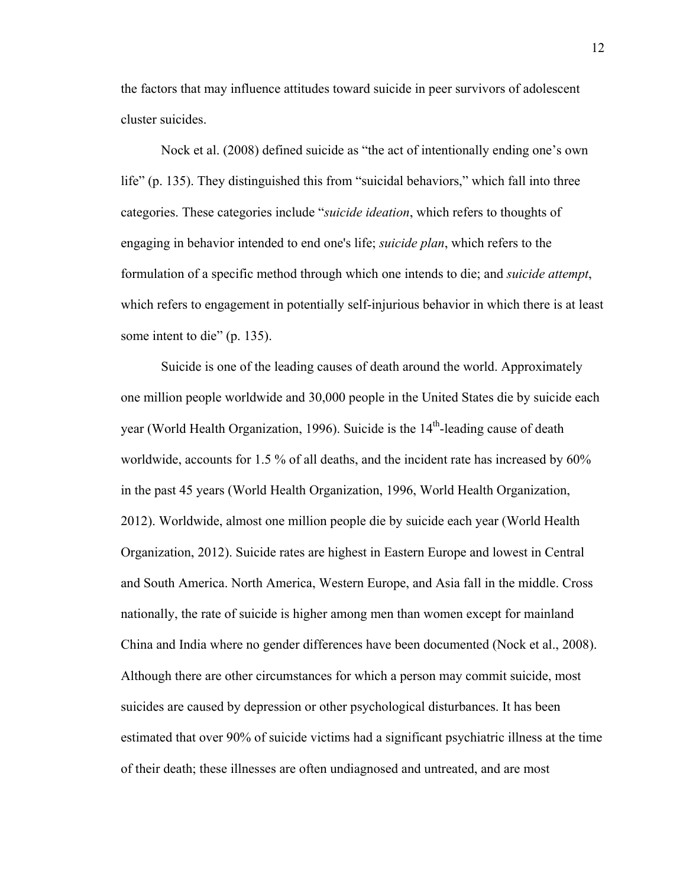the factors that may influence attitudes toward suicide in peer survivors of adolescent cluster suicides.

Nock et al. (2008) defined suicide as "the act of intentionally ending one's own life" (p. 135). They distinguished this from "suicidal behaviors," which fall into three categories. These categories include "*suicide ideation*, which refers to thoughts of engaging in behavior intended to end one's life; *suicide plan*, which refers to the formulation of a specific method through which one intends to die; and *suicide attempt*, which refers to engagement in potentially self-injurious behavior in which there is at least some intent to die" (p. 135).

Suicide is one of the leading causes of death around the world. Approximately one million people worldwide and 30,000 people in the United States die by suicide each year (World Health Organization, 1996). Suicide is the  $14<sup>th</sup>$ -leading cause of death worldwide, accounts for 1.5 % of all deaths, and the incident rate has increased by 60% in the past 45 years (World Health Organization, 1996, World Health Organization, 2012). Worldwide, almost one million people die by suicide each year (World Health Organization, 2012). Suicide rates are highest in Eastern Europe and lowest in Central and South America. North America, Western Europe, and Asia fall in the middle. Cross nationally, the rate of suicide is higher among men than women except for mainland China and India where no gender differences have been documented (Nock et al., 2008). Although there are other circumstances for which a person may commit suicide, most suicides are caused by depression or other psychological disturbances. It has been estimated that over 90% of suicide victims had a significant psychiatric illness at the time of their death; these illnesses are often undiagnosed and untreated, and are most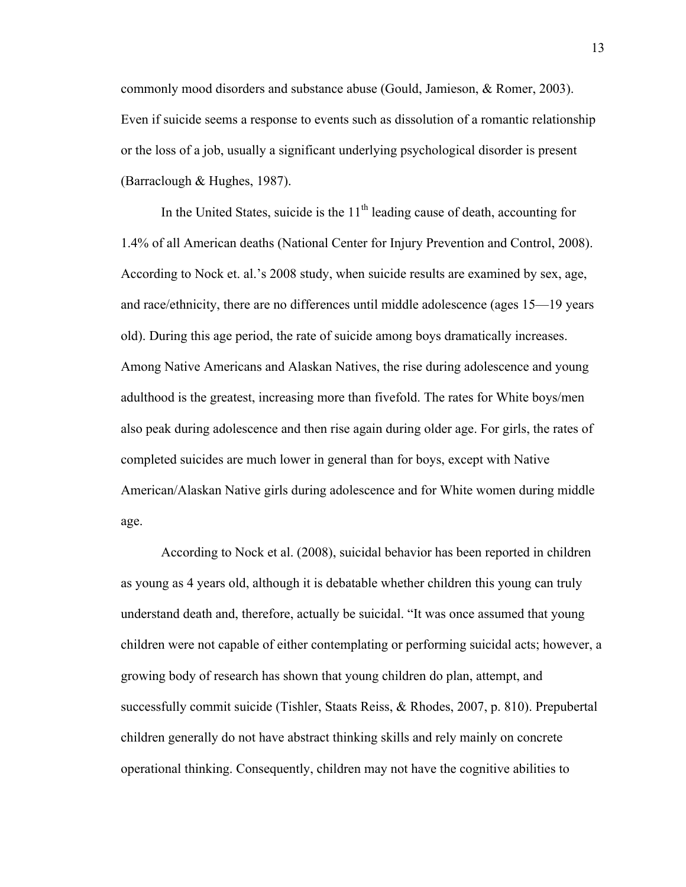commonly mood disorders and substance abuse (Gould, Jamieson, & Romer, 2003). Even if suicide seems a response to events such as dissolution of a romantic relationship or the loss of a job, usually a significant underlying psychological disorder is present (Barraclough & Hughes, 1987).

In the United States, suicide is the  $11<sup>th</sup>$  leading cause of death, accounting for 1.4% of all American deaths (National Center for Injury Prevention and Control, 2008). According to Nock et. al.'s 2008 study, when suicide results are examined by sex, age, and race/ethnicity, there are no differences until middle adolescence (ages 15—19 years old). During this age period, the rate of suicide among boys dramatically increases. Among Native Americans and Alaskan Natives, the rise during adolescence and young adulthood is the greatest, increasing more than fivefold. The rates for White boys/men also peak during adolescence and then rise again during older age. For girls, the rates of completed suicides are much lower in general than for boys, except with Native American/Alaskan Native girls during adolescence and for White women during middle age.

According to Nock et al. (2008), suicidal behavior has been reported in children as young as 4 years old, although it is debatable whether children this young can truly understand death and, therefore, actually be suicidal. "It was once assumed that young children were not capable of either contemplating or performing suicidal acts; however, a growing body of research has shown that young children do plan, attempt, and successfully commit suicide (Tishler, Staats Reiss, & Rhodes, 2007, p. 810). Prepubertal children generally do not have abstract thinking skills and rely mainly on concrete operational thinking. Consequently, children may not have the cognitive abilities to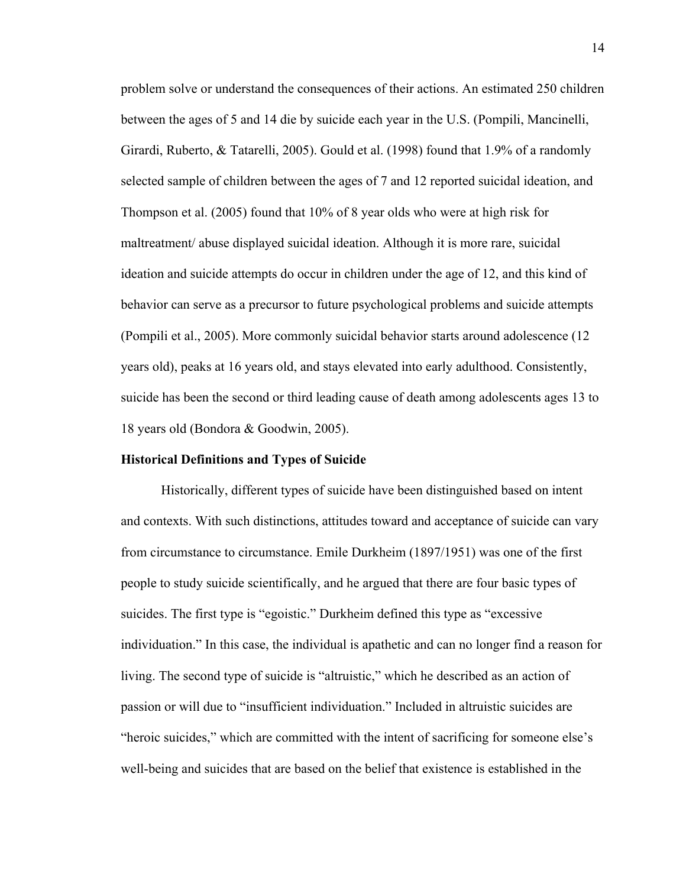problem solve or understand the consequences of their actions. An estimated 250 children between the ages of 5 and 14 die by suicide each year in the U.S. (Pompili, Mancinelli, Girardi, Ruberto, & Tatarelli, 2005). Gould et al. (1998) found that 1.9% of a randomly selected sample of children between the ages of 7 and 12 reported suicidal ideation, and Thompson et al. (2005) found that 10% of 8 year olds who were at high risk for maltreatment/ abuse displayed suicidal ideation. Although it is more rare, suicidal ideation and suicide attempts do occur in children under the age of 12, and this kind of behavior can serve as a precursor to future psychological problems and suicide attempts (Pompili et al., 2005). More commonly suicidal behavior starts around adolescence (12 years old), peaks at 16 years old, and stays elevated into early adulthood. Consistently, suicide has been the second or third leading cause of death among adolescents ages 13 to 18 years old (Bondora & Goodwin, 2005).

### **Historical Definitions and Types of Suicide**

Historically, different types of suicide have been distinguished based on intent and contexts. With such distinctions, attitudes toward and acceptance of suicide can vary from circumstance to circumstance. Emile Durkheim (1897/1951) was one of the first people to study suicide scientifically, and he argued that there are four basic types of suicides. The first type is "egoistic." Durkheim defined this type as "excessive individuation." In this case, the individual is apathetic and can no longer find a reason for living. The second type of suicide is "altruistic," which he described as an action of passion or will due to "insufficient individuation." Included in altruistic suicides are "heroic suicides," which are committed with the intent of sacrificing for someone else's well-being and suicides that are based on the belief that existence is established in the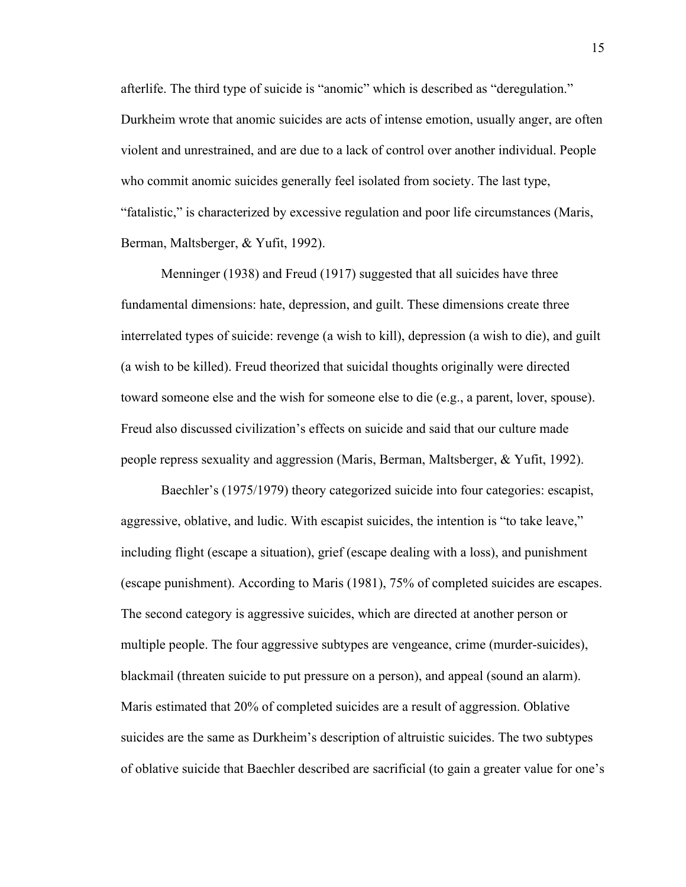afterlife. The third type of suicide is "anomic" which is described as "deregulation." Durkheim wrote that anomic suicides are acts of intense emotion, usually anger, are often violent and unrestrained, and are due to a lack of control over another individual. People who commit anomic suicides generally feel isolated from society. The last type, "fatalistic," is characterized by excessive regulation and poor life circumstances (Maris, Berman, Maltsberger, & Yufit, 1992).

Menninger (1938) and Freud (1917) suggested that all suicides have three fundamental dimensions: hate, depression, and guilt. These dimensions create three interrelated types of suicide: revenge (a wish to kill), depression (a wish to die), and guilt (a wish to be killed). Freud theorized that suicidal thoughts originally were directed toward someone else and the wish for someone else to die (e.g., a parent, lover, spouse). Freud also discussed civilization's effects on suicide and said that our culture made people repress sexuality and aggression (Maris, Berman, Maltsberger, & Yufit, 1992).

Baechler's (1975/1979) theory categorized suicide into four categories: escapist, aggressive, oblative, and ludic. With escapist suicides, the intention is "to take leave," including flight (escape a situation), grief (escape dealing with a loss), and punishment (escape punishment). According to Maris (1981), 75% of completed suicides are escapes. The second category is aggressive suicides, which are directed at another person or multiple people. The four aggressive subtypes are vengeance, crime (murder-suicides), blackmail (threaten suicide to put pressure on a person), and appeal (sound an alarm). Maris estimated that 20% of completed suicides are a result of aggression. Oblative suicides are the same as Durkheim's description of altruistic suicides. The two subtypes of oblative suicide that Baechler described are sacrificial (to gain a greater value for one's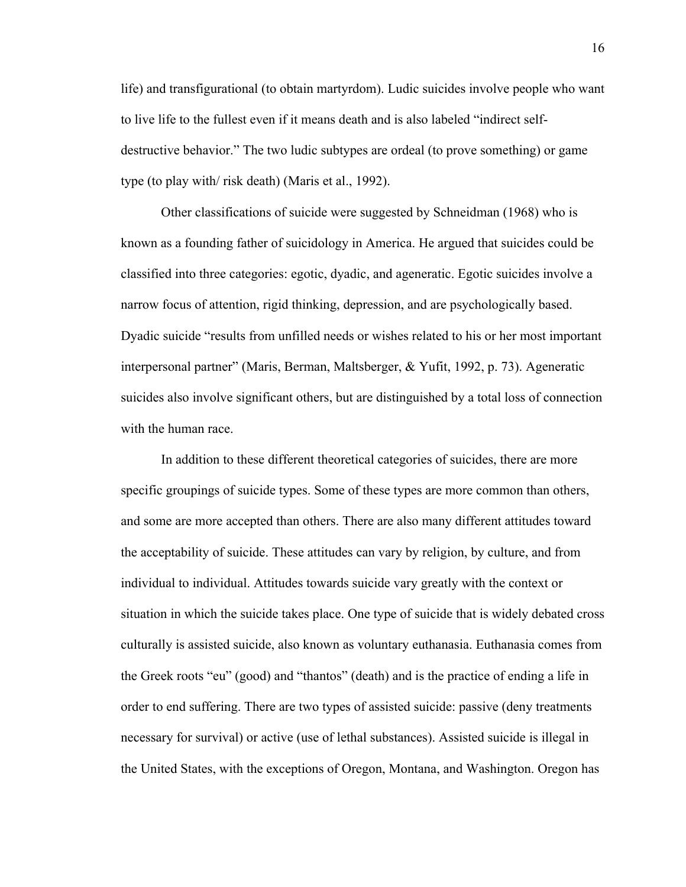life) and transfigurational (to obtain martyrdom). Ludic suicides involve people who want to live life to the fullest even if it means death and is also labeled "indirect selfdestructive behavior." The two ludic subtypes are ordeal (to prove something) or game type (to play with/ risk death) (Maris et al., 1992).

Other classifications of suicide were suggested by Schneidman (1968) who is known as a founding father of suicidology in America. He argued that suicides could be classified into three categories: egotic, dyadic, and ageneratic. Egotic suicides involve a narrow focus of attention, rigid thinking, depression, and are psychologically based. Dyadic suicide "results from unfilled needs or wishes related to his or her most important interpersonal partner" (Maris, Berman, Maltsberger, & Yufit, 1992, p. 73). Ageneratic suicides also involve significant others, but are distinguished by a total loss of connection with the human race.

In addition to these different theoretical categories of suicides, there are more specific groupings of suicide types. Some of these types are more common than others, and some are more accepted than others. There are also many different attitudes toward the acceptability of suicide. These attitudes can vary by religion, by culture, and from individual to individual. Attitudes towards suicide vary greatly with the context or situation in which the suicide takes place. One type of suicide that is widely debated cross culturally is assisted suicide, also known as voluntary euthanasia. Euthanasia comes from the Greek roots "eu" (good) and "thantos" (death) and is the practice of ending a life in order to end suffering. There are two types of assisted suicide: passive (deny treatments necessary for survival) or active (use of lethal substances). Assisted suicide is illegal in the United States, with the exceptions of Oregon, Montana, and Washington. Oregon has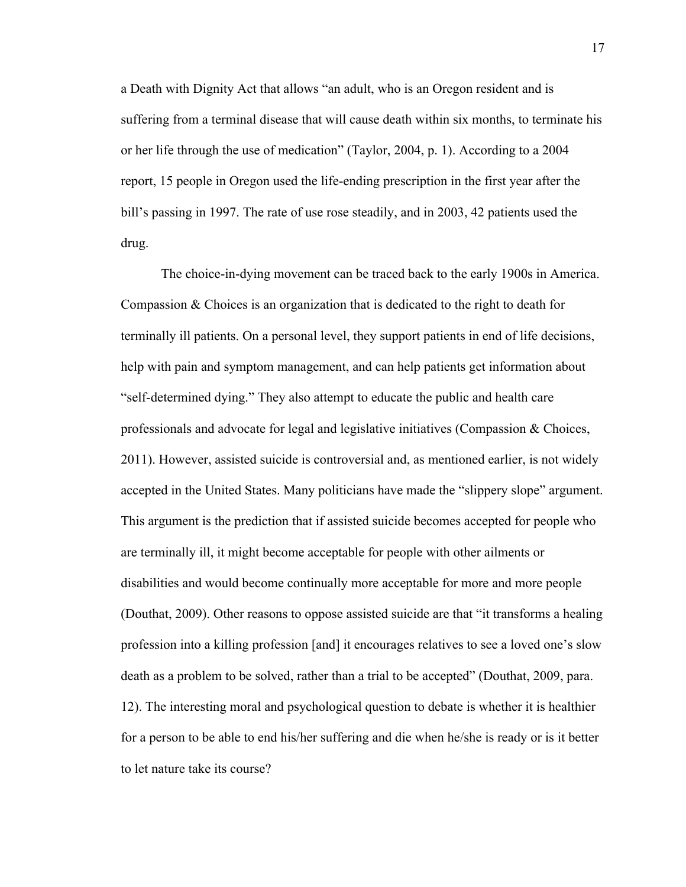a Death with Dignity Act that allows "an adult, who is an Oregon resident and is suffering from a terminal disease that will cause death within six months, to terminate his or her life through the use of medication" (Taylor, 2004, p. 1). According to a 2004 report, 15 people in Oregon used the life-ending prescription in the first year after the bill's passing in 1997. The rate of use rose steadily, and in 2003, 42 patients used the drug.

The choice-in-dying movement can be traced back to the early 1900s in America. Compassion & Choices is an organization that is dedicated to the right to death for terminally ill patients. On a personal level, they support patients in end of life decisions, help with pain and symptom management, and can help patients get information about "self-determined dying." They also attempt to educate the public and health care professionals and advocate for legal and legislative initiatives (Compassion  $\&$  Choices, 2011). However, assisted suicide is controversial and, as mentioned earlier, is not widely accepted in the United States. Many politicians have made the "slippery slope" argument. This argument is the prediction that if assisted suicide becomes accepted for people who are terminally ill, it might become acceptable for people with other ailments or disabilities and would become continually more acceptable for more and more people (Douthat, 2009). Other reasons to oppose assisted suicide are that "it transforms a healing profession into a killing profession [and] it encourages relatives to see a loved one's slow death as a problem to be solved, rather than a trial to be accepted" (Douthat, 2009, para. 12). The interesting moral and psychological question to debate is whether it is healthier for a person to be able to end his/her suffering and die when he/she is ready or is it better to let nature take its course?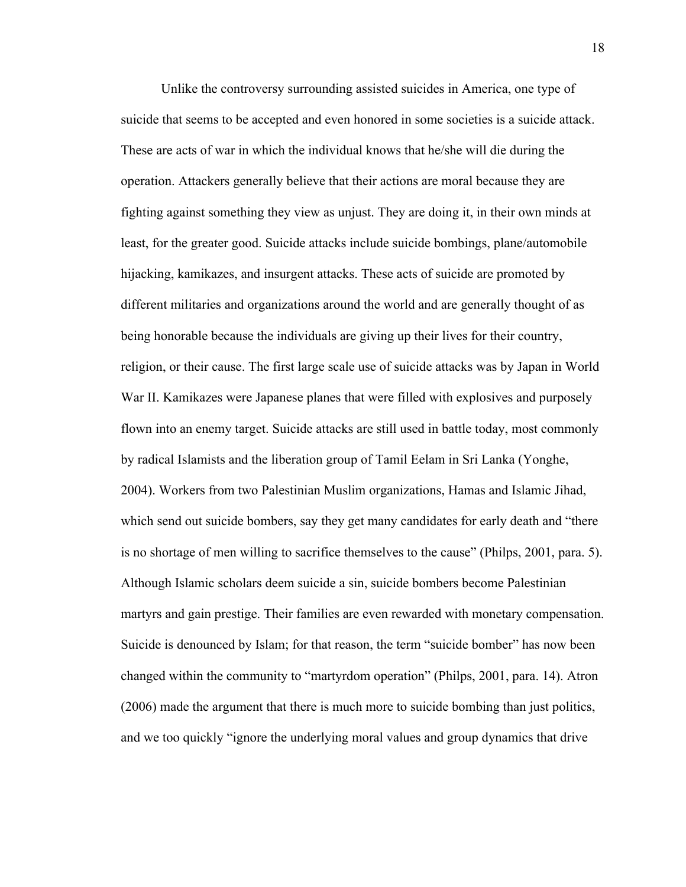Unlike the controversy surrounding assisted suicides in America, one type of suicide that seems to be accepted and even honored in some societies is a suicide attack. These are acts of war in which the individual knows that he/she will die during the operation. Attackers generally believe that their actions are moral because they are fighting against something they view as unjust. They are doing it, in their own minds at least, for the greater good. Suicide attacks include suicide bombings, plane/automobile hijacking, kamikazes, and insurgent attacks. These acts of suicide are promoted by different militaries and organizations around the world and are generally thought of as being honorable because the individuals are giving up their lives for their country, religion, or their cause. The first large scale use of suicide attacks was by Japan in World War II. Kamikazes were Japanese planes that were filled with explosives and purposely flown into an enemy target. Suicide attacks are still used in battle today, most commonly by radical Islamists and the liberation group of Tamil Eelam in Sri Lanka (Yonghe, 2004). Workers from two Palestinian Muslim organizations, Hamas and Islamic Jihad, which send out suicide bombers, say they get many candidates for early death and "there is no shortage of men willing to sacrifice themselves to the cause" (Philps, 2001, para. 5). Although Islamic scholars deem suicide a sin, suicide bombers become Palestinian martyrs and gain prestige. Their families are even rewarded with monetary compensation. Suicide is denounced by Islam; for that reason, the term "suicide bomber" has now been changed within the community to "martyrdom operation" (Philps, 2001, para. 14). Atron (2006) made the argument that there is much more to suicide bombing than just politics, and we too quickly "ignore the underlying moral values and group dynamics that drive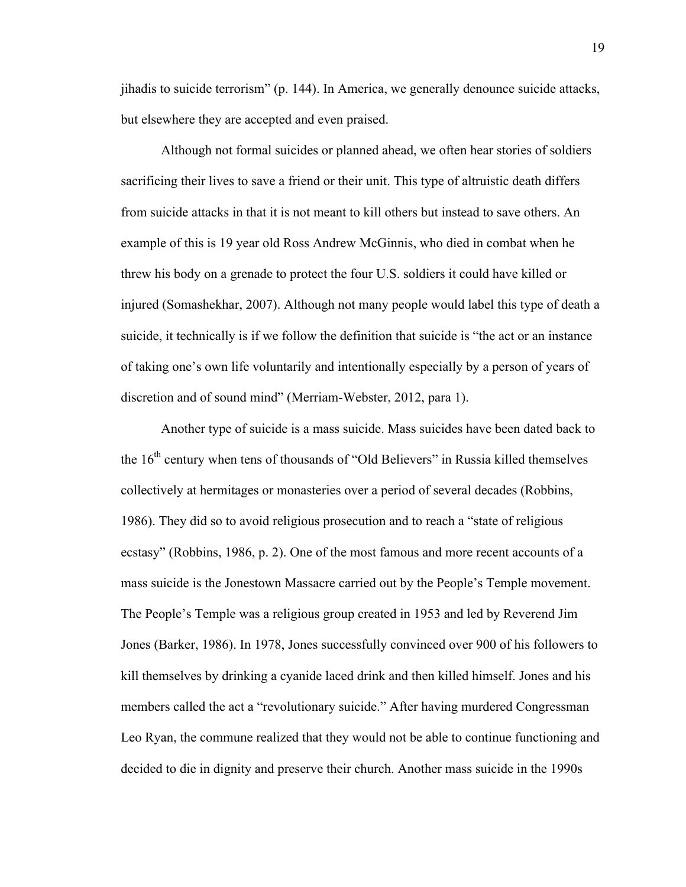jihadis to suicide terrorism" (p. 144). In America, we generally denounce suicide attacks, but elsewhere they are accepted and even praised.

Although not formal suicides or planned ahead, we often hear stories of soldiers sacrificing their lives to save a friend or their unit. This type of altruistic death differs from suicide attacks in that it is not meant to kill others but instead to save others. An example of this is 19 year old Ross Andrew McGinnis, who died in combat when he threw his body on a grenade to protect the four U.S. soldiers it could have killed or injured (Somashekhar, 2007). Although not many people would label this type of death a suicide, it technically is if we follow the definition that suicide is "the act or an instance of taking one's own life voluntarily and intentionally especially by a person of years of discretion and of sound mind" (Merriam-Webster, 2012, para 1).

Another type of suicide is a mass suicide. Mass suicides have been dated back to the  $16<sup>th</sup>$  century when tens of thousands of "Old Believers" in Russia killed themselves collectively at hermitages or monasteries over a period of several decades (Robbins, 1986). They did so to avoid religious prosecution and to reach a "state of religious ecstasy" (Robbins, 1986, p. 2). One of the most famous and more recent accounts of a mass suicide is the Jonestown Massacre carried out by the People's Temple movement. The People's Temple was a religious group created in 1953 and led by Reverend Jim Jones (Barker, 1986). In 1978, Jones successfully convinced over 900 of his followers to kill themselves by drinking a cyanide laced drink and then killed himself. Jones and his members called the act a "revolutionary suicide." After having murdered Congressman Leo Ryan, the commune realized that they would not be able to continue functioning and decided to die in dignity and preserve their church. Another mass suicide in the 1990s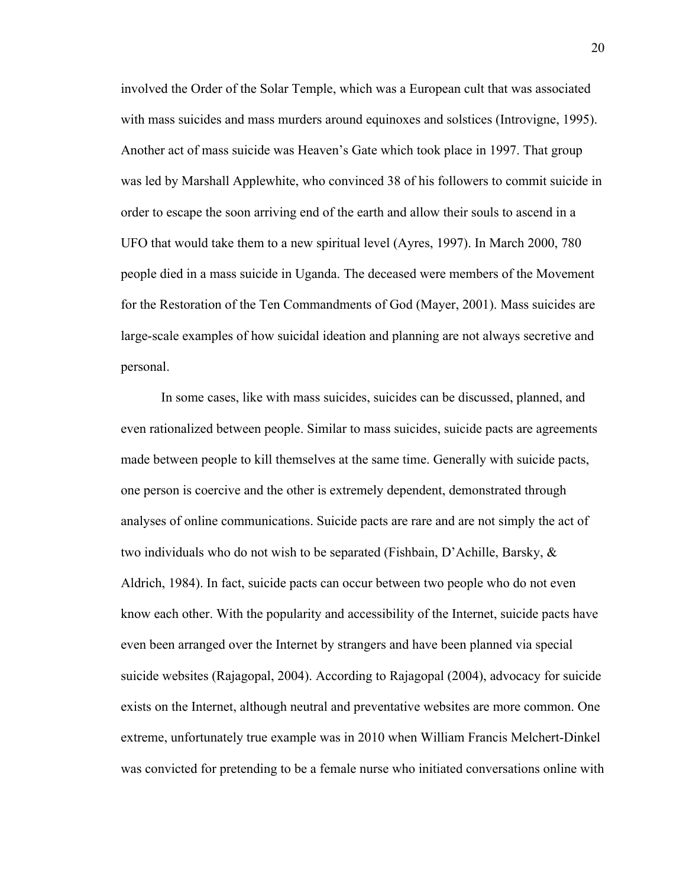involved the Order of the Solar Temple, which was a European cult that was associated with mass suicides and mass murders around equinoxes and solstices (Introvigne, 1995). Another act of mass suicide was Heaven's Gate which took place in 1997. That group was led by Marshall Applewhite, who convinced 38 of his followers to commit suicide in order to escape the soon arriving end of the earth and allow their souls to ascend in a UFO that would take them to a new spiritual level (Ayres, 1997). In March 2000, 780 people died in a mass suicide in Uganda. The deceased were members of the Movement for the Restoration of the Ten Commandments of God (Mayer, 2001). Mass suicides are large-scale examples of how suicidal ideation and planning are not always secretive and personal.

In some cases, like with mass suicides, suicides can be discussed, planned, and even rationalized between people. Similar to mass suicides, suicide pacts are agreements made between people to kill themselves at the same time. Generally with suicide pacts, one person is coercive and the other is extremely dependent, demonstrated through analyses of online communications. Suicide pacts are rare and are not simply the act of two individuals who do not wish to be separated (Fishbain, D'Achille, Barsky,  $\&$ Aldrich, 1984). In fact, suicide pacts can occur between two people who do not even know each other. With the popularity and accessibility of the Internet, suicide pacts have even been arranged over the Internet by strangers and have been planned via special suicide websites (Rajagopal, 2004). According to Rajagopal (2004), advocacy for suicide exists on the Internet, although neutral and preventative websites are more common. One extreme, unfortunately true example was in 2010 when William Francis Melchert-Dinkel was convicted for pretending to be a female nurse who initiated conversations online with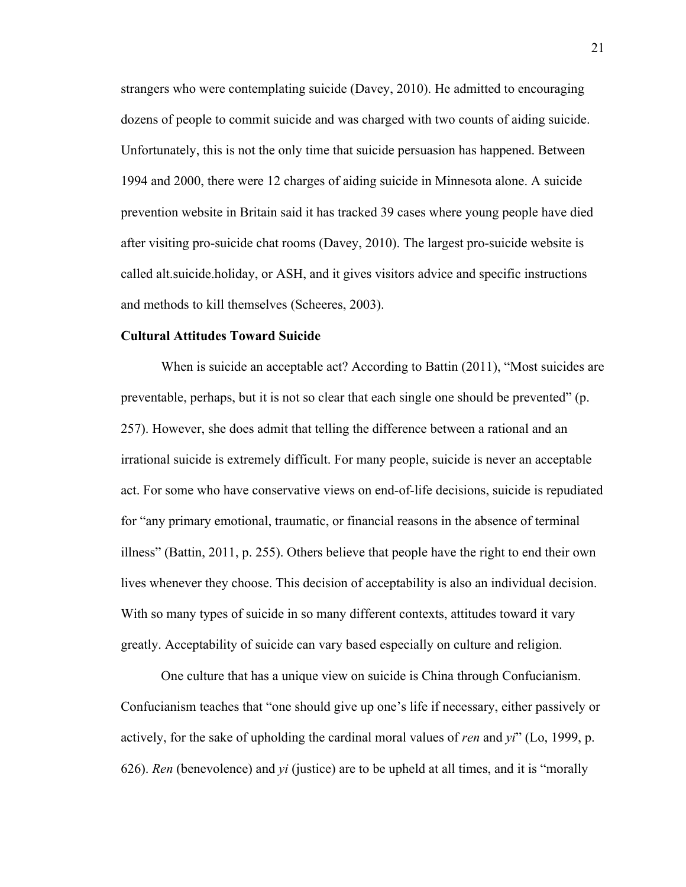strangers who were contemplating suicide (Davey, 2010). He admitted to encouraging dozens of people to commit suicide and was charged with two counts of aiding suicide. Unfortunately, this is not the only time that suicide persuasion has happened. Between 1994 and 2000, there were 12 charges of aiding suicide in Minnesota alone. A suicide prevention website in Britain said it has tracked 39 cases where young people have died after visiting pro-suicide chat rooms (Davey, 2010). The largest pro-suicide website is called alt.suicide.holiday, or ASH, and it gives visitors advice and specific instructions and methods to kill themselves (Scheeres, 2003).

### **Cultural Attitudes Toward Suicide**

When is suicide an acceptable act? According to Battin (2011), "Most suicides are preventable, perhaps, but it is not so clear that each single one should be prevented" (p. 257). However, she does admit that telling the difference between a rational and an irrational suicide is extremely difficult. For many people, suicide is never an acceptable act. For some who have conservative views on end-of-life decisions, suicide is repudiated for "any primary emotional, traumatic, or financial reasons in the absence of terminal illness" (Battin, 2011, p. 255). Others believe that people have the right to end their own lives whenever they choose. This decision of acceptability is also an individual decision. With so many types of suicide in so many different contexts, attitudes toward it vary greatly. Acceptability of suicide can vary based especially on culture and religion.

One culture that has a unique view on suicide is China through Confucianism. Confucianism teaches that "one should give up one's life if necessary, either passively or actively, for the sake of upholding the cardinal moral values of *ren* and *yi*" (Lo, 1999, p. 626). *Ren* (benevolence) and *yi* (justice) are to be upheld at all times, and it is "morally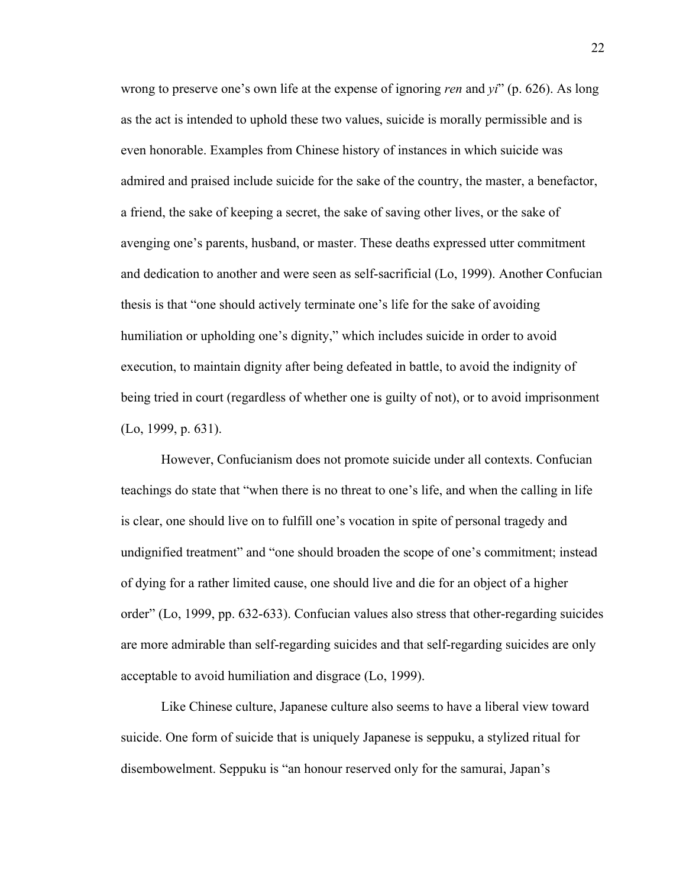wrong to preserve one's own life at the expense of ignoring *ren* and *yi*" (p. 626). As long as the act is intended to uphold these two values, suicide is morally permissible and is even honorable. Examples from Chinese history of instances in which suicide was admired and praised include suicide for the sake of the country, the master, a benefactor, a friend, the sake of keeping a secret, the sake of saving other lives, or the sake of avenging one's parents, husband, or master. These deaths expressed utter commitment and dedication to another and were seen as self-sacrificial (Lo, 1999). Another Confucian thesis is that "one should actively terminate one's life for the sake of avoiding humiliation or upholding one's dignity," which includes suicide in order to avoid execution, to maintain dignity after being defeated in battle, to avoid the indignity of being tried in court (regardless of whether one is guilty of not), or to avoid imprisonment (Lo, 1999, p. 631).

However, Confucianism does not promote suicide under all contexts. Confucian teachings do state that "when there is no threat to one's life, and when the calling in life is clear, one should live on to fulfill one's vocation in spite of personal tragedy and undignified treatment" and "one should broaden the scope of one's commitment; instead of dying for a rather limited cause, one should live and die for an object of a higher order" (Lo, 1999, pp. 632-633). Confucian values also stress that other-regarding suicides are more admirable than self-regarding suicides and that self-regarding suicides are only acceptable to avoid humiliation and disgrace (Lo, 1999).

Like Chinese culture, Japanese culture also seems to have a liberal view toward suicide. One form of suicide that is uniquely Japanese is seppuku, a stylized ritual for disembowelment. Seppuku is "an honour reserved only for the samurai, Japan's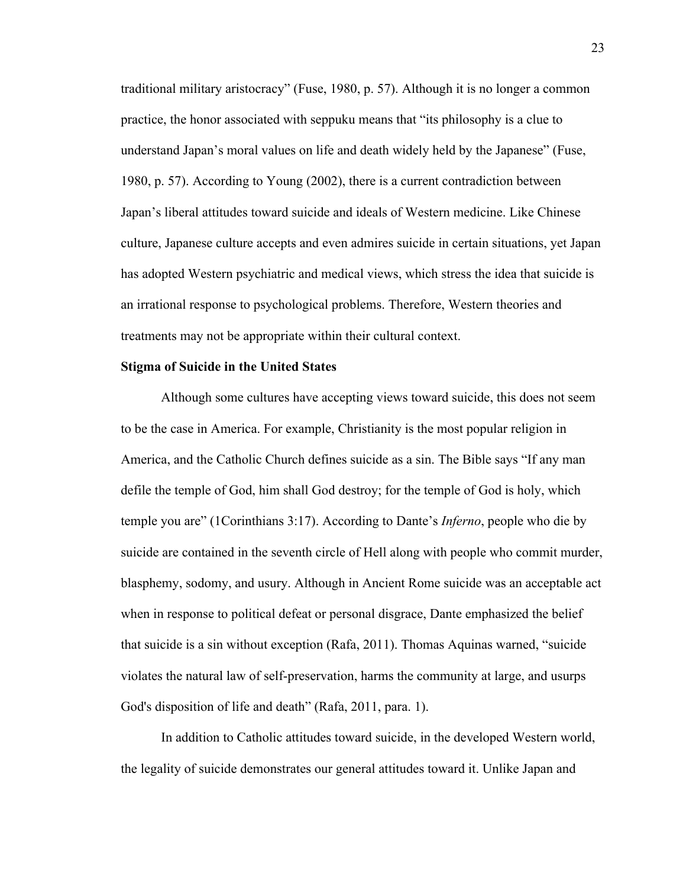traditional military aristocracy" (Fuse, 1980, p. 57). Although it is no longer a common practice, the honor associated with seppuku means that "its philosophy is a clue to understand Japan's moral values on life and death widely held by the Japanese" (Fuse, 1980, p. 57). According to Young (2002), there is a current contradiction between Japan's liberal attitudes toward suicide and ideals of Western medicine. Like Chinese culture, Japanese culture accepts and even admires suicide in certain situations, yet Japan has adopted Western psychiatric and medical views, which stress the idea that suicide is an irrational response to psychological problems. Therefore, Western theories and treatments may not be appropriate within their cultural context.

### **Stigma of Suicide in the United States**

Although some cultures have accepting views toward suicide, this does not seem to be the case in America. For example, Christianity is the most popular religion in America, and the Catholic Church defines suicide as a sin. The Bible says "If any man defile the temple of God, him shall God destroy; for the temple of God is holy, which temple you are" (1Corinthians 3:17). According to Dante's *Inferno*, people who die by suicide are contained in the seventh circle of Hell along with people who commit murder, blasphemy, sodomy, and usury. Although in Ancient Rome suicide was an acceptable act when in response to political defeat or personal disgrace, Dante emphasized the belief that suicide is a sin without exception (Rafa, 2011). Thomas Aquinas warned, "suicide violates the natural law of self-preservation, harms the community at large, and usurps God's disposition of life and death" (Rafa, 2011, para. 1).

In addition to Catholic attitudes toward suicide, in the developed Western world, the legality of suicide demonstrates our general attitudes toward it. Unlike Japan and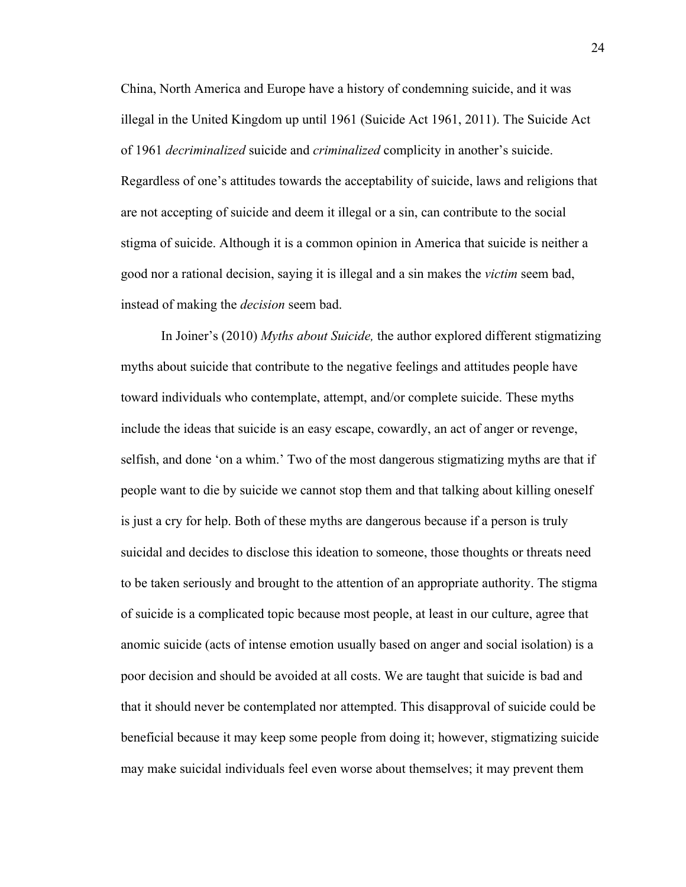China, North America and Europe have a history of condemning suicide, and it was illegal in the United Kingdom up until 1961 (Suicide Act 1961, 2011). The Suicide Act of 1961 *decriminalized* suicide and *criminalized* complicity in another's suicide. Regardless of one's attitudes towards the acceptability of suicide, laws and religions that are not accepting of suicide and deem it illegal or a sin, can contribute to the social stigma of suicide. Although it is a common opinion in America that suicide is neither a good nor a rational decision, saying it is illegal and a sin makes the *victim* seem bad, instead of making the *decision* seem bad.

In Joiner's (2010) *Myths about Suicide,* the author explored different stigmatizing myths about suicide that contribute to the negative feelings and attitudes people have toward individuals who contemplate, attempt, and/or complete suicide. These myths include the ideas that suicide is an easy escape, cowardly, an act of anger or revenge, selfish, and done 'on a whim.' Two of the most dangerous stigmatizing myths are that if people want to die by suicide we cannot stop them and that talking about killing oneself is just a cry for help. Both of these myths are dangerous because if a person is truly suicidal and decides to disclose this ideation to someone, those thoughts or threats need to be taken seriously and brought to the attention of an appropriate authority. The stigma of suicide is a complicated topic because most people, at least in our culture, agree that anomic suicide (acts of intense emotion usually based on anger and social isolation) is a poor decision and should be avoided at all costs. We are taught that suicide is bad and that it should never be contemplated nor attempted. This disapproval of suicide could be beneficial because it may keep some people from doing it; however, stigmatizing suicide may make suicidal individuals feel even worse about themselves; it may prevent them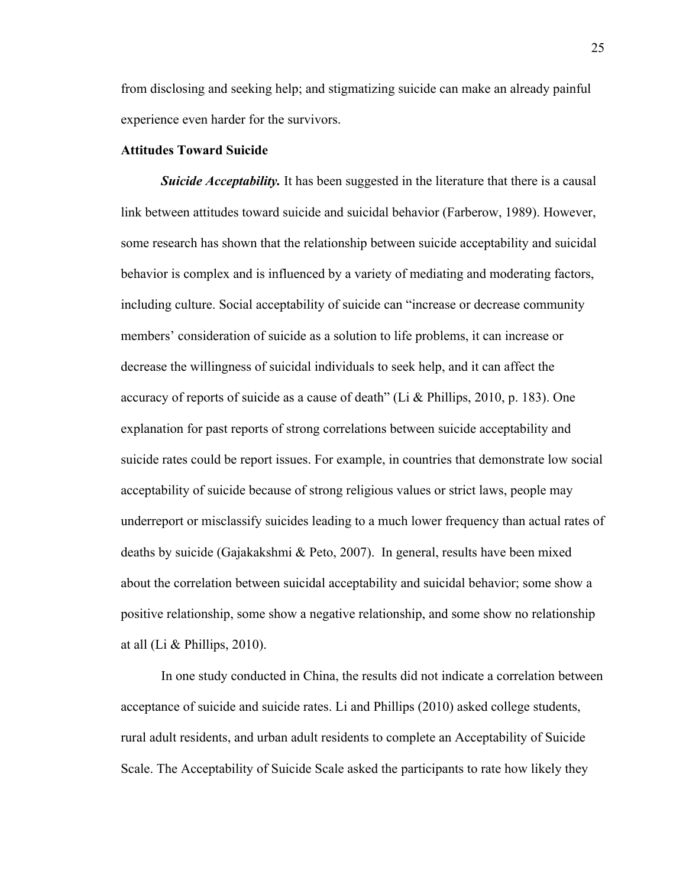from disclosing and seeking help; and stigmatizing suicide can make an already painful experience even harder for the survivors.

### **Attitudes Toward Suicide**

*Suicide Acceptability*. It has been suggested in the literature that there is a causal link between attitudes toward suicide and suicidal behavior (Farberow, 1989). However, some research has shown that the relationship between suicide acceptability and suicidal behavior is complex and is influenced by a variety of mediating and moderating factors, including culture. Social acceptability of suicide can "increase or decrease community members' consideration of suicide as a solution to life problems, it can increase or decrease the willingness of suicidal individuals to seek help, and it can affect the accuracy of reports of suicide as a cause of death" (Li & Phillips, 2010, p. 183). One explanation for past reports of strong correlations between suicide acceptability and suicide rates could be report issues. For example, in countries that demonstrate low social acceptability of suicide because of strong religious values or strict laws, people may underreport or misclassify suicides leading to a much lower frequency than actual rates of deaths by suicide (Gajakakshmi & Peto, 2007). In general, results have been mixed about the correlation between suicidal acceptability and suicidal behavior; some show a positive relationship, some show a negative relationship, and some show no relationship at all (Li & Phillips, 2010).

In one study conducted in China, the results did not indicate a correlation between acceptance of suicide and suicide rates. Li and Phillips (2010) asked college students, rural adult residents, and urban adult residents to complete an Acceptability of Suicide Scale. The Acceptability of Suicide Scale asked the participants to rate how likely they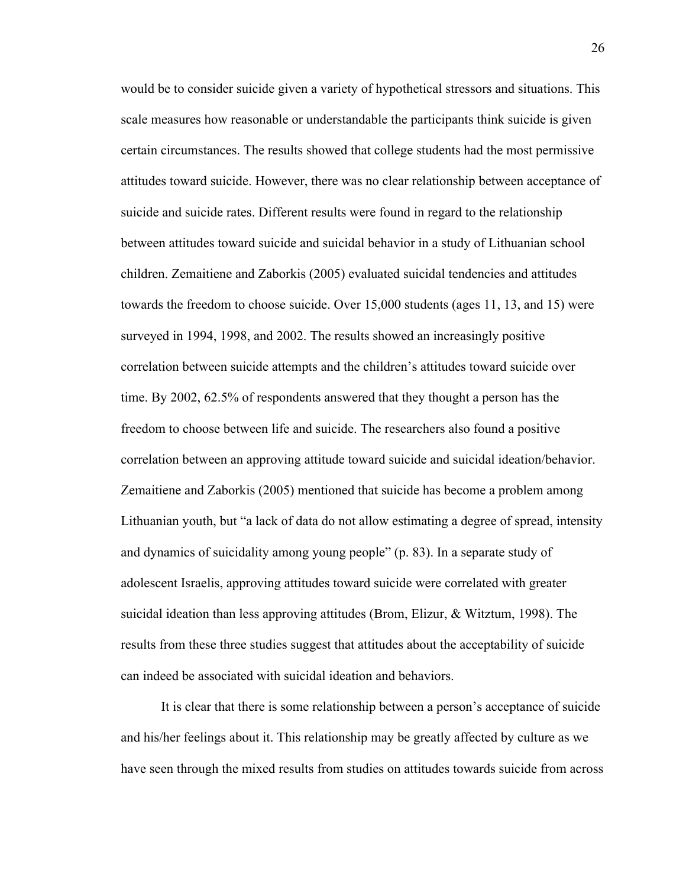would be to consider suicide given a variety of hypothetical stressors and situations. This scale measures how reasonable or understandable the participants think suicide is given certain circumstances. The results showed that college students had the most permissive attitudes toward suicide. However, there was no clear relationship between acceptance of suicide and suicide rates. Different results were found in regard to the relationship between attitudes toward suicide and suicidal behavior in a study of Lithuanian school children. Zemaitiene and Zaborkis (2005) evaluated suicidal tendencies and attitudes towards the freedom to choose suicide. Over 15,000 students (ages 11, 13, and 15) were surveyed in 1994, 1998, and 2002. The results showed an increasingly positive correlation between suicide attempts and the children's attitudes toward suicide over time. By 2002, 62.5% of respondents answered that they thought a person has the freedom to choose between life and suicide. The researchers also found a positive correlation between an approving attitude toward suicide and suicidal ideation/behavior. Zemaitiene and Zaborkis (2005) mentioned that suicide has become a problem among Lithuanian youth, but "a lack of data do not allow estimating a degree of spread, intensity and dynamics of suicidality among young people" (p. 83). In a separate study of adolescent Israelis, approving attitudes toward suicide were correlated with greater suicidal ideation than less approving attitudes (Brom, Elizur, & Witztum, 1998). The results from these three studies suggest that attitudes about the acceptability of suicide can indeed be associated with suicidal ideation and behaviors.

It is clear that there is some relationship between a person's acceptance of suicide and his/her feelings about it. This relationship may be greatly affected by culture as we have seen through the mixed results from studies on attitudes towards suicide from across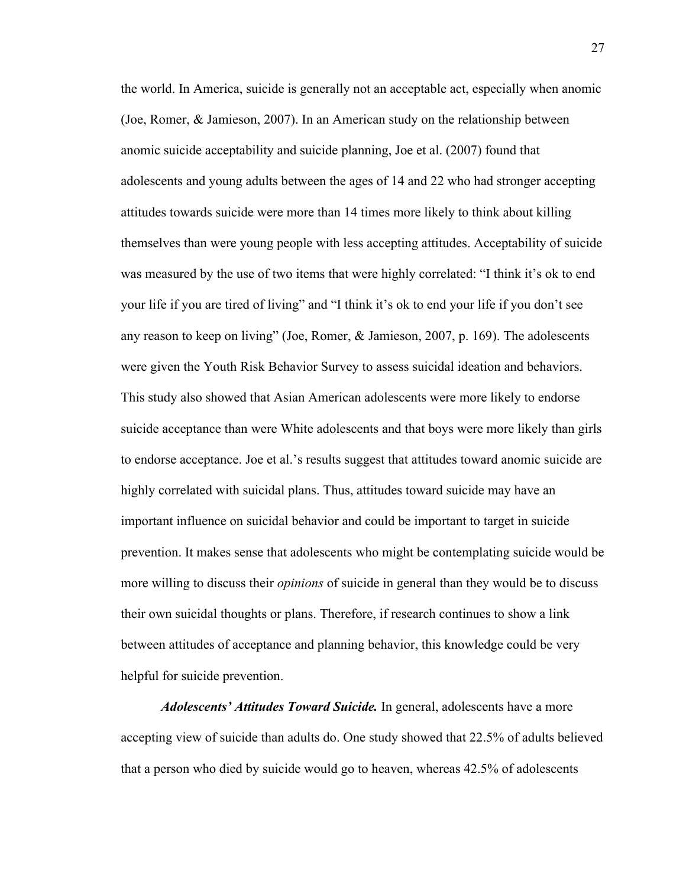the world. In America, suicide is generally not an acceptable act, especially when anomic (Joe, Romer, & Jamieson, 2007). In an American study on the relationship between anomic suicide acceptability and suicide planning, Joe et al. (2007) found that adolescents and young adults between the ages of 14 and 22 who had stronger accepting attitudes towards suicide were more than 14 times more likely to think about killing themselves than were young people with less accepting attitudes. Acceptability of suicide was measured by the use of two items that were highly correlated: "I think it's ok to end your life if you are tired of living" and "I think it's ok to end your life if you don't see any reason to keep on living" (Joe, Romer, & Jamieson, 2007, p. 169). The adolescents were given the Youth Risk Behavior Survey to assess suicidal ideation and behaviors. This study also showed that Asian American adolescents were more likely to endorse suicide acceptance than were White adolescents and that boys were more likely than girls to endorse acceptance. Joe et al.'s results suggest that attitudes toward anomic suicide are highly correlated with suicidal plans. Thus, attitudes toward suicide may have an important influence on suicidal behavior and could be important to target in suicide prevention. It makes sense that adolescents who might be contemplating suicide would be more willing to discuss their *opinions* of suicide in general than they would be to discuss their own suicidal thoughts or plans. Therefore, if research continues to show a link between attitudes of acceptance and planning behavior, this knowledge could be very helpful for suicide prevention.

*Adolescents' Attitudes Toward Suicide.* In general, adolescents have a more accepting view of suicide than adults do. One study showed that 22.5% of adults believed that a person who died by suicide would go to heaven, whereas 42.5% of adolescents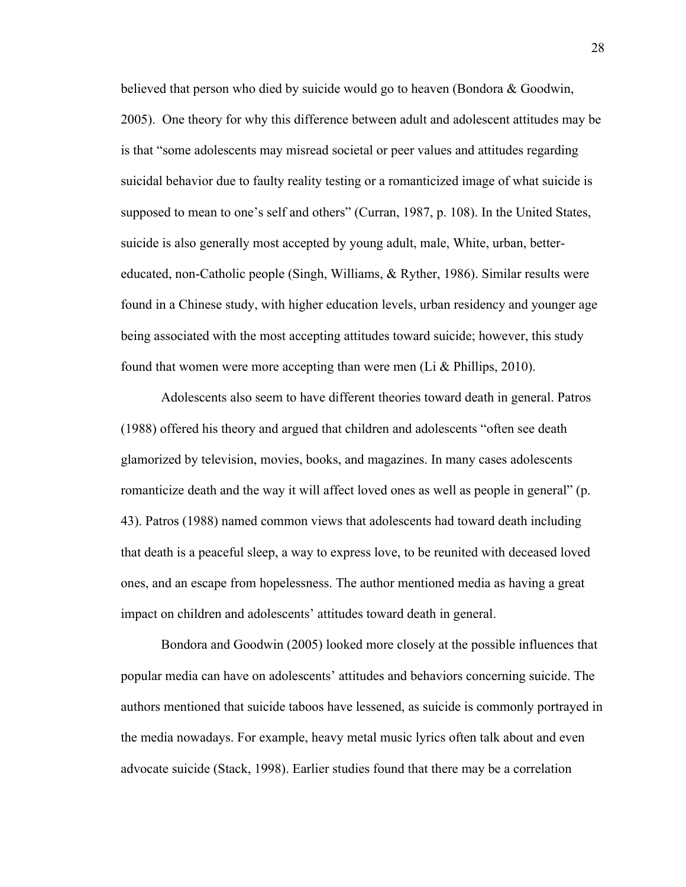believed that person who died by suicide would go to heaven (Bondora & Goodwin, 2005). One theory for why this difference between adult and adolescent attitudes may be is that "some adolescents may misread societal or peer values and attitudes regarding suicidal behavior due to faulty reality testing or a romanticized image of what suicide is supposed to mean to one's self and others" (Curran, 1987, p. 108). In the United States, suicide is also generally most accepted by young adult, male, White, urban, bettereducated, non-Catholic people (Singh, Williams, & Ryther, 1986). Similar results were found in a Chinese study, with higher education levels, urban residency and younger age being associated with the most accepting attitudes toward suicide; however, this study found that women were more accepting than were men (Li  $&$  Phillips, 2010).

Adolescents also seem to have different theories toward death in general. Patros (1988) offered his theory and argued that children and adolescents "often see death glamorized by television, movies, books, and magazines. In many cases adolescents romanticize death and the way it will affect loved ones as well as people in general" (p. 43). Patros (1988) named common views that adolescents had toward death including that death is a peaceful sleep, a way to express love, to be reunited with deceased loved ones, and an escape from hopelessness. The author mentioned media as having a great impact on children and adolescents' attitudes toward death in general.

Bondora and Goodwin (2005) looked more closely at the possible influences that popular media can have on adolescents' attitudes and behaviors concerning suicide. The authors mentioned that suicide taboos have lessened, as suicide is commonly portrayed in the media nowadays. For example, heavy metal music lyrics often talk about and even advocate suicide (Stack, 1998). Earlier studies found that there may be a correlation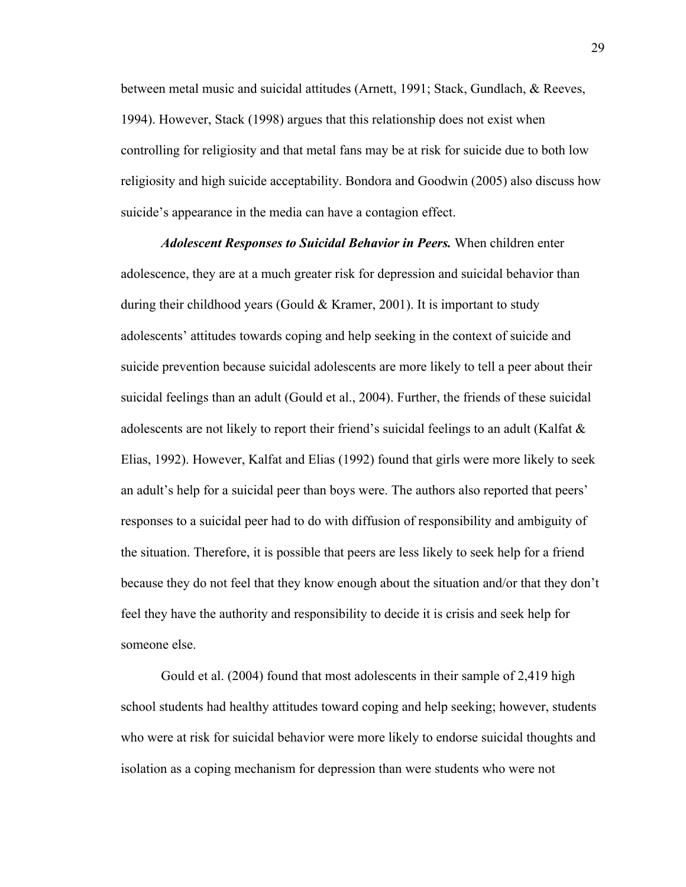between metal music and suicidal attitudes (Arnett, 1991; Stack, Gundlach, & Reeves, 1994). However, Stack (1998) argues that this relationship does not exist when controlling for religiosity and that metal fans may be at risk for suicide due to both low religiosity and high suicide acceptability. Bondora and Goodwin (2005) also discuss how suicide's appearance in the media can have a contagion effect.

*Adolescent Responses to Suicidal Behavior in Peers.* When children enter adolescence, they are at a much greater risk for depression and suicidal behavior than during their childhood years (Gould & Kramer, 2001). It is important to study adolescents' attitudes towards coping and help seeking in the context of suicide and suicide prevention because suicidal adolescents are more likely to tell a peer about their suicidal feelings than an adult (Gould et al., 2004). Further, the friends of these suicidal adolescents are not likely to report their friend's suicidal feelings to an adult (Kalfat  $\&$ Elias, 1992). However, Kalfat and Elias (1992) found that girls were more likely to seek an adult's help for a suicidal peer than boys were. The authors also reported that peers' responses to a suicidal peer had to do with diffusion of responsibility and ambiguity of the situation. Therefore, it is possible that peers are less likely to seek help for a friend because they do not feel that they know enough about the situation and/or that they don't feel they have the authority and responsibility to decide it is crisis and seek help for someone else.

Gould et al. (2004) found that most adolescents in their sample of 2,419 high school students had healthy attitudes toward coping and help seeking; however, students who were at risk for suicidal behavior were more likely to endorse suicidal thoughts and isolation as a coping mechanism for depression than were students who were not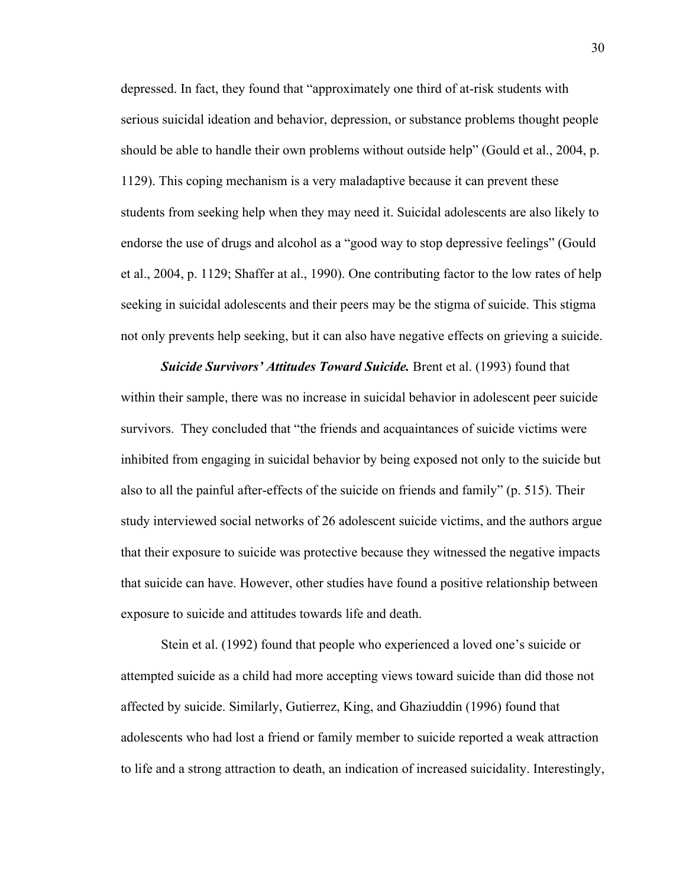depressed. In fact, they found that "approximately one third of at-risk students with serious suicidal ideation and behavior, depression, or substance problems thought people should be able to handle their own problems without outside help" (Gould et al., 2004, p. 1129). This coping mechanism is a very maladaptive because it can prevent these students from seeking help when they may need it. Suicidal adolescents are also likely to endorse the use of drugs and alcohol as a "good way to stop depressive feelings" (Gould et al., 2004, p. 1129; Shaffer at al., 1990). One contributing factor to the low rates of help seeking in suicidal adolescents and their peers may be the stigma of suicide. This stigma not only prevents help seeking, but it can also have negative effects on grieving a suicide.

*Suicide Survivors' Attitudes Toward Suicide.* Brent et al. (1993) found that within their sample, there was no increase in suicidal behavior in adolescent peer suicide survivors. They concluded that "the friends and acquaintances of suicide victims were inhibited from engaging in suicidal behavior by being exposed not only to the suicide but also to all the painful after-effects of the suicide on friends and family" (p. 515). Their study interviewed social networks of 26 adolescent suicide victims, and the authors argue that their exposure to suicide was protective because they witnessed the negative impacts that suicide can have. However, other studies have found a positive relationship between exposure to suicide and attitudes towards life and death.

Stein et al. (1992) found that people who experienced a loved one's suicide or attempted suicide as a child had more accepting views toward suicide than did those not affected by suicide. Similarly, Gutierrez, King, and Ghaziuddin (1996) found that adolescents who had lost a friend or family member to suicide reported a weak attraction to life and a strong attraction to death, an indication of increased suicidality. Interestingly,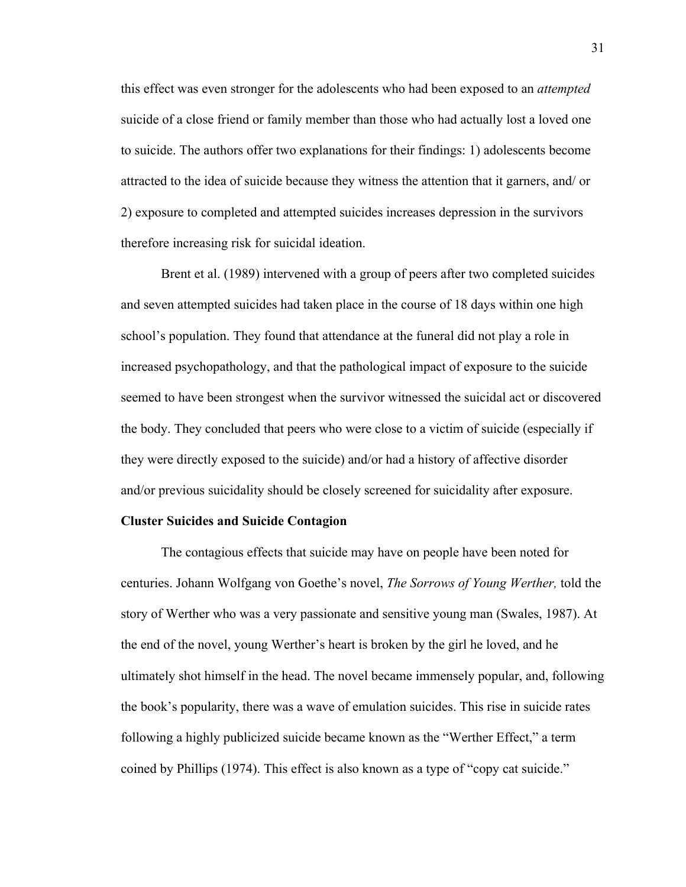this effect was even stronger for the adolescents who had been exposed to an *attempted*  suicide of a close friend or family member than those who had actually lost a loved one to suicide. The authors offer two explanations for their findings: 1) adolescents become attracted to the idea of suicide because they witness the attention that it garners, and/ or 2) exposure to completed and attempted suicides increases depression in the survivors therefore increasing risk for suicidal ideation.

Brent et al. (1989) intervened with a group of peers after two completed suicides and seven attempted suicides had taken place in the course of 18 days within one high school's population. They found that attendance at the funeral did not play a role in increased psychopathology, and that the pathological impact of exposure to the suicide seemed to have been strongest when the survivor witnessed the suicidal act or discovered the body. They concluded that peers who were close to a victim of suicide (especially if they were directly exposed to the suicide) and/or had a history of affective disorder and/or previous suicidality should be closely screened for suicidality after exposure.

### **Cluster Suicides and Suicide Contagion**

The contagious effects that suicide may have on people have been noted for centuries. Johann Wolfgang von Goethe's novel, *The Sorrows of Young Werther,* told the story of Werther who was a very passionate and sensitive young man (Swales, 1987). At the end of the novel, young Werther's heart is broken by the girl he loved, and he ultimately shot himself in the head. The novel became immensely popular, and, following the book's popularity, there was a wave of emulation suicides. This rise in suicide rates following a highly publicized suicide became known as the "Werther Effect," a term coined by Phillips (1974). This effect is also known as a type of "copy cat suicide."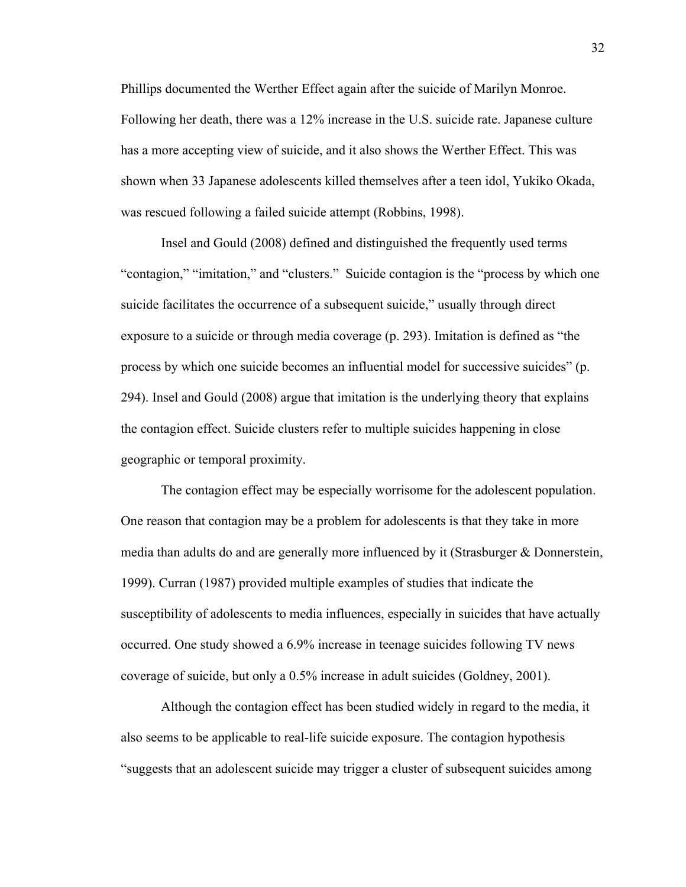Phillips documented the Werther Effect again after the suicide of Marilyn Monroe. Following her death, there was a 12% increase in the U.S. suicide rate. Japanese culture has a more accepting view of suicide, and it also shows the Werther Effect. This was shown when 33 Japanese adolescents killed themselves after a teen idol, Yukiko Okada, was rescued following a failed suicide attempt (Robbins, 1998).

Insel and Gould (2008) defined and distinguished the frequently used terms "contagion," "imitation," and "clusters." Suicide contagion is the "process by which one suicide facilitates the occurrence of a subsequent suicide," usually through direct exposure to a suicide or through media coverage (p. 293). Imitation is defined as "the process by which one suicide becomes an influential model for successive suicides" (p. 294). Insel and Gould (2008) argue that imitation is the underlying theory that explains the contagion effect. Suicide clusters refer to multiple suicides happening in close geographic or temporal proximity.

The contagion effect may be especially worrisome for the adolescent population. One reason that contagion may be a problem for adolescents is that they take in more media than adults do and are generally more influenced by it (Strasburger & Donnerstein, 1999). Curran (1987) provided multiple examples of studies that indicate the susceptibility of adolescents to media influences, especially in suicides that have actually occurred. One study showed a 6.9% increase in teenage suicides following TV news coverage of suicide, but only a 0.5% increase in adult suicides (Goldney, 2001).

Although the contagion effect has been studied widely in regard to the media, it also seems to be applicable to real-life suicide exposure. The contagion hypothesis "suggests that an adolescent suicide may trigger a cluster of subsequent suicides among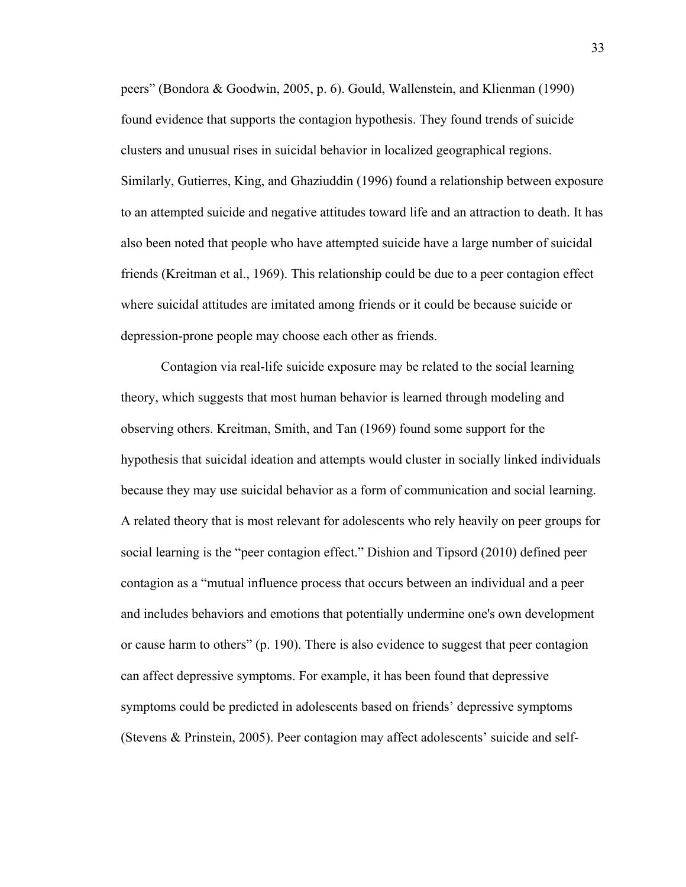peers" (Bondora & Goodwin, 2005, p. 6). Gould, Wallenstein, and Klienman (1990) found evidence that supports the contagion hypothesis. They found trends of suicide clusters and unusual rises in suicidal behavior in localized geographical regions. Similarly, Gutierres, King, and Ghaziuddin (1996) found a relationship between exposure to an attempted suicide and negative attitudes toward life and an attraction to death. It has also been noted that people who have attempted suicide have a large number of suicidal friends (Kreitman et al., 1969). This relationship could be due to a peer contagion effect where suicidal attitudes are imitated among friends or it could be because suicide or depression-prone people may choose each other as friends.

Contagion via real-life suicide exposure may be related to the social learning theory, which suggests that most human behavior is learned through modeling and observing others. Kreitman, Smith, and Tan (1969) found some support for the hypothesis that suicidal ideation and attempts would cluster in socially linked individuals because they may use suicidal behavior as a form of communication and social learning. A related theory that is most relevant for adolescents who rely heavily on peer groups for social learning is the "peer contagion effect." Dishion and Tipsord (2010) defined peer contagion as a "mutual influence process that occurs between an individual and a peer and includes behaviors and emotions that potentially undermine one's own development or cause harm to others" (p. 190). There is also evidence to suggest that peer contagion can affect depressive symptoms. For example, it has been found that depressive symptoms could be predicted in adolescents based on friends' depressive symptoms (Stevens & Prinstein, 2005). Peer contagion may affect adolescents' suicide and self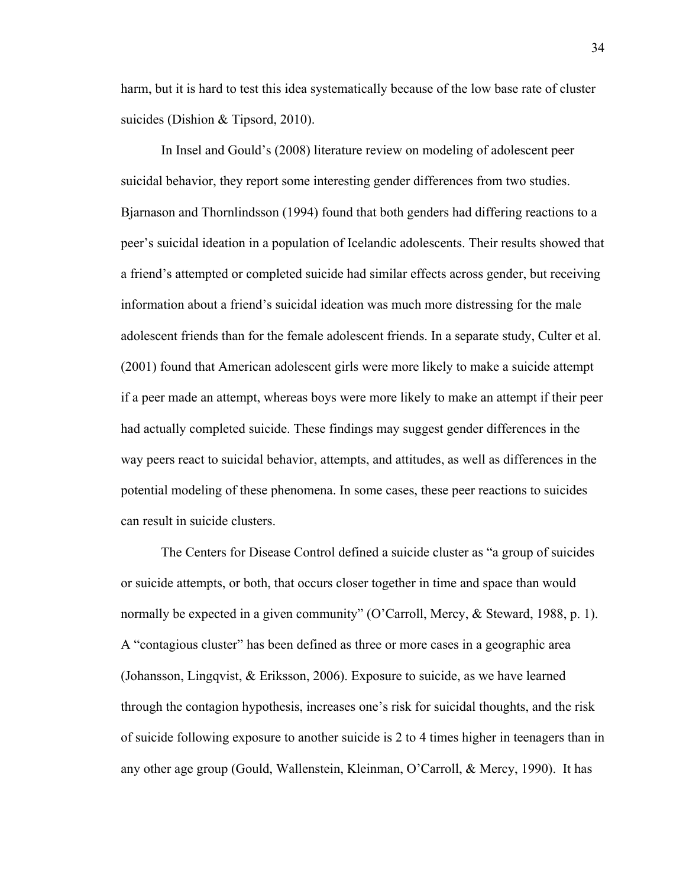harm, but it is hard to test this idea systematically because of the low base rate of cluster suicides (Dishion & Tipsord, 2010).

In Insel and Gould's (2008) literature review on modeling of adolescent peer suicidal behavior, they report some interesting gender differences from two studies. Bjarnason and Thornlindsson (1994) found that both genders had differing reactions to a peer's suicidal ideation in a population of Icelandic adolescents. Their results showed that a friend's attempted or completed suicide had similar effects across gender, but receiving information about a friend's suicidal ideation was much more distressing for the male adolescent friends than for the female adolescent friends. In a separate study, Culter et al. (2001) found that American adolescent girls were more likely to make a suicide attempt if a peer made an attempt, whereas boys were more likely to make an attempt if their peer had actually completed suicide. These findings may suggest gender differences in the way peers react to suicidal behavior, attempts, and attitudes, as well as differences in the potential modeling of these phenomena. In some cases, these peer reactions to suicides can result in suicide clusters.

The Centers for Disease Control defined a suicide cluster as "a group of suicides or suicide attempts, or both, that occurs closer together in time and space than would normally be expected in a given community" (O'Carroll, Mercy, & Steward, 1988, p. 1). A "contagious cluster" has been defined as three or more cases in a geographic area (Johansson, Lingqvist, & Eriksson, 2006). Exposure to suicide, as we have learned through the contagion hypothesis, increases one's risk for suicidal thoughts, and the risk of suicide following exposure to another suicide is 2 to 4 times higher in teenagers than in any other age group (Gould, Wallenstein, Kleinman, O'Carroll, & Mercy, 1990). It has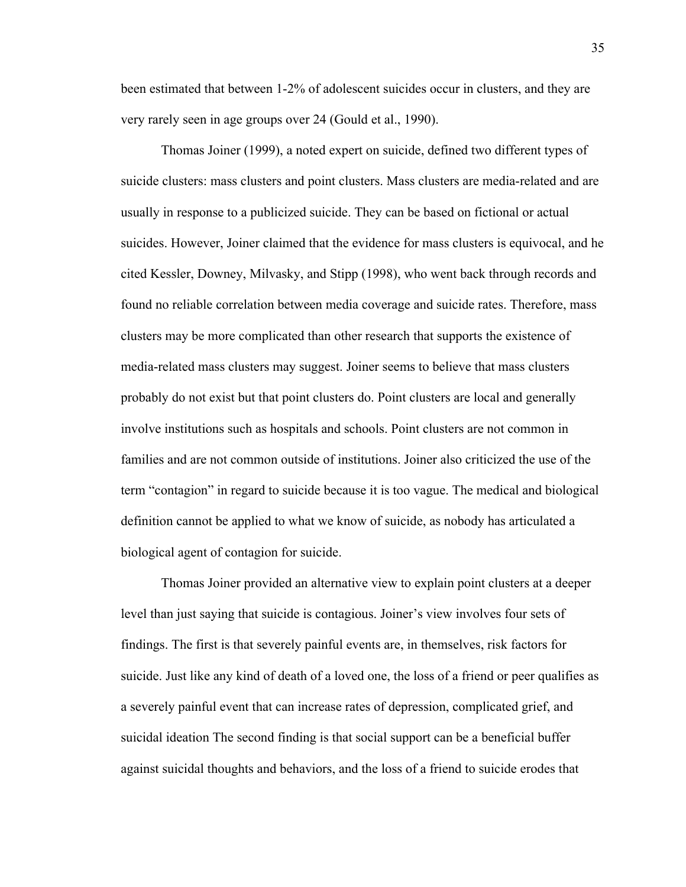been estimated that between 1-2% of adolescent suicides occur in clusters, and they are very rarely seen in age groups over 24 (Gould et al., 1990).

Thomas Joiner (1999), a noted expert on suicide, defined two different types of suicide clusters: mass clusters and point clusters. Mass clusters are media-related and are usually in response to a publicized suicide. They can be based on fictional or actual suicides. However, Joiner claimed that the evidence for mass clusters is equivocal, and he cited Kessler, Downey, Milvasky, and Stipp (1998), who went back through records and found no reliable correlation between media coverage and suicide rates. Therefore, mass clusters may be more complicated than other research that supports the existence of media-related mass clusters may suggest. Joiner seems to believe that mass clusters probably do not exist but that point clusters do. Point clusters are local and generally involve institutions such as hospitals and schools. Point clusters are not common in families and are not common outside of institutions. Joiner also criticized the use of the term "contagion" in regard to suicide because it is too vague. The medical and biological definition cannot be applied to what we know of suicide, as nobody has articulated a biological agent of contagion for suicide.

Thomas Joiner provided an alternative view to explain point clusters at a deeper level than just saying that suicide is contagious. Joiner's view involves four sets of findings. The first is that severely painful events are, in themselves, risk factors for suicide. Just like any kind of death of a loved one, the loss of a friend or peer qualifies as a severely painful event that can increase rates of depression, complicated grief, and suicidal ideation The second finding is that social support can be a beneficial buffer against suicidal thoughts and behaviors, and the loss of a friend to suicide erodes that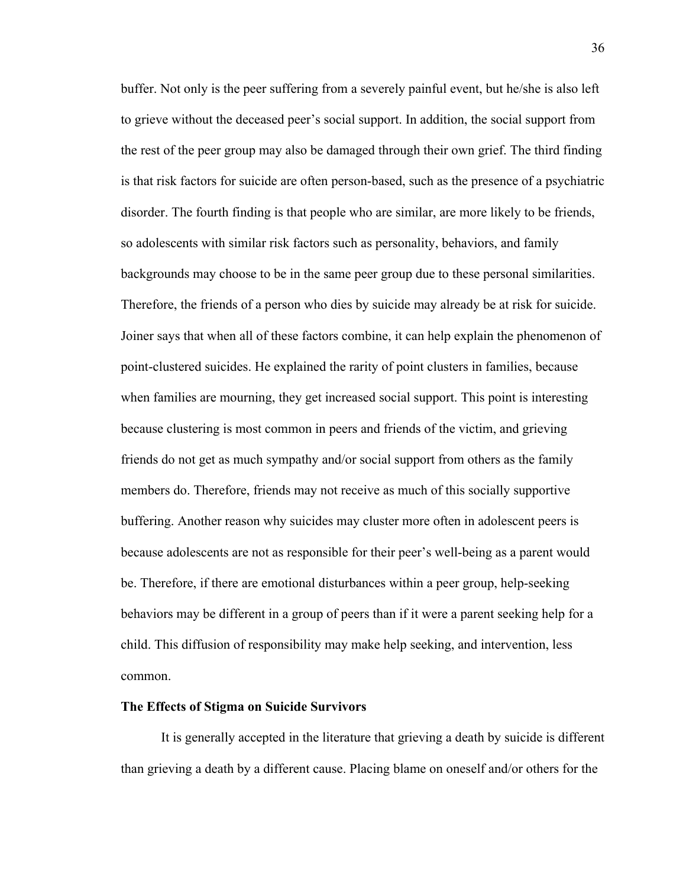buffer. Not only is the peer suffering from a severely painful event, but he/she is also left to grieve without the deceased peer's social support. In addition, the social support from the rest of the peer group may also be damaged through their own grief. The third finding is that risk factors for suicide are often person-based, such as the presence of a psychiatric disorder. The fourth finding is that people who are similar, are more likely to be friends, so adolescents with similar risk factors such as personality, behaviors, and family backgrounds may choose to be in the same peer group due to these personal similarities. Therefore, the friends of a person who dies by suicide may already be at risk for suicide. Joiner says that when all of these factors combine, it can help explain the phenomenon of point-clustered suicides. He explained the rarity of point clusters in families, because when families are mourning, they get increased social support. This point is interesting because clustering is most common in peers and friends of the victim, and grieving friends do not get as much sympathy and/or social support from others as the family members do. Therefore, friends may not receive as much of this socially supportive buffering. Another reason why suicides may cluster more often in adolescent peers is because adolescents are not as responsible for their peer's well-being as a parent would be. Therefore, if there are emotional disturbances within a peer group, help-seeking behaviors may be different in a group of peers than if it were a parent seeking help for a child. This diffusion of responsibility may make help seeking, and intervention, less common.

#### **The Effects of Stigma on Suicide Survivors**

It is generally accepted in the literature that grieving a death by suicide is different than grieving a death by a different cause. Placing blame on oneself and/or others for the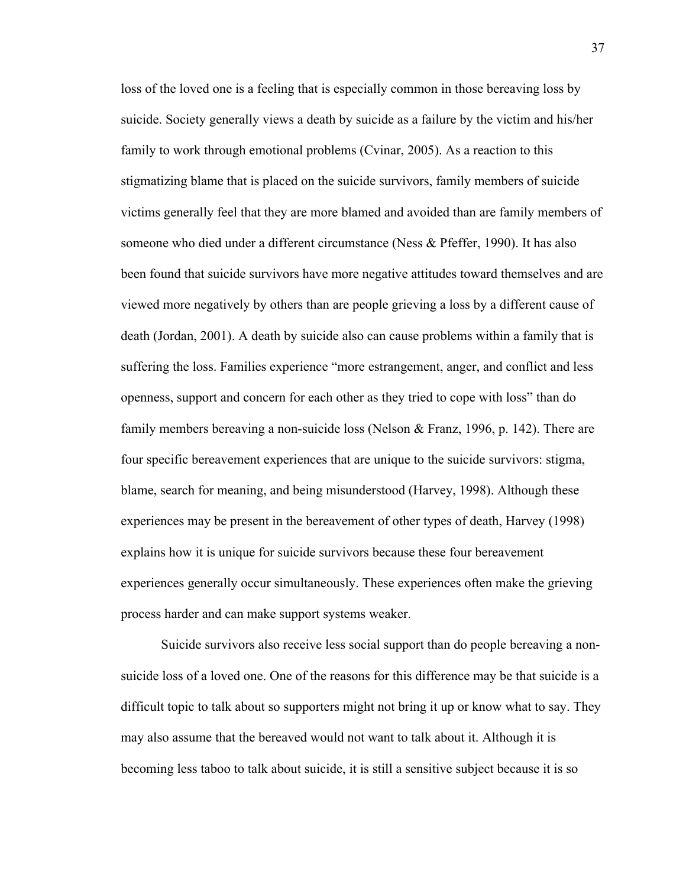loss of the loved one is a feeling that is especially common in those bereaving loss by suicide. Society generally views a death by suicide as a failure by the victim and his/her family to work through emotional problems (Cvinar, 2005). As a reaction to this stigmatizing blame that is placed on the suicide survivors, family members of suicide victims generally feel that they are more blamed and avoided than are family members of someone who died under a different circumstance (Ness & Pfeffer, 1990). It has also been found that suicide survivors have more negative attitudes toward themselves and are viewed more negatively by others than are people grieving a loss by a different cause of death (Jordan, 2001). A death by suicide also can cause problems within a family that is suffering the loss. Families experience "more estrangement, anger, and conflict and less openness, support and concern for each other as they tried to cope with loss" than do family members bereaving a non-suicide loss (Nelson  $\&$  Franz, 1996, p. 142). There are four specific bereavement experiences that are unique to the suicide survivors: stigma, blame, search for meaning, and being misunderstood (Harvey, 1998). Although these experiences may be present in the bereavement of other types of death, Harvey (1998) explains how it is unique for suicide survivors because these four bereavement experiences generally occur simultaneously. These experiences often make the grieving process harder and can make support systems weaker.

Suicide survivors also receive less social support than do people bereaving a nonsuicide loss of a loved one. One of the reasons for this difference may be that suicide is a difficult topic to talk about so supporters might not bring it up or know what to say. They may also assume that the bereaved would not want to talk about it. Although it is becoming less taboo to talk about suicide, it is still a sensitive subject because it is so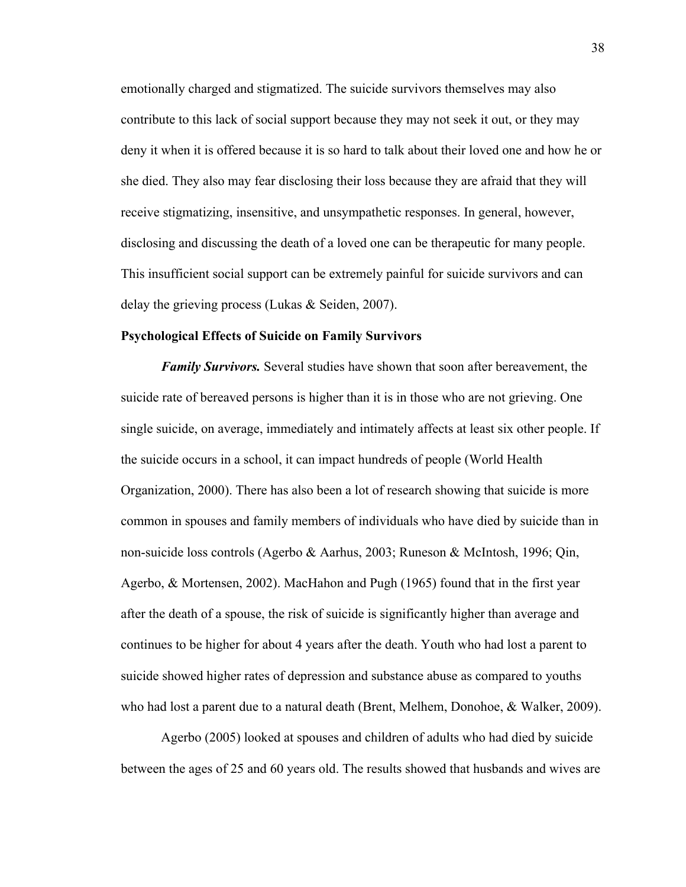emotionally charged and stigmatized. The suicide survivors themselves may also contribute to this lack of social support because they may not seek it out, or they may deny it when it is offered because it is so hard to talk about their loved one and how he or she died. They also may fear disclosing their loss because they are afraid that they will receive stigmatizing, insensitive, and unsympathetic responses. In general, however, disclosing and discussing the death of a loved one can be therapeutic for many people. This insufficient social support can be extremely painful for suicide survivors and can delay the grieving process (Lukas & Seiden, 2007).

#### **Psychological Effects of Suicide on Family Survivors**

*Family Survivors.* Several studies have shown that soon after bereavement, the suicide rate of bereaved persons is higher than it is in those who are not grieving. One single suicide, on average, immediately and intimately affects at least six other people. If the suicide occurs in a school, it can impact hundreds of people (World Health Organization, 2000). There has also been a lot of research showing that suicide is more common in spouses and family members of individuals who have died by suicide than in non-suicide loss controls (Agerbo & Aarhus, 2003; Runeson & McIntosh, 1996; Qin, Agerbo, & Mortensen, 2002). MacHahon and Pugh (1965) found that in the first year after the death of a spouse, the risk of suicide is significantly higher than average and continues to be higher for about 4 years after the death. Youth who had lost a parent to suicide showed higher rates of depression and substance abuse as compared to youths who had lost a parent due to a natural death (Brent, Melhem, Donohoe, & Walker, 2009).

Agerbo (2005) looked at spouses and children of adults who had died by suicide between the ages of 25 and 60 years old. The results showed that husbands and wives are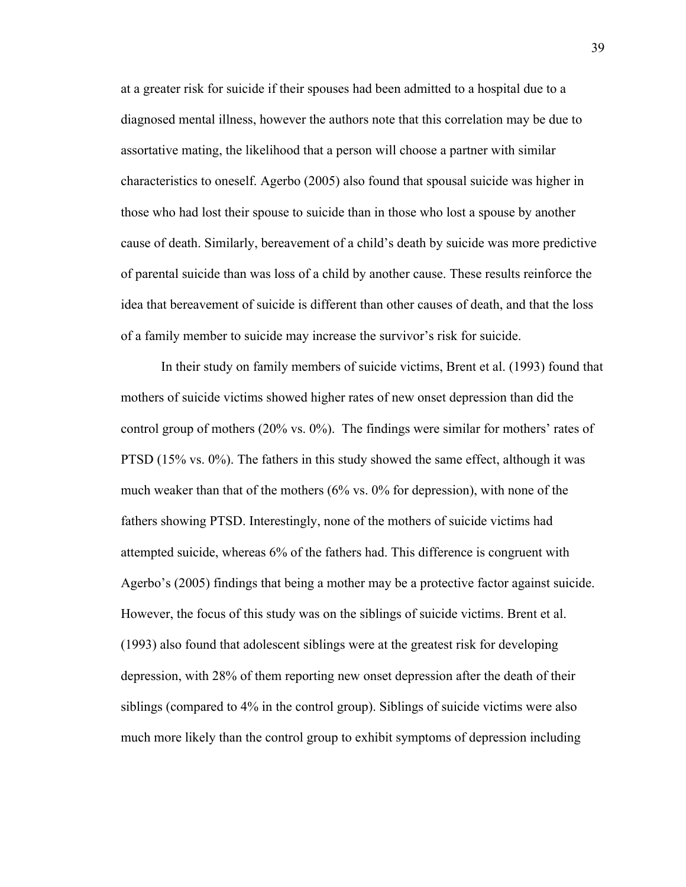at a greater risk for suicide if their spouses had been admitted to a hospital due to a diagnosed mental illness, however the authors note that this correlation may be due to assortative mating, the likelihood that a person will choose a partner with similar characteristics to oneself. Agerbo (2005) also found that spousal suicide was higher in those who had lost their spouse to suicide than in those who lost a spouse by another cause of death. Similarly, bereavement of a child's death by suicide was more predictive of parental suicide than was loss of a child by another cause. These results reinforce the idea that bereavement of suicide is different than other causes of death, and that the loss of a family member to suicide may increase the survivor's risk for suicide.

In their study on family members of suicide victims, Brent et al. (1993) found that mothers of suicide victims showed higher rates of new onset depression than did the control group of mothers (20% vs. 0%). The findings were similar for mothers' rates of PTSD (15% vs. 0%). The fathers in this study showed the same effect, although it was much weaker than that of the mothers (6% vs. 0% for depression), with none of the fathers showing PTSD. Interestingly, none of the mothers of suicide victims had attempted suicide, whereas 6% of the fathers had. This difference is congruent with Agerbo's (2005) findings that being a mother may be a protective factor against suicide. However, the focus of this study was on the siblings of suicide victims. Brent et al. (1993) also found that adolescent siblings were at the greatest risk for developing depression, with 28% of them reporting new onset depression after the death of their siblings (compared to 4% in the control group). Siblings of suicide victims were also much more likely than the control group to exhibit symptoms of depression including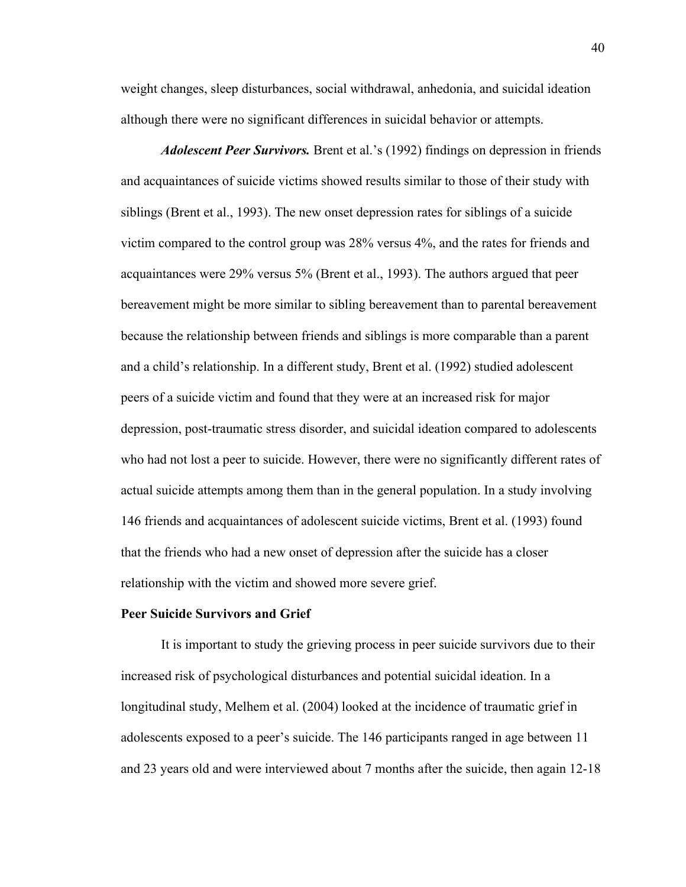weight changes, sleep disturbances, social withdrawal, anhedonia, and suicidal ideation although there were no significant differences in suicidal behavior or attempts.

*Adolescent Peer Survivors.* Brent et al.'s (1992) findings on depression in friends and acquaintances of suicide victims showed results similar to those of their study with siblings (Brent et al., 1993). The new onset depression rates for siblings of a suicide victim compared to the control group was 28% versus 4%, and the rates for friends and acquaintances were 29% versus 5% (Brent et al., 1993). The authors argued that peer bereavement might be more similar to sibling bereavement than to parental bereavement because the relationship between friends and siblings is more comparable than a parent and a child's relationship. In a different study, Brent et al. (1992) studied adolescent peers of a suicide victim and found that they were at an increased risk for major depression, post-traumatic stress disorder, and suicidal ideation compared to adolescents who had not lost a peer to suicide. However, there were no significantly different rates of actual suicide attempts among them than in the general population. In a study involving 146 friends and acquaintances of adolescent suicide victims, Brent et al. (1993) found that the friends who had a new onset of depression after the suicide has a closer relationship with the victim and showed more severe grief.

#### **Peer Suicide Survivors and Grief**

It is important to study the grieving process in peer suicide survivors due to their increased risk of psychological disturbances and potential suicidal ideation. In a longitudinal study, Melhem et al. (2004) looked at the incidence of traumatic grief in adolescents exposed to a peer's suicide. The 146 participants ranged in age between 11 and 23 years old and were interviewed about 7 months after the suicide, then again 12-18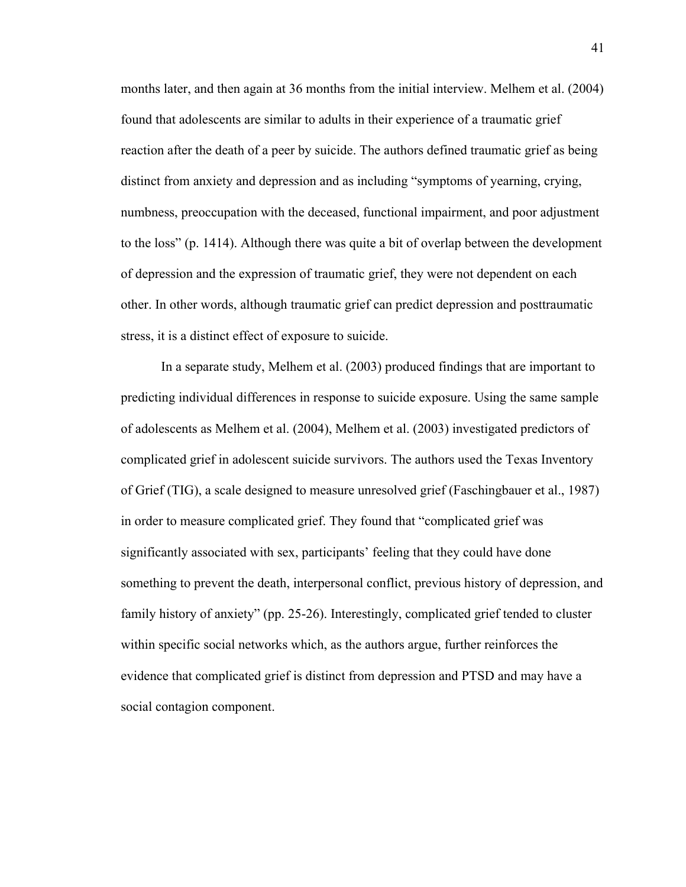months later, and then again at 36 months from the initial interview. Melhem et al. (2004) found that adolescents are similar to adults in their experience of a traumatic grief reaction after the death of a peer by suicide. The authors defined traumatic grief as being distinct from anxiety and depression and as including "symptoms of yearning, crying, numbness, preoccupation with the deceased, functional impairment, and poor adjustment to the loss" (p. 1414). Although there was quite a bit of overlap between the development of depression and the expression of traumatic grief, they were not dependent on each other. In other words, although traumatic grief can predict depression and posttraumatic stress, it is a distinct effect of exposure to suicide.

In a separate study, Melhem et al. (2003) produced findings that are important to predicting individual differences in response to suicide exposure. Using the same sample of adolescents as Melhem et al. (2004), Melhem et al. (2003) investigated predictors of complicated grief in adolescent suicide survivors. The authors used the Texas Inventory of Grief (TIG), a scale designed to measure unresolved grief (Faschingbauer et al., 1987) in order to measure complicated grief. They found that "complicated grief was significantly associated with sex, participants' feeling that they could have done something to prevent the death, interpersonal conflict, previous history of depression, and family history of anxiety" (pp. 25-26). Interestingly, complicated grief tended to cluster within specific social networks which, as the authors argue, further reinforces the evidence that complicated grief is distinct from depression and PTSD and may have a social contagion component.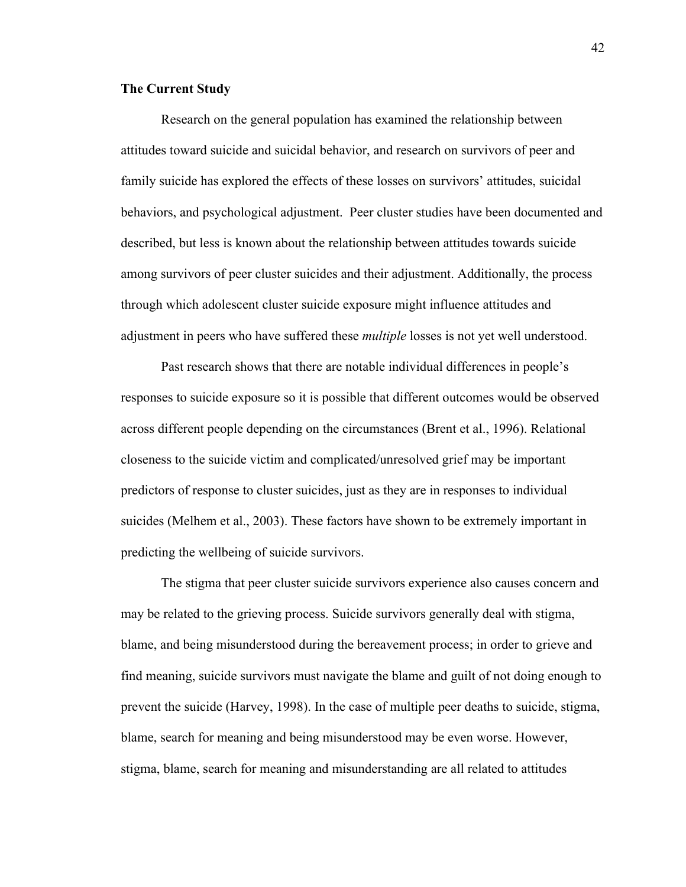#### **The Current Study**

Research on the general population has examined the relationship between attitudes toward suicide and suicidal behavior, and research on survivors of peer and family suicide has explored the effects of these losses on survivors' attitudes, suicidal behaviors, and psychological adjustment. Peer cluster studies have been documented and described, but less is known about the relationship between attitudes towards suicide among survivors of peer cluster suicides and their adjustment. Additionally, the process through which adolescent cluster suicide exposure might influence attitudes and adjustment in peers who have suffered these *multiple* losses is not yet well understood.

Past research shows that there are notable individual differences in people's responses to suicide exposure so it is possible that different outcomes would be observed across different people depending on the circumstances (Brent et al., 1996). Relational closeness to the suicide victim and complicated/unresolved grief may be important predictors of response to cluster suicides, just as they are in responses to individual suicides (Melhem et al., 2003). These factors have shown to be extremely important in predicting the wellbeing of suicide survivors.

The stigma that peer cluster suicide survivors experience also causes concern and may be related to the grieving process. Suicide survivors generally deal with stigma, blame, and being misunderstood during the bereavement process; in order to grieve and find meaning, suicide survivors must navigate the blame and guilt of not doing enough to prevent the suicide (Harvey, 1998). In the case of multiple peer deaths to suicide, stigma, blame, search for meaning and being misunderstood may be even worse. However, stigma, blame, search for meaning and misunderstanding are all related to attitudes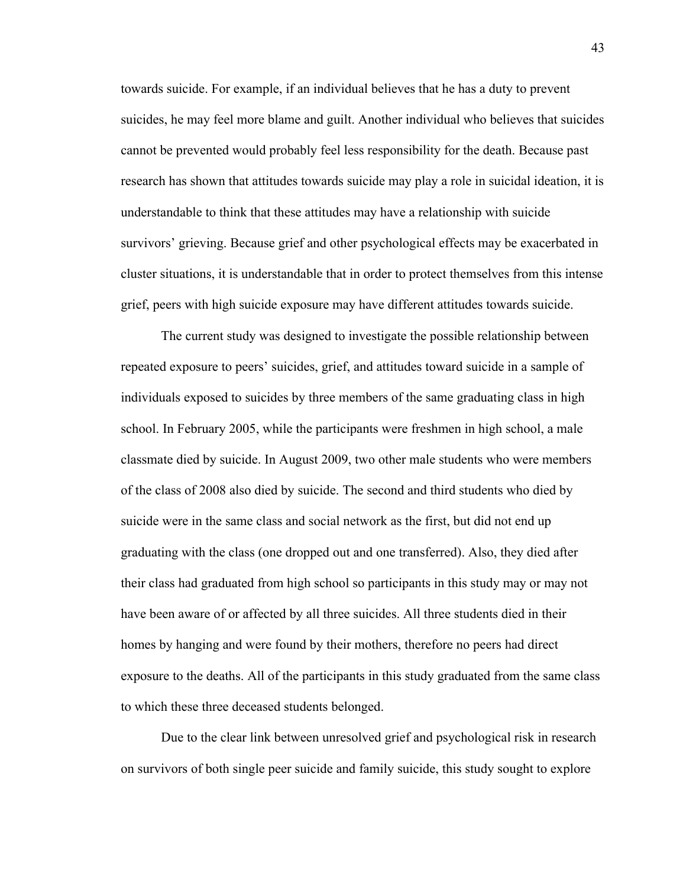towards suicide. For example, if an individual believes that he has a duty to prevent suicides, he may feel more blame and guilt. Another individual who believes that suicides cannot be prevented would probably feel less responsibility for the death. Because past research has shown that attitudes towards suicide may play a role in suicidal ideation, it is understandable to think that these attitudes may have a relationship with suicide survivors' grieving. Because grief and other psychological effects may be exacerbated in cluster situations, it is understandable that in order to protect themselves from this intense grief, peers with high suicide exposure may have different attitudes towards suicide.

The current study was designed to investigate the possible relationship between repeated exposure to peers' suicides, grief, and attitudes toward suicide in a sample of individuals exposed to suicides by three members of the same graduating class in high school. In February 2005, while the participants were freshmen in high school, a male classmate died by suicide. In August 2009, two other male students who were members of the class of 2008 also died by suicide. The second and third students who died by suicide were in the same class and social network as the first, but did not end up graduating with the class (one dropped out and one transferred). Also, they died after their class had graduated from high school so participants in this study may or may not have been aware of or affected by all three suicides. All three students died in their homes by hanging and were found by their mothers, therefore no peers had direct exposure to the deaths. All of the participants in this study graduated from the same class to which these three deceased students belonged.

Due to the clear link between unresolved grief and psychological risk in research on survivors of both single peer suicide and family suicide, this study sought to explore

43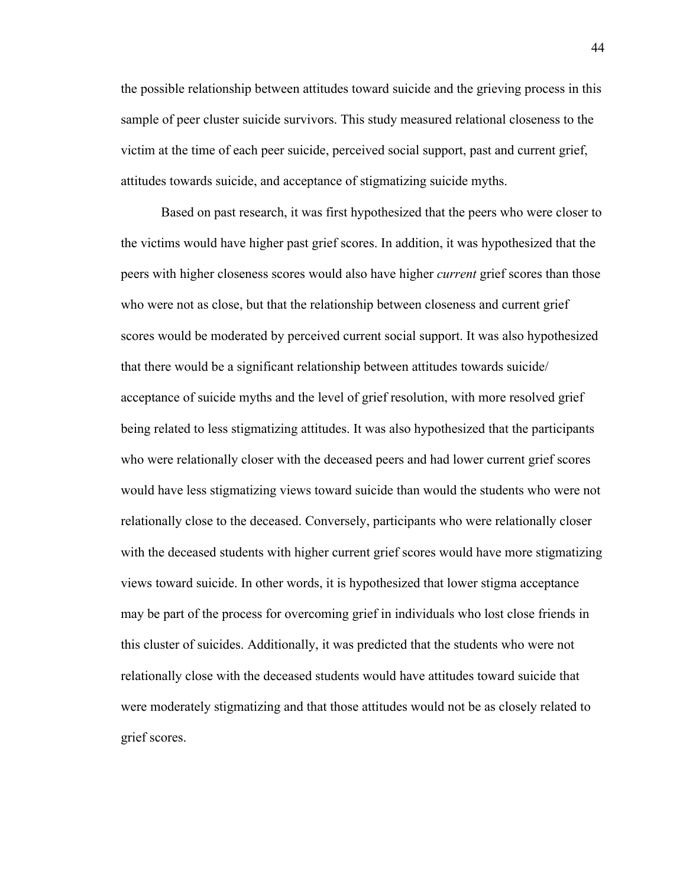the possible relationship between attitudes toward suicide and the grieving process in this sample of peer cluster suicide survivors. This study measured relational closeness to the victim at the time of each peer suicide, perceived social support, past and current grief, attitudes towards suicide, and acceptance of stigmatizing suicide myths.

Based on past research, it was first hypothesized that the peers who were closer to the victims would have higher past grief scores. In addition, it was hypothesized that the peers with higher closeness scores would also have higher *current* grief scores than those who were not as close, but that the relationship between closeness and current grief scores would be moderated by perceived current social support. It was also hypothesized that there would be a significant relationship between attitudes towards suicide/ acceptance of suicide myths and the level of grief resolution, with more resolved grief being related to less stigmatizing attitudes. It was also hypothesized that the participants who were relationally closer with the deceased peers and had lower current grief scores would have less stigmatizing views toward suicide than would the students who were not relationally close to the deceased. Conversely, participants who were relationally closer with the deceased students with higher current grief scores would have more stigmatizing views toward suicide. In other words, it is hypothesized that lower stigma acceptance may be part of the process for overcoming grief in individuals who lost close friends in this cluster of suicides. Additionally, it was predicted that the students who were not relationally close with the deceased students would have attitudes toward suicide that were moderately stigmatizing and that those attitudes would not be as closely related to grief scores.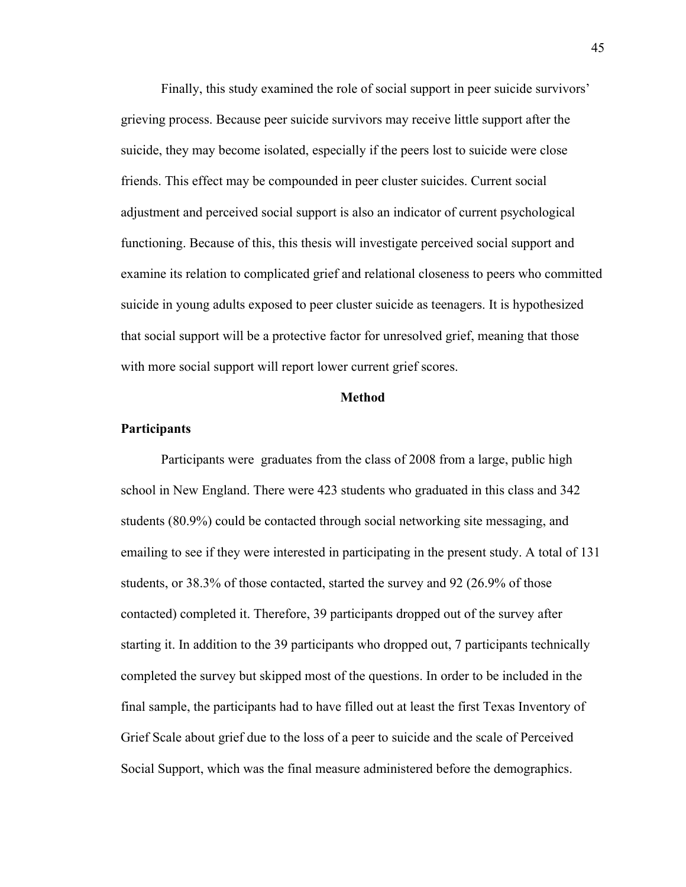Finally, this study examined the role of social support in peer suicide survivors' grieving process. Because peer suicide survivors may receive little support after the suicide, they may become isolated, especially if the peers lost to suicide were close friends. This effect may be compounded in peer cluster suicides. Current social adjustment and perceived social support is also an indicator of current psychological functioning. Because of this, this thesis will investigate perceived social support and examine its relation to complicated grief and relational closeness to peers who committed suicide in young adults exposed to peer cluster suicide as teenagers. It is hypothesized that social support will be a protective factor for unresolved grief, meaning that those with more social support will report lower current grief scores.

#### **Method**

#### **Participants**

Participants were graduates from the class of 2008 from a large, public high school in New England. There were 423 students who graduated in this class and 342 students (80.9%) could be contacted through social networking site messaging, and emailing to see if they were interested in participating in the present study. A total of 131 students, or 38.3% of those contacted, started the survey and 92 (26.9% of those contacted) completed it. Therefore, 39 participants dropped out of the survey after starting it. In addition to the 39 participants who dropped out, 7 participants technically completed the survey but skipped most of the questions. In order to be included in the final sample, the participants had to have filled out at least the first Texas Inventory of Grief Scale about grief due to the loss of a peer to suicide and the scale of Perceived Social Support, which was the final measure administered before the demographics.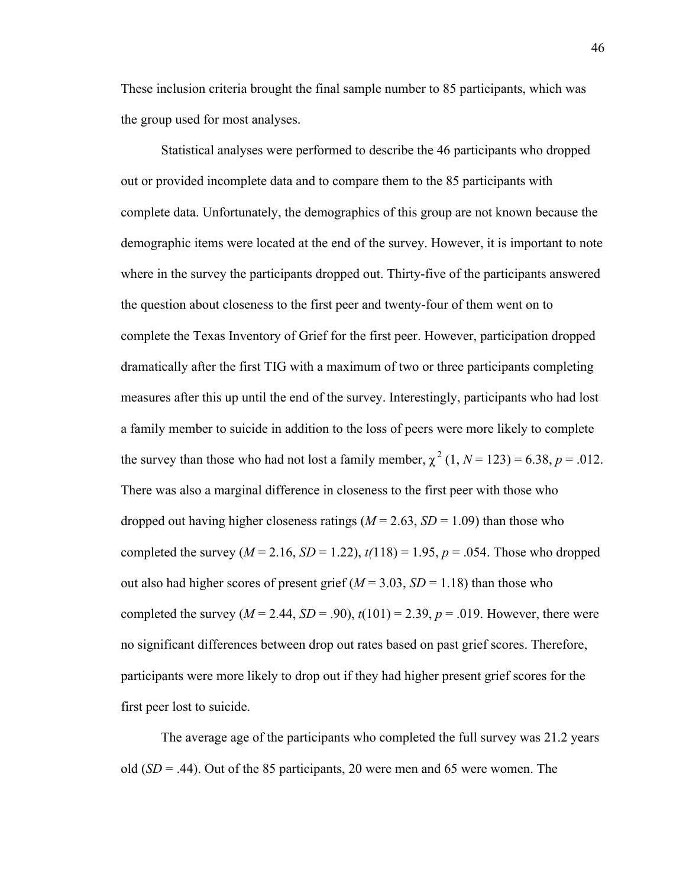These inclusion criteria brought the final sample number to 85 participants, which was the group used for most analyses.

Statistical analyses were performed to describe the 46 participants who dropped out or provided incomplete data and to compare them to the 85 participants with complete data. Unfortunately, the demographics of this group are not known because the demographic items were located at the end of the survey. However, it is important to note where in the survey the participants dropped out. Thirty-five of the participants answered the question about closeness to the first peer and twenty-four of them went on to complete the Texas Inventory of Grief for the first peer. However, participation dropped dramatically after the first TIG with a maximum of two or three participants completing measures after this up until the end of the survey. Interestingly, participants who had lost a family member to suicide in addition to the loss of peers were more likely to complete the survey than those who had not lost a family member,  $\chi^2$  (1, *N* = 123) = 6.38, *p* = .012. There was also a marginal difference in closeness to the first peer with those who dropped out having higher closeness ratings  $(M = 2.63, SD = 1.09)$  than those who completed the survey  $(M = 2.16, SD = 1.22)$ ,  $t(118) = 1.95$ ,  $p = .054$ . Those who dropped out also had higher scores of present grief  $(M = 3.03, SD = 1.18)$  than those who completed the survey  $(M = 2.44, SD = .90)$ ,  $t(101) = 2.39, p = .019$ . However, there were no significant differences between drop out rates based on past grief scores. Therefore, participants were more likely to drop out if they had higher present grief scores for the first peer lost to suicide.

The average age of the participants who completed the full survey was 21.2 years old (*SD* = .44). Out of the 85 participants, 20 were men and 65 were women. The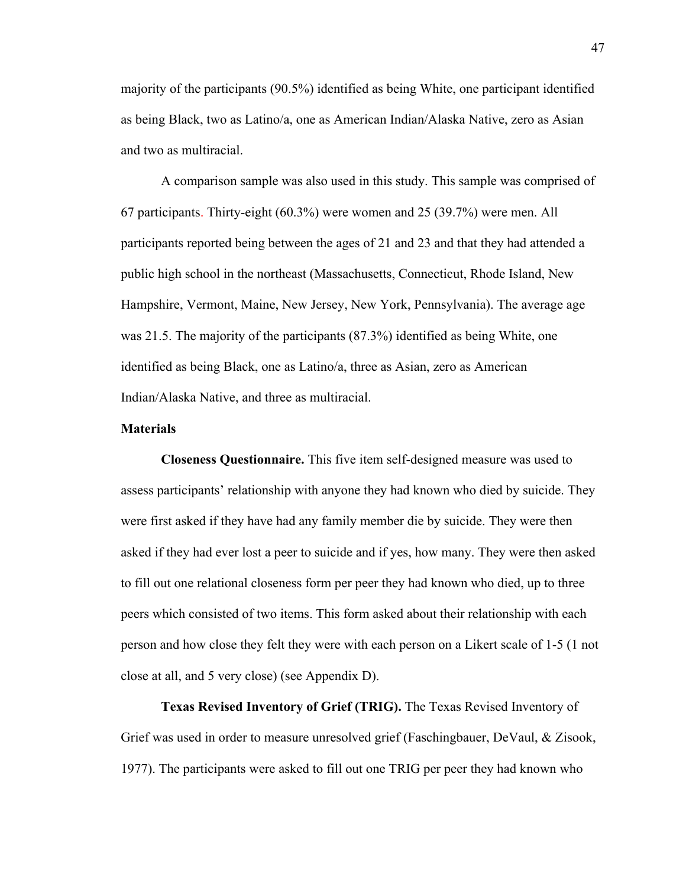majority of the participants (90.5%) identified as being White, one participant identified as being Black, two as Latino/a, one as American Indian/Alaska Native, zero as Asian and two as multiracial.

A comparison sample was also used in this study. This sample was comprised of 67 participants. Thirty-eight (60.3%) were women and 25 (39.7%) were men. All participants reported being between the ages of 21 and 23 and that they had attended a public high school in the northeast (Massachusetts, Connecticut, Rhode Island, New Hampshire, Vermont, Maine, New Jersey, New York, Pennsylvania). The average age was 21.5. The majority of the participants (87.3%) identified as being White, one identified as being Black, one as Latino/a, three as Asian, zero as American Indian/Alaska Native, and three as multiracial.

#### **Materials**

**Closeness Questionnaire.** This five item self-designed measure was used to assess participants' relationship with anyone they had known who died by suicide. They were first asked if they have had any family member die by suicide. They were then asked if they had ever lost a peer to suicide and if yes, how many. They were then asked to fill out one relational closeness form per peer they had known who died, up to three peers which consisted of two items. This form asked about their relationship with each person and how close they felt they were with each person on a Likert scale of 1-5 (1 not close at all, and 5 very close) (see Appendix D).

**Texas Revised Inventory of Grief (TRIG).** The Texas Revised Inventory of Grief was used in order to measure unresolved grief (Faschingbauer, DeVaul, & Zisook, 1977). The participants were asked to fill out one TRIG per peer they had known who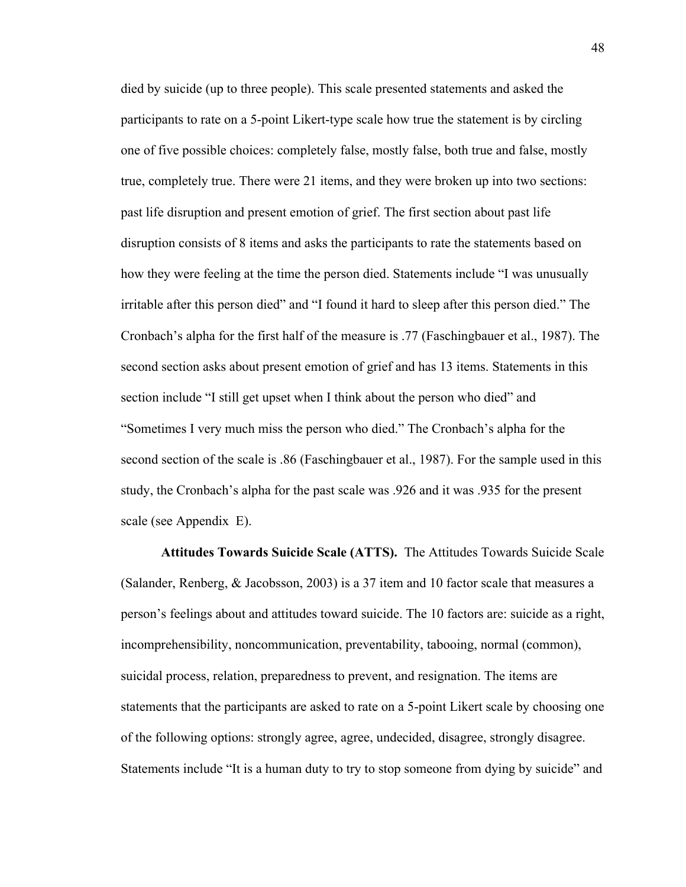died by suicide (up to three people). This scale presented statements and asked the participants to rate on a 5-point Likert-type scale how true the statement is by circling one of five possible choices: completely false, mostly false, both true and false, mostly true, completely true. There were 21 items, and they were broken up into two sections: past life disruption and present emotion of grief. The first section about past life disruption consists of 8 items and asks the participants to rate the statements based on how they were feeling at the time the person died. Statements include "I was unusually irritable after this person died" and "I found it hard to sleep after this person died." The Cronbach's alpha for the first half of the measure is .77 (Faschingbauer et al., 1987). The second section asks about present emotion of grief and has 13 items. Statements in this section include "I still get upset when I think about the person who died" and "Sometimes I very much miss the person who died." The Cronbach's alpha for the second section of the scale is .86 (Faschingbauer et al., 1987). For the sample used in this study, the Cronbach's alpha for the past scale was .926 and it was .935 for the present scale (see Appendix E).

**Attitudes Towards Suicide Scale (ATTS).** The Attitudes Towards Suicide Scale (Salander, Renberg, & Jacobsson, 2003) is a 37 item and 10 factor scale that measures a person's feelings about and attitudes toward suicide. The 10 factors are: suicide as a right, incomprehensibility, noncommunication, preventability, tabooing, normal (common), suicidal process, relation, preparedness to prevent, and resignation. The items are statements that the participants are asked to rate on a 5-point Likert scale by choosing one of the following options: strongly agree, agree, undecided, disagree, strongly disagree. Statements include "It is a human duty to try to stop someone from dying by suicide" and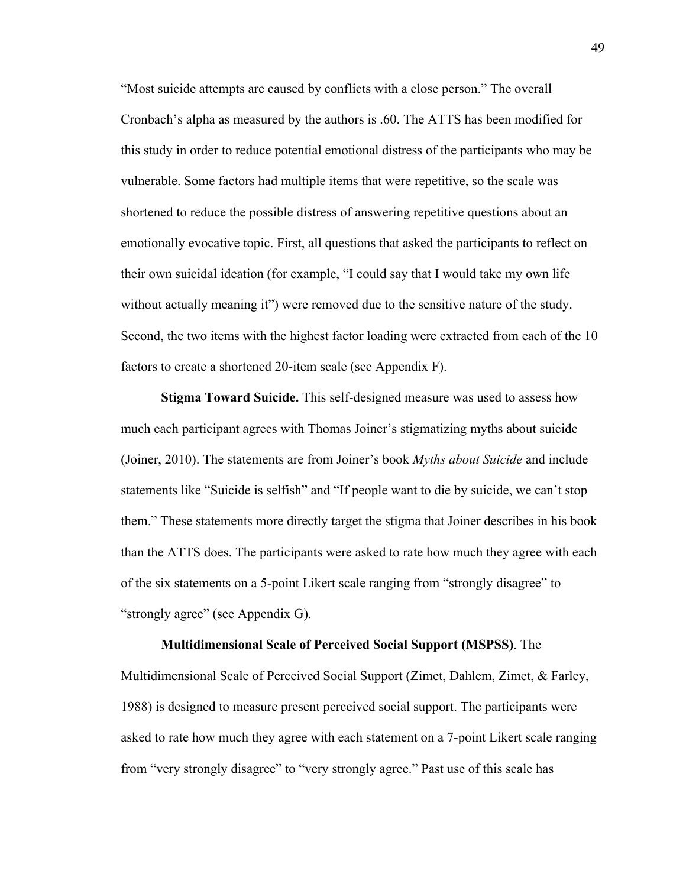"Most suicide attempts are caused by conflicts with a close person." The overall Cronbach's alpha as measured by the authors is .60. The ATTS has been modified for this study in order to reduce potential emotional distress of the participants who may be vulnerable. Some factors had multiple items that were repetitive, so the scale was shortened to reduce the possible distress of answering repetitive questions about an emotionally evocative topic. First, all questions that asked the participants to reflect on their own suicidal ideation (for example, "I could say that I would take my own life without actually meaning it") were removed due to the sensitive nature of the study. Second, the two items with the highest factor loading were extracted from each of the 10 factors to create a shortened 20-item scale (see Appendix F).

**Stigma Toward Suicide.** This self-designed measure was used to assess how much each participant agrees with Thomas Joiner's stigmatizing myths about suicide (Joiner, 2010). The statements are from Joiner's book *Myths about Suicide* and include statements like "Suicide is selfish" and "If people want to die by suicide, we can't stop them." These statements more directly target the stigma that Joiner describes in his book than the ATTS does. The participants were asked to rate how much they agree with each of the six statements on a 5-point Likert scale ranging from "strongly disagree" to "strongly agree" (see Appendix G).

**Multidimensional Scale of Perceived Social Support (MSPSS)**. The Multidimensional Scale of Perceived Social Support (Zimet, Dahlem, Zimet, & Farley, 1988) is designed to measure present perceived social support. The participants were asked to rate how much they agree with each statement on a 7-point Likert scale ranging from "very strongly disagree" to "very strongly agree." Past use of this scale has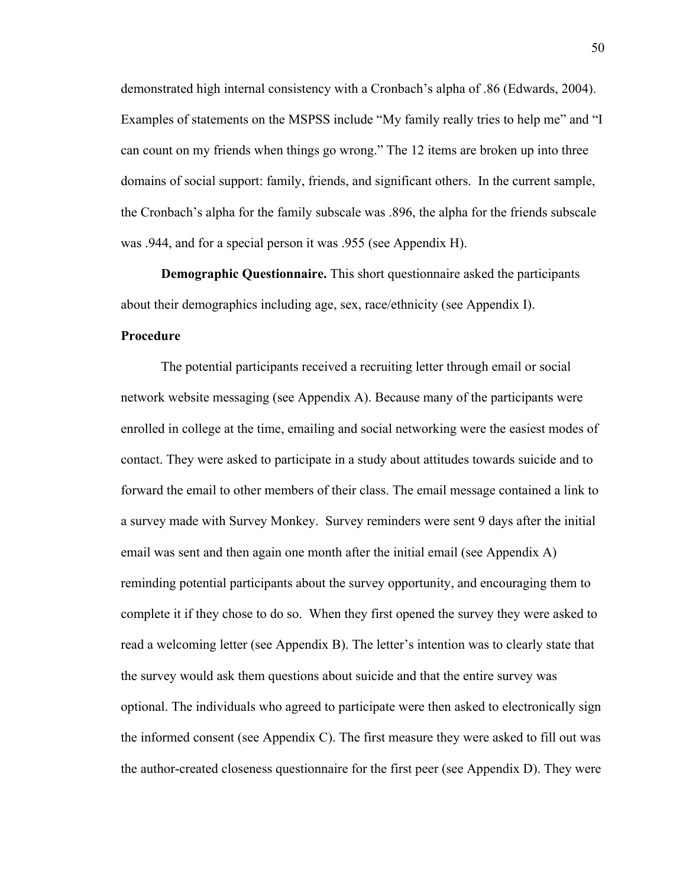demonstrated high internal consistency with a Cronbach's alpha of .86 (Edwards, 2004). Examples of statements on the MSPSS include "My family really tries to help me" and "I can count on my friends when things go wrong." The 12 items are broken up into three domains of social support: family, friends, and significant others. In the current sample, the Cronbach's alpha for the family subscale was .896, the alpha for the friends subscale was .944, and for a special person it was .955 (see Appendix H).

**Demographic Questionnaire.** This short questionnaire asked the participants about their demographics including age, sex, race/ethnicity (see Appendix I).

#### **Procedure**

The potential participants received a recruiting letter through email or social network website messaging (see Appendix A). Because many of the participants were enrolled in college at the time, emailing and social networking were the easiest modes of contact. They were asked to participate in a study about attitudes towards suicide and to forward the email to other members of their class. The email message contained a link to a survey made with Survey Monkey. Survey reminders were sent 9 days after the initial email was sent and then again one month after the initial email (see Appendix A) reminding potential participants about the survey opportunity, and encouraging them to complete it if they chose to do so. When they first opened the survey they were asked to read a welcoming letter (see Appendix B). The letter's intention was to clearly state that the survey would ask them questions about suicide and that the entire survey was optional. The individuals who agreed to participate were then asked to electronically sign the informed consent (see Appendix C). The first measure they were asked to fill out was the author-created closeness questionnaire for the first peer (see Appendix D). They were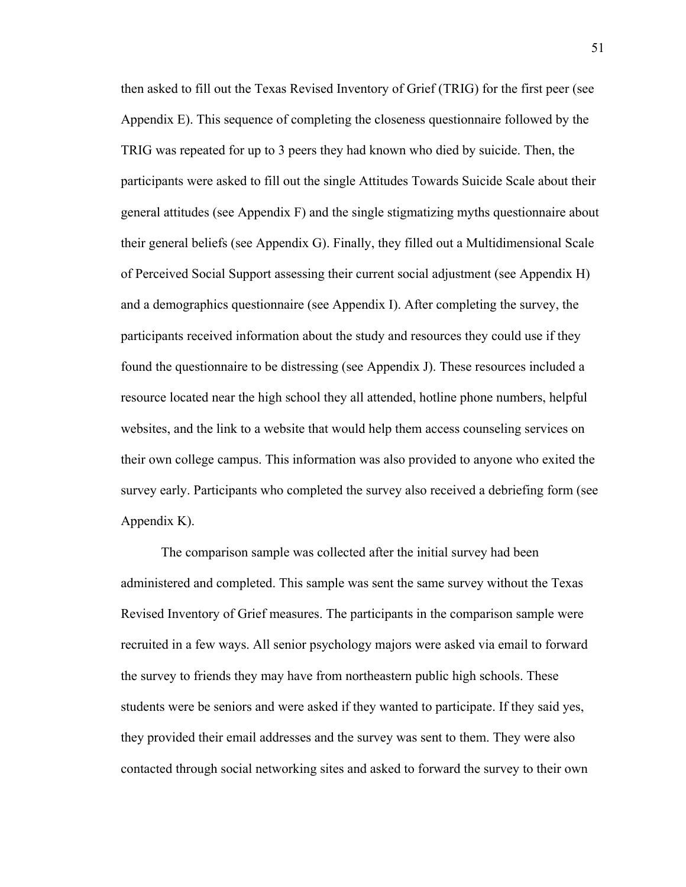then asked to fill out the Texas Revised Inventory of Grief (TRIG) for the first peer (see Appendix E). This sequence of completing the closeness questionnaire followed by the TRIG was repeated for up to 3 peers they had known who died by suicide. Then, the participants were asked to fill out the single Attitudes Towards Suicide Scale about their general attitudes (see Appendix F) and the single stigmatizing myths questionnaire about their general beliefs (see Appendix G). Finally, they filled out a Multidimensional Scale of Perceived Social Support assessing their current social adjustment (see Appendix H) and a demographics questionnaire (see Appendix I). After completing the survey, the participants received information about the study and resources they could use if they found the questionnaire to be distressing (see Appendix J). These resources included a resource located near the high school they all attended, hotline phone numbers, helpful websites, and the link to a website that would help them access counseling services on their own college campus. This information was also provided to anyone who exited the survey early. Participants who completed the survey also received a debriefing form (see Appendix K).

The comparison sample was collected after the initial survey had been administered and completed. This sample was sent the same survey without the Texas Revised Inventory of Grief measures. The participants in the comparison sample were recruited in a few ways. All senior psychology majors were asked via email to forward the survey to friends they may have from northeastern public high schools. These students were be seniors and were asked if they wanted to participate. If they said yes, they provided their email addresses and the survey was sent to them. They were also contacted through social networking sites and asked to forward the survey to their own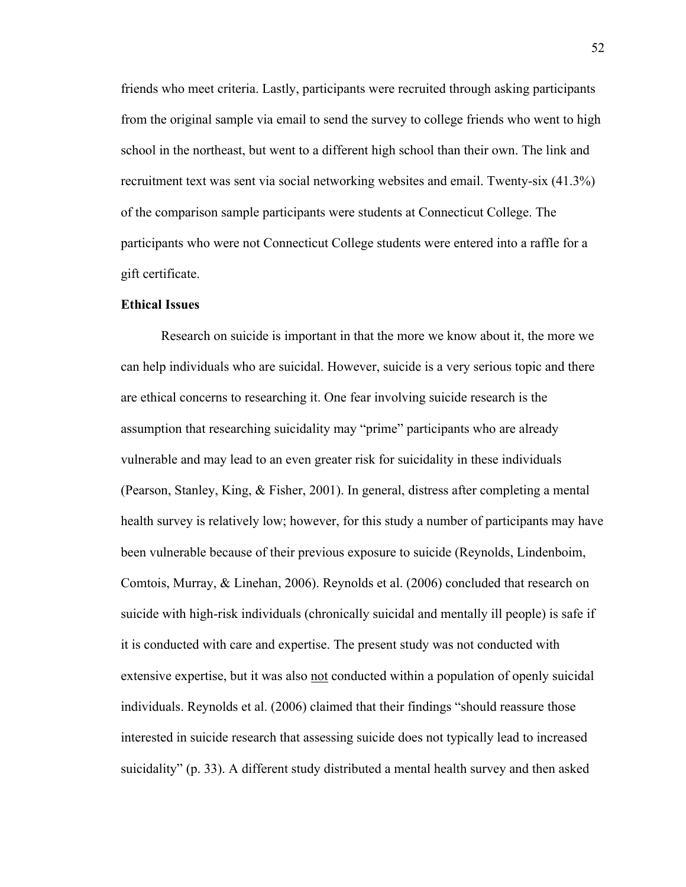friends who meet criteria. Lastly, participants were recruited through asking participants from the original sample via email to send the survey to college friends who went to high school in the northeast, but went to a different high school than their own. The link and recruitment text was sent via social networking websites and email. Twenty-six (41.3%) of the comparison sample participants were students at Connecticut College. The participants who were not Connecticut College students were entered into a raffle for a gift certificate.

#### **Ethical Issues**

Research on suicide is important in that the more we know about it, the more we can help individuals who are suicidal. However, suicide is a very serious topic and there are ethical concerns to researching it. One fear involving suicide research is the assumption that researching suicidality may "prime" participants who are already vulnerable and may lead to an even greater risk for suicidality in these individuals (Pearson, Stanley, King, & Fisher, 2001). In general, distress after completing a mental health survey is relatively low; however, for this study a number of participants may have been vulnerable because of their previous exposure to suicide (Reynolds, Lindenboim, Comtois, Murray, & Linehan, 2006). Reynolds et al. (2006) concluded that research on suicide with high-risk individuals (chronically suicidal and mentally ill people) is safe if it is conducted with care and expertise. The present study was not conducted with extensive expertise, but it was also not conducted within a population of openly suicidal individuals. Reynolds et al. (2006) claimed that their findings "should reassure those interested in suicide research that assessing suicide does not typically lead to increased suicidality" (p. 33). A different study distributed a mental health survey and then asked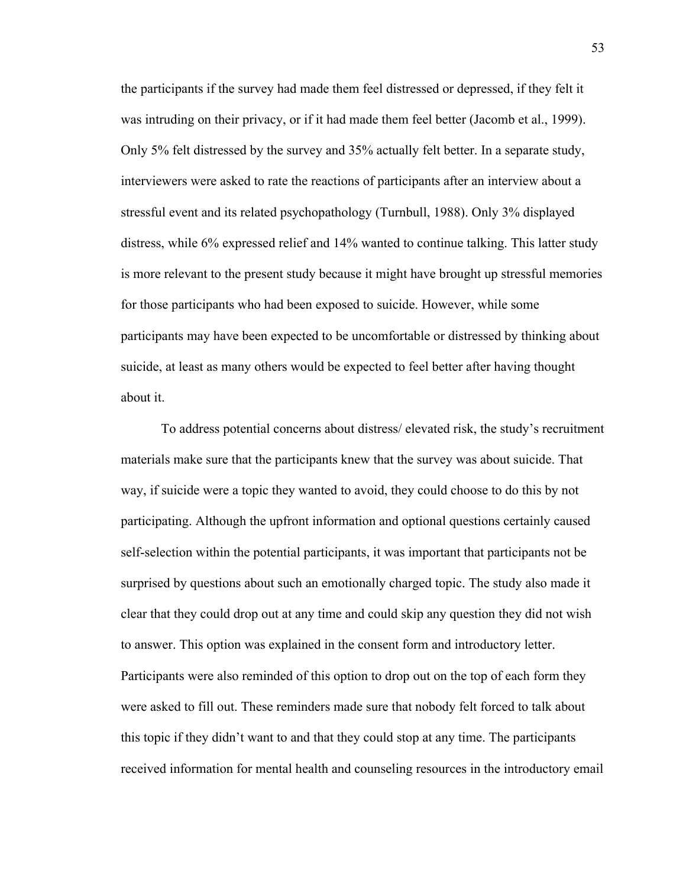the participants if the survey had made them feel distressed or depressed, if they felt it was intruding on their privacy, or if it had made them feel better (Jacomb et al., 1999). Only 5% felt distressed by the survey and 35% actually felt better. In a separate study, interviewers were asked to rate the reactions of participants after an interview about a stressful event and its related psychopathology (Turnbull, 1988). Only 3% displayed distress, while 6% expressed relief and 14% wanted to continue talking. This latter study is more relevant to the present study because it might have brought up stressful memories for those participants who had been exposed to suicide. However, while some participants may have been expected to be uncomfortable or distressed by thinking about suicide, at least as many others would be expected to feel better after having thought about it.

To address potential concerns about distress/ elevated risk, the study's recruitment materials make sure that the participants knew that the survey was about suicide. That way, if suicide were a topic they wanted to avoid, they could choose to do this by not participating. Although the upfront information and optional questions certainly caused self-selection within the potential participants, it was important that participants not be surprised by questions about such an emotionally charged topic. The study also made it clear that they could drop out at any time and could skip any question they did not wish to answer. This option was explained in the consent form and introductory letter. Participants were also reminded of this option to drop out on the top of each form they were asked to fill out. These reminders made sure that nobody felt forced to talk about this topic if they didn't want to and that they could stop at any time. The participants received information for mental health and counseling resources in the introductory email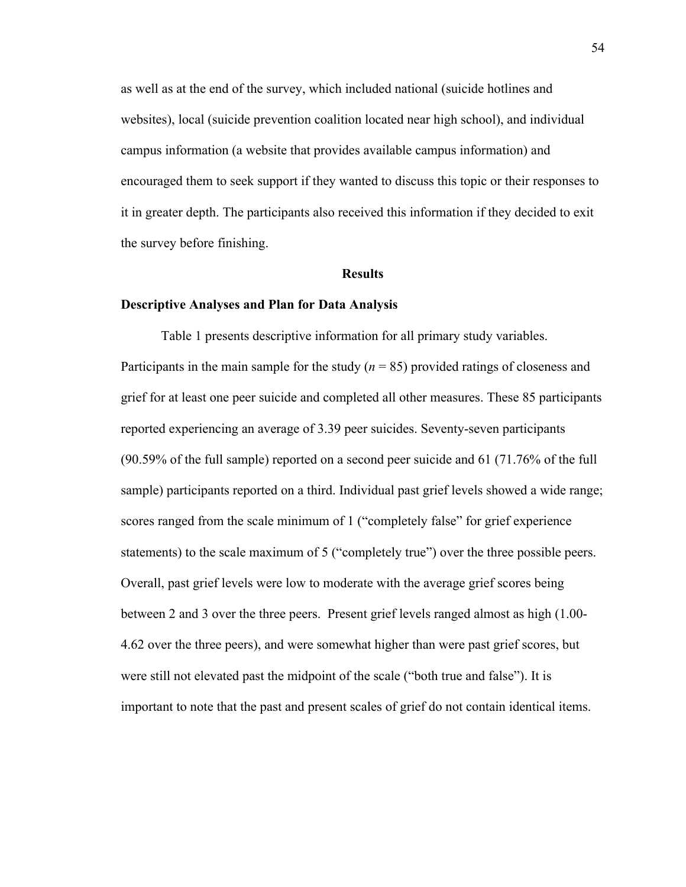as well as at the end of the survey, which included national (suicide hotlines and websites), local (suicide prevention coalition located near high school), and individual campus information (a website that provides available campus information) and encouraged them to seek support if they wanted to discuss this topic or their responses to it in greater depth. The participants also received this information if they decided to exit the survey before finishing.

#### **Results**

#### **Descriptive Analyses and Plan for Data Analysis**

Table 1 presents descriptive information for all primary study variables. Participants in the main sample for the study (*n* = 85) provided ratings of closeness and grief for at least one peer suicide and completed all other measures. These 85 participants reported experiencing an average of 3.39 peer suicides. Seventy-seven participants (90.59% of the full sample) reported on a second peer suicide and 61 (71.76% of the full sample) participants reported on a third. Individual past grief levels showed a wide range; scores ranged from the scale minimum of 1 ("completely false" for grief experience statements) to the scale maximum of 5 ("completely true") over the three possible peers. Overall, past grief levels were low to moderate with the average grief scores being between 2 and 3 over the three peers. Present grief levels ranged almost as high (1.00- 4.62 over the three peers), and were somewhat higher than were past grief scores, but were still not elevated past the midpoint of the scale ("both true and false"). It is important to note that the past and present scales of grief do not contain identical items.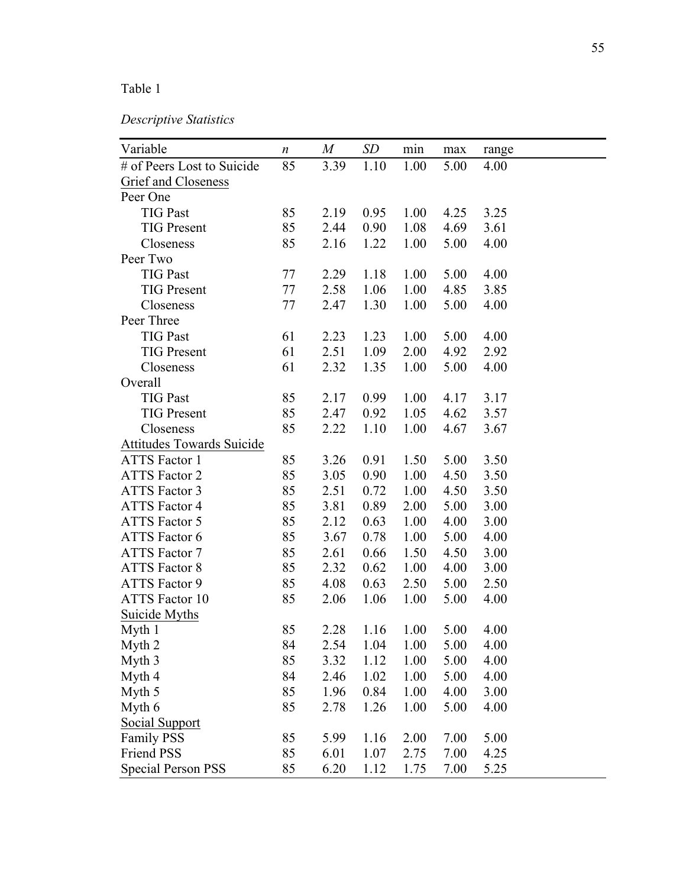# Table 1

| Descriptive Statistics |  |
|------------------------|--|
|------------------------|--|

| Variable                   | $\boldsymbol{n}$ | M    | SD   | $\min$ | max  | range |
|----------------------------|------------------|------|------|--------|------|-------|
| # of Peers Lost to Suicide | 85               | 3.39 | 1.10 | 1.00   | 5.00 | 4.00  |
| Grief and Closeness        |                  |      |      |        |      |       |
| Peer One                   |                  |      |      |        |      |       |
| <b>TIG Past</b>            | 85               | 2.19 | 0.95 | 1.00   | 4.25 | 3.25  |
| <b>TIG Present</b>         | 85               | 2.44 | 0.90 | 1.08   | 4.69 | 3.61  |
| Closeness                  | 85               | 2.16 | 1.22 | 1.00   | 5.00 | 4.00  |
| Peer Two                   |                  |      |      |        |      |       |
| <b>TIG Past</b>            | 77               | 2.29 | 1.18 | 1.00   | 5.00 | 4.00  |
| <b>TIG Present</b>         | 77               | 2.58 | 1.06 | 1.00   | 4.85 | 3.85  |
| Closeness                  | 77               | 2.47 | 1.30 | 1.00   | 5.00 | 4.00  |
| Peer Three                 |                  |      |      |        |      |       |
| <b>TIG Past</b>            | 61               | 2.23 | 1.23 | 1.00   | 5.00 | 4.00  |
| <b>TIG Present</b>         | 61               | 2.51 | 1.09 | 2.00   | 4.92 | 2.92  |
| Closeness                  | 61               | 2.32 | 1.35 | 1.00   | 5.00 | 4.00  |
| Overall                    |                  |      |      |        |      |       |
| <b>TIG Past</b>            | 85               | 2.17 | 0.99 | 1.00   | 4.17 | 3.17  |
| <b>TIG Present</b>         | 85               | 2.47 | 0.92 | 1.05   | 4.62 | 3.57  |
| Closeness                  | 85               | 2.22 | 1.10 | 1.00   | 4.67 | 3.67  |
| Attitudes Towards Suicide  |                  |      |      |        |      |       |
| <b>ATTS Factor 1</b>       | 85               | 3.26 | 0.91 | 1.50   | 5.00 | 3.50  |
| <b>ATTS Factor 2</b>       | 85               | 3.05 | 0.90 | 1.00   | 4.50 | 3.50  |
| <b>ATTS Factor 3</b>       | 85               | 2.51 | 0.72 | 1.00   | 4.50 | 3.50  |
| <b>ATTS Factor 4</b>       | 85               | 3.81 | 0.89 | 2.00   | 5.00 | 3.00  |
| <b>ATTS Factor 5</b>       | 85               | 2.12 | 0.63 | 1.00   | 4.00 | 3.00  |
| ATTS Factor 6              | 85               | 3.67 | 0.78 | 1.00   | 5.00 | 4.00  |
| ATTS Factor 7              | 85               | 2.61 | 0.66 | 1.50   | 4.50 | 3.00  |
| <b>ATTS Factor 8</b>       | 85               | 2.32 | 0.62 | 1.00   | 4.00 | 3.00  |
| ATTS Factor 9              | 85               | 4.08 | 0.63 | 2.50   | 5.00 | 2.50  |
| <b>ATTS</b> Factor 10      | 85               | 2.06 | 1.06 | 1.00   | 5.00 | 4.00  |
| Suicide Myths              |                  |      |      |        |      |       |
| Myth 1                     | 85               | 2.28 | 1.16 | 1.00   | 5.00 | 4.00  |
| Myth <sub>2</sub>          | 84               | 2.54 | 1.04 | 1.00   | 5.00 | 4.00  |
| Myth 3                     | 85               | 3.32 | 1.12 | 1.00   | 5.00 | 4.00  |
| Myth 4                     | 84               | 2.46 | 1.02 | 1.00   | 5.00 | 4.00  |
| Myth 5                     | 85               | 1.96 | 0.84 | 1.00   | 4.00 | 3.00  |
| Myth 6                     | 85               | 2.78 | 1.26 | 1.00   | 5.00 | 4.00  |
| Social Support             |                  |      |      |        |      |       |
| <b>Family PSS</b>          | 85               | 5.99 | 1.16 | 2.00   | 7.00 | 5.00  |
| Friend PSS                 | 85               | 6.01 | 1.07 | 2.75   | 7.00 | 4.25  |
| <b>Special Person PSS</b>  | 85               | 6.20 | 1.12 | 1.75   | 7.00 | 5.25  |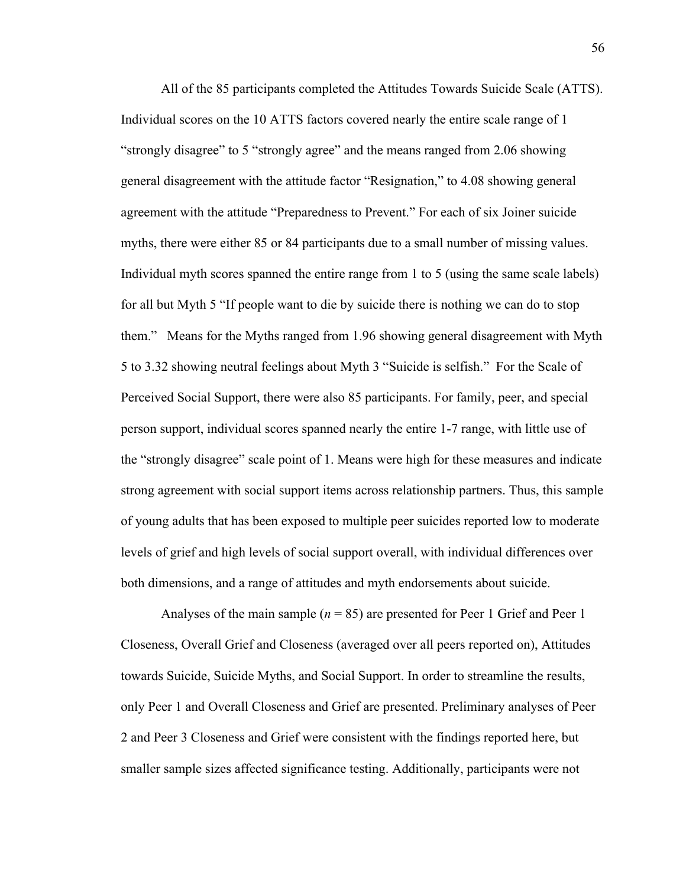All of the 85 participants completed the Attitudes Towards Suicide Scale (ATTS). Individual scores on the 10 ATTS factors covered nearly the entire scale range of 1 "strongly disagree" to 5 "strongly agree" and the means ranged from 2.06 showing general disagreement with the attitude factor "Resignation," to 4.08 showing general agreement with the attitude "Preparedness to Prevent." For each of six Joiner suicide myths, there were either 85 or 84 participants due to a small number of missing values. Individual myth scores spanned the entire range from 1 to 5 (using the same scale labels) for all but Myth 5 "If people want to die by suicide there is nothing we can do to stop them." Means for the Myths ranged from 1.96 showing general disagreement with Myth 5 to 3.32 showing neutral feelings about Myth 3 "Suicide is selfish." For the Scale of Perceived Social Support, there were also 85 participants. For family, peer, and special person support, individual scores spanned nearly the entire 1-7 range, with little use of the "strongly disagree" scale point of 1. Means were high for these measures and indicate strong agreement with social support items across relationship partners. Thus, this sample of young adults that has been exposed to multiple peer suicides reported low to moderate levels of grief and high levels of social support overall, with individual differences over both dimensions, and a range of attitudes and myth endorsements about suicide.

Analyses of the main sample (*n* = 85) are presented for Peer 1 Grief and Peer 1 Closeness, Overall Grief and Closeness (averaged over all peers reported on), Attitudes towards Suicide, Suicide Myths, and Social Support. In order to streamline the results, only Peer 1 and Overall Closeness and Grief are presented. Preliminary analyses of Peer 2 and Peer 3 Closeness and Grief were consistent with the findings reported here, but smaller sample sizes affected significance testing. Additionally, participants were not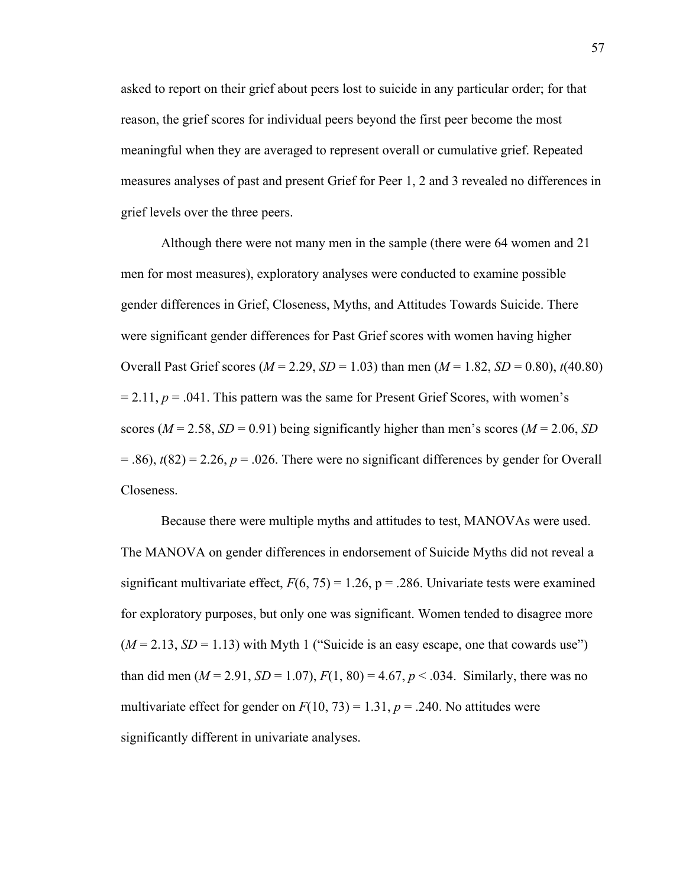asked to report on their grief about peers lost to suicide in any particular order; for that reason, the grief scores for individual peers beyond the first peer become the most meaningful when they are averaged to represent overall or cumulative grief. Repeated measures analyses of past and present Grief for Peer 1, 2 and 3 revealed no differences in grief levels over the three peers.

Although there were not many men in the sample (there were 64 women and 21 men for most measures), exploratory analyses were conducted to examine possible gender differences in Grief, Closeness, Myths, and Attitudes Towards Suicide. There were significant gender differences for Past Grief scores with women having higher Overall Past Grief scores ( $M = 2.29$ ,  $SD = 1.03$ ) than men ( $M = 1.82$ ,  $SD = 0.80$ ),  $t(40.80)$  $= 2.11$ ,  $p = .041$ . This pattern was the same for Present Grief Scores, with women's scores ( $M = 2.58$ ,  $SD = 0.91$ ) being significantly higher than men's scores ( $M = 2.06$ , *SD*)  $= 0.86$ ,  $t(82) = 2.26$ ,  $p = 0.026$ . There were no significant differences by gender for Overall Closeness.

Because there were multiple myths and attitudes to test, MANOVAs were used. The MANOVA on gender differences in endorsement of Suicide Myths did not reveal a significant multivariate effect,  $F(6, 75) = 1.26$ ,  $p = .286$ . Univariate tests were examined for exploratory purposes, but only one was significant. Women tended to disagree more  $(M = 2.13, SD = 1.13)$  with Myth 1 ("Suicide is an easy escape, one that cowards use") than did men ( $M = 2.91$ ,  $SD = 1.07$ ),  $F(1, 80) = 4.67$ ,  $p < .034$ . Similarly, there was no multivariate effect for gender on  $F(10, 73) = 1.31$ ,  $p = .240$ . No attitudes were significantly different in univariate analyses.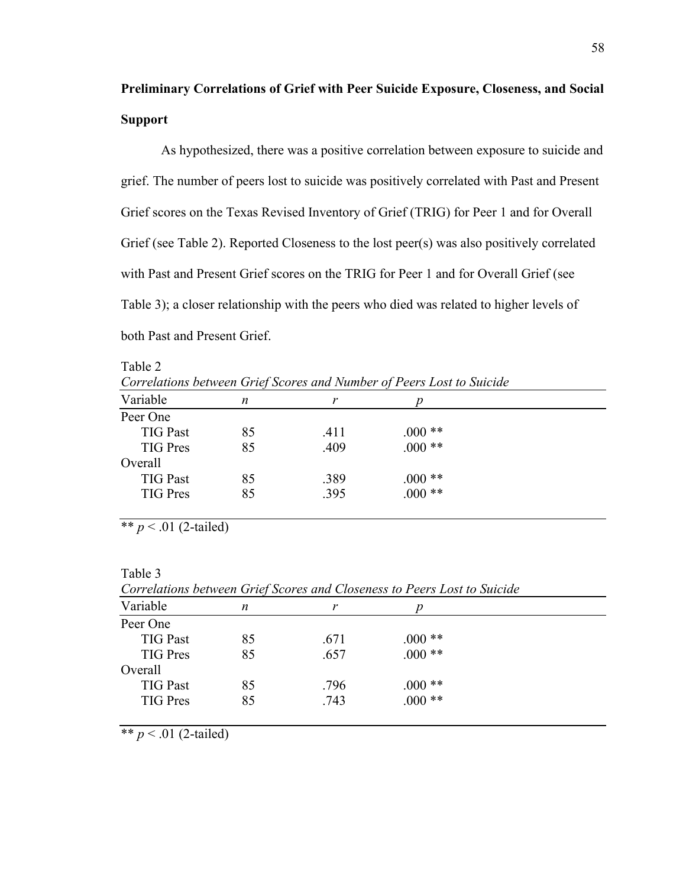### **Preliminary Correlations of Grief with Peer Suicide Exposure, Closeness, and Social Support**

As hypothesized, there was a positive correlation between exposure to suicide and grief. The number of peers lost to suicide was positively correlated with Past and Present Grief scores on the Texas Revised Inventory of Grief (TRIG) for Peer 1 and for Overall Grief (see Table 2). Reported Closeness to the lost peer(s) was also positively correlated with Past and Present Grief scores on the TRIG for Peer 1 and for Overall Grief (see Table 3); a closer relationship with the peers who died was related to higher levels of both Past and Present Grief.

Table 2 *Correlations between Grief Scores and Number of Peers Lost to Suicide*

| n  |      | Ŋ        |  |
|----|------|----------|--|
|    |      |          |  |
| 85 | .411 | $.000**$ |  |
| 85 | .409 | $000**$  |  |
|    |      |          |  |
| 85 | .389 | $000**$  |  |
| 85 | .395 | $.000**$ |  |
|    |      |          |  |

\*\*  $p < .01$  (2-tailed)

Table 3

*Correlations between Grief Scores and Closeness to Peers Lost to Suicide*

| Variable        | n  | r    |          |  |
|-----------------|----|------|----------|--|
| Peer One        |    |      |          |  |
| <b>TIG Past</b> | 85 | .671 | $000**$  |  |
| <b>TIG</b> Pres | 85 | .657 | $.000**$ |  |
| Overall         |    |      |          |  |
| <b>TIG Past</b> | 85 | .796 | $000**$  |  |
| <b>TIG Pres</b> | 85 | .743 | $.000**$ |  |
|                 |    |      |          |  |

\*\*  $p < .01$  (2-tailed)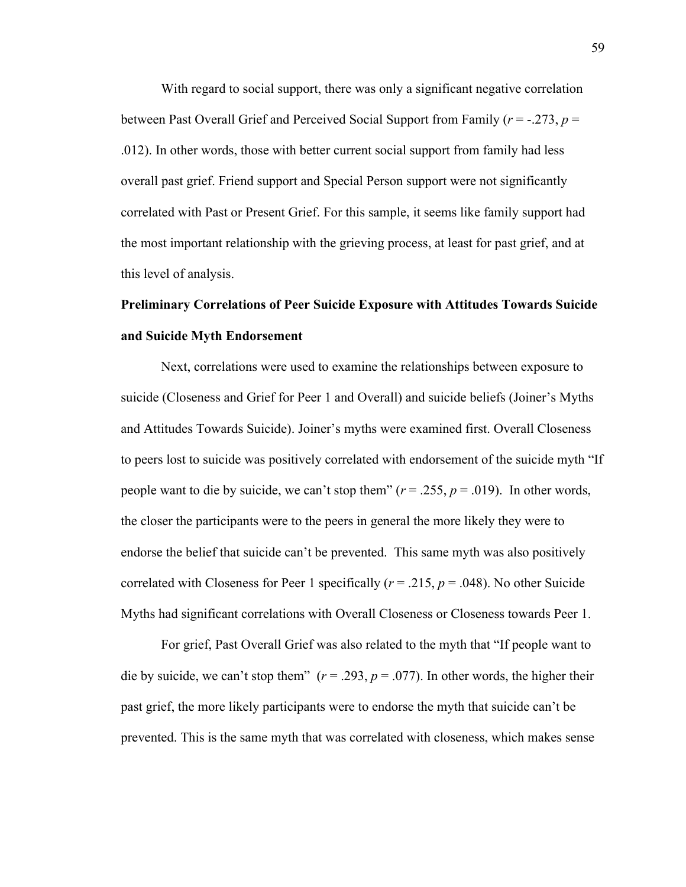With regard to social support, there was only a significant negative correlation between Past Overall Grief and Perceived Social Support from Family (*r* = -.273, *p* = .012). In other words, those with better current social support from family had less overall past grief. Friend support and Special Person support were not significantly correlated with Past or Present Grief. For this sample, it seems like family support had the most important relationship with the grieving process, at least for past grief, and at this level of analysis.

# **Preliminary Correlations of Peer Suicide Exposure with Attitudes Towards Suicide and Suicide Myth Endorsement**

Next, correlations were used to examine the relationships between exposure to suicide (Closeness and Grief for Peer 1 and Overall) and suicide beliefs (Joiner's Myths and Attitudes Towards Suicide). Joiner's myths were examined first. Overall Closeness to peers lost to suicide was positively correlated with endorsement of the suicide myth "If people want to die by suicide, we can't stop them"  $(r = .255, p = .019)$ . In other words, the closer the participants were to the peers in general the more likely they were to endorse the belief that suicide can't be prevented. This same myth was also positively correlated with Closeness for Peer 1 specifically ( $r = .215$ ,  $p = .048$ ). No other Suicide Myths had significant correlations with Overall Closeness or Closeness towards Peer 1.

For grief, Past Overall Grief was also related to the myth that "If people want to die by suicide, we can't stop them"  $(r = .293, p = .077)$ . In other words, the higher their past grief, the more likely participants were to endorse the myth that suicide can't be prevented. This is the same myth that was correlated with closeness, which makes sense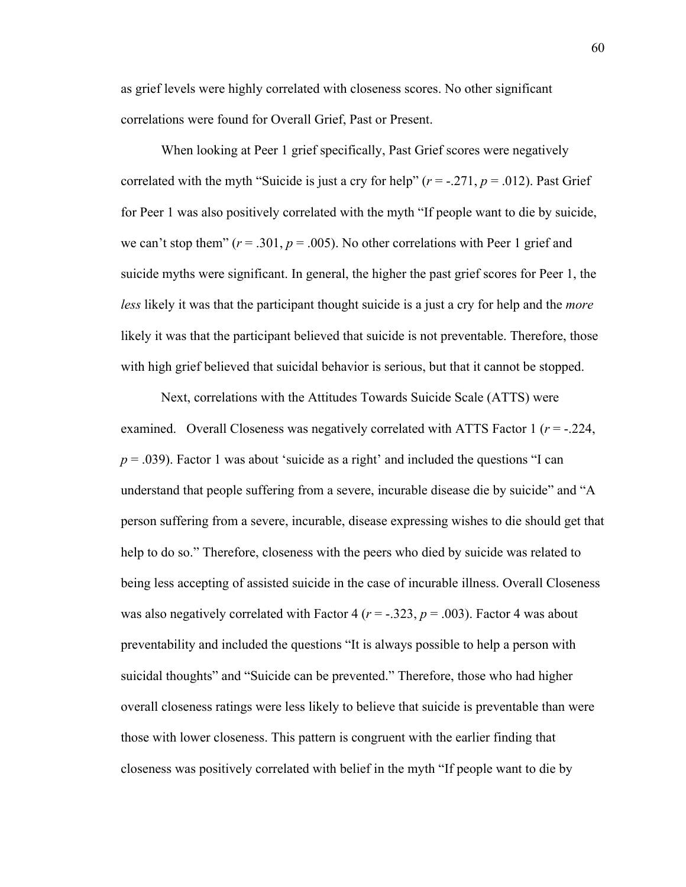as grief levels were highly correlated with closeness scores. No other significant correlations were found for Overall Grief, Past or Present.

When looking at Peer 1 grief specifically, Past Grief scores were negatively correlated with the myth "Suicide is just a cry for help"  $(r = -.271, p = .012)$ . Past Grief for Peer 1 was also positively correlated with the myth "If people want to die by suicide, we can't stop them"  $(r = .301, p = .005)$ . No other correlations with Peer 1 grief and suicide myths were significant. In general, the higher the past grief scores for Peer 1, the *less* likely it was that the participant thought suicide is a just a cry for help and the *more* likely it was that the participant believed that suicide is not preventable. Therefore, those with high grief believed that suicidal behavior is serious, but that it cannot be stopped.

Next, correlations with the Attitudes Towards Suicide Scale (ATTS) were examined. Overall Closeness was negatively correlated with ATTS Factor 1 (*r* = -.224,  $p = .039$ ). Factor 1 was about 'suicide as a right' and included the questions "I can understand that people suffering from a severe, incurable disease die by suicide" and "A person suffering from a severe, incurable, disease expressing wishes to die should get that help to do so." Therefore, closeness with the peers who died by suicide was related to being less accepting of assisted suicide in the case of incurable illness. Overall Closeness was also negatively correlated with Factor 4 ( $r = -0.323$ ,  $p = 0.003$ ). Factor 4 was about preventability and included the questions "It is always possible to help a person with suicidal thoughts" and "Suicide can be prevented." Therefore, those who had higher overall closeness ratings were less likely to believe that suicide is preventable than were those with lower closeness. This pattern is congruent with the earlier finding that closeness was positively correlated with belief in the myth "If people want to die by

60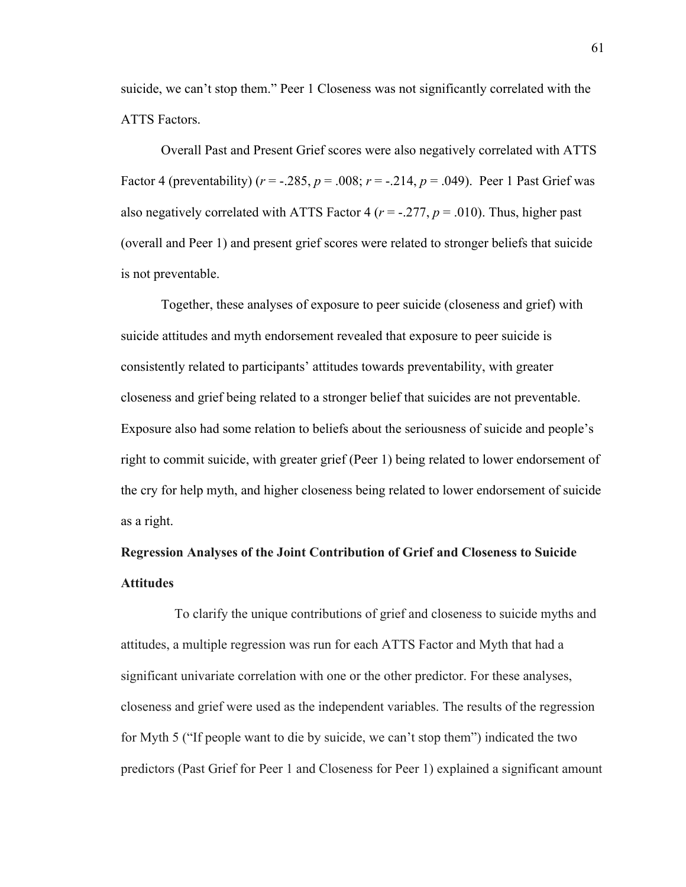suicide, we can't stop them." Peer 1 Closeness was not significantly correlated with the ATTS Factors.

Overall Past and Present Grief scores were also negatively correlated with ATTS Factor 4 (preventability) ( $r = -.285$ ,  $p = .008$ ;  $r = -.214$ ,  $p = .049$ ). Peer 1 Past Grief was also negatively correlated with ATTS Factor 4 ( $r = -0.277$ ,  $p = 0.010$ ). Thus, higher past (overall and Peer 1) and present grief scores were related to stronger beliefs that suicide is not preventable.

Together, these analyses of exposure to peer suicide (closeness and grief) with suicide attitudes and myth endorsement revealed that exposure to peer suicide is consistently related to participants' attitudes towards preventability, with greater closeness and grief being related to a stronger belief that suicides are not preventable. Exposure also had some relation to beliefs about the seriousness of suicide and people's right to commit suicide, with greater grief (Peer 1) being related to lower endorsement of the cry for help myth, and higher closeness being related to lower endorsement of suicide as a right.

### **Regression Analyses of the Joint Contribution of Grief and Closeness to Suicide Attitudes**

To clarify the unique contributions of grief and closeness to suicide myths and attitudes, a multiple regression was run for each ATTS Factor and Myth that had a significant univariate correlation with one or the other predictor. For these analyses, closeness and grief were used as the independent variables. The results of the regression for Myth 5 ("If people want to die by suicide, we can't stop them") indicated the two predictors (Past Grief for Peer 1 and Closeness for Peer 1) explained a significant amount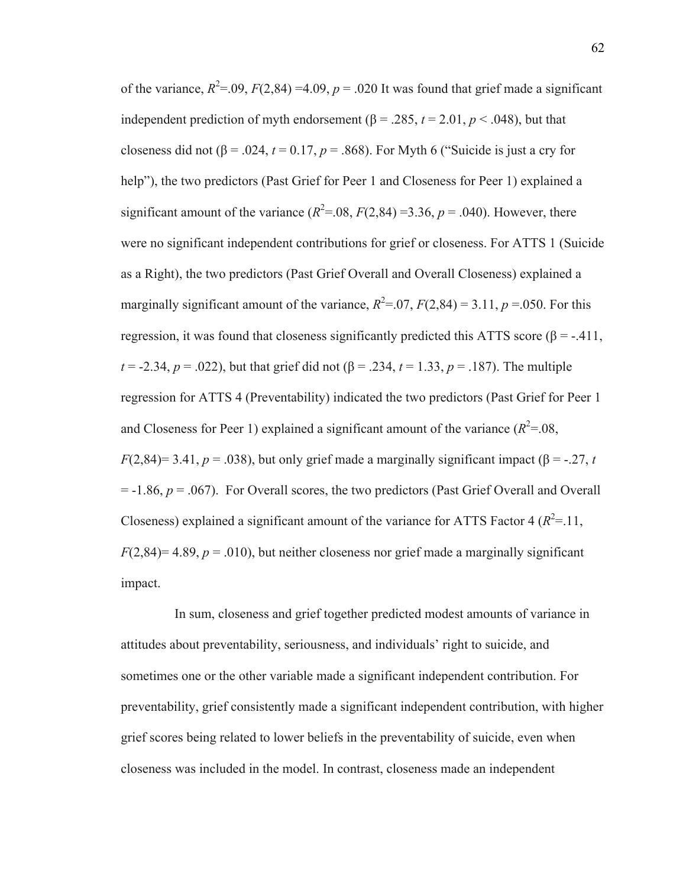of the variance,  $R^2 = .09$ ,  $F(2,84) = 4.09$ ,  $p = .020$  It was found that grief made a significant independent prediction of myth endorsement  $(\beta = .285, t = 2.01, p < .048)$ , but that closeness did not  $(\beta = .024, t = 0.17, p = .868)$ . For Myth 6 ("Suicide is just a cry for help"), the two predictors (Past Grief for Peer 1 and Closeness for Peer 1) explained a significant amount of the variance  $(R^2 = .08, F(2,84) = 3.36, p = .040)$ . However, there were no significant independent contributions for grief or closeness. For ATTS 1 (Suicide as a Right), the two predictors (Past Grief Overall and Overall Closeness) explained a marginally significant amount of the variance,  $R^2 = 0.07$ ,  $F(2,84) = 3.11$ ,  $p = 0.050$ . For this regression, it was found that closeness significantly predicted this ATTS score (β =  $-411$ , *t* = -2.34, *p* = .022), but that grief did not  $(\beta = .234, t = 1.33, p = .187)$ . The multiple regression for ATTS 4 (Preventability) indicated the two predictors (Past Grief for Peer 1 and Closeness for Peer 1) explained a significant amount of the variance  $(R^2 = 0.08)$ , *F*(2,84)= 3.41, *p* = .038), but only grief made a marginally significant impact ( $\beta$  = -.27, *t*  $= -1.86$ ,  $p = .067$ ). For Overall scores, the two predictors (Past Grief Overall and Overall Closeness) explained a significant amount of the variance for ATTS Factor 4  $(R^2 = .11)$ ,  $F(2,84)=4.89, p = .010$ , but neither closeness nor grief made a marginally significant impact.

In sum, closeness and grief together predicted modest amounts of variance in attitudes about preventability, seriousness, and individuals' right to suicide, and sometimes one or the other variable made a significant independent contribution. For preventability, grief consistently made a significant independent contribution, with higher grief scores being related to lower beliefs in the preventability of suicide, even when closeness was included in the model. In contrast, closeness made an independent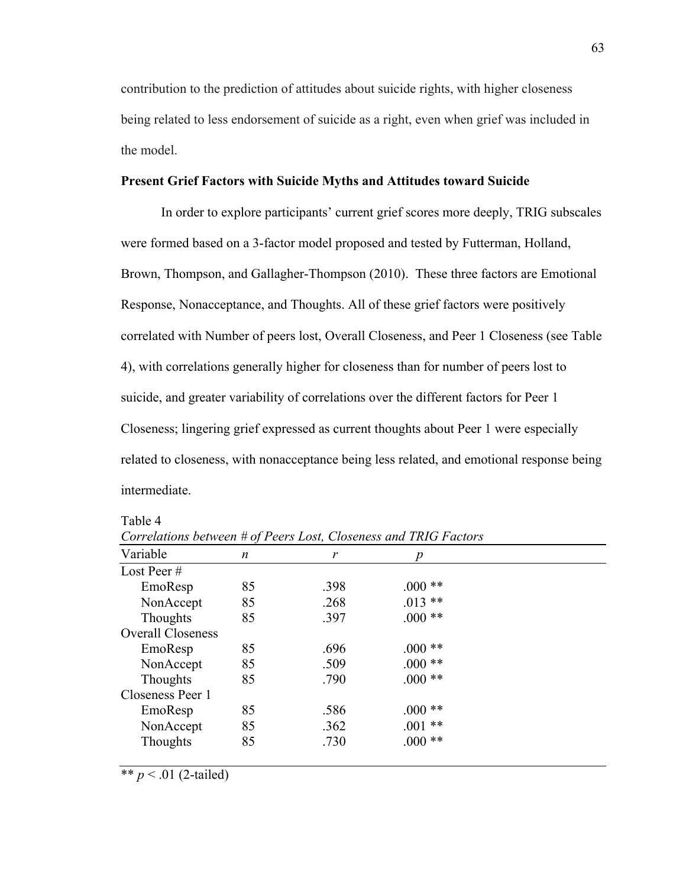contribution to the prediction of attitudes about suicide rights, with higher closeness being related to less endorsement of suicide as a right, even when grief was included in the model.

#### **Present Grief Factors with Suicide Myths and Attitudes toward Suicide**

In order to explore participants' current grief scores more deeply, TRIG subscales were formed based on a 3-factor model proposed and tested by Futterman, Holland, Brown, Thompson, and Gallagher-Thompson (2010). These three factors are Emotional Response, Nonacceptance, and Thoughts. All of these grief factors were positively correlated with Number of peers lost, Overall Closeness, and Peer 1 Closeness (see Table 4), with correlations generally higher for closeness than for number of peers lost to suicide, and greater variability of correlations over the different factors for Peer 1 Closeness; lingering grief expressed as current thoughts about Peer 1 were especially related to closeness, with nonacceptance being less related, and emotional response being intermediate.

Table 4

| Variable                 | n  | r    | $\boldsymbol{p}$ |  |
|--------------------------|----|------|------------------|--|
| Lost Peer $#$            |    |      |                  |  |
| EmoResp                  | 85 | .398 | $000**$          |  |
| NonAccept                | 85 | .268 | $.013**$         |  |
| Thoughts                 | 85 | .397 | $.000**$         |  |
| <b>Overall Closeness</b> |    |      |                  |  |
| EmoResp                  | 85 | .696 | $.000**$         |  |
| NonAccept                | 85 | .509 | $.000**$         |  |
| Thoughts                 | 85 | .790 | $.000**$         |  |
| Closeness Peer 1         |    |      |                  |  |
| EmoResp                  | 85 | .586 | $.000**$         |  |
| NonAccept                | 85 | .362 | $.001$ **        |  |
| Thoughts                 | 85 | .730 | $.000**$         |  |

*Correlations between # of Peers Lost, Closeness and TRIG Factors*

\*\*  $p < .01$  (2-tailed)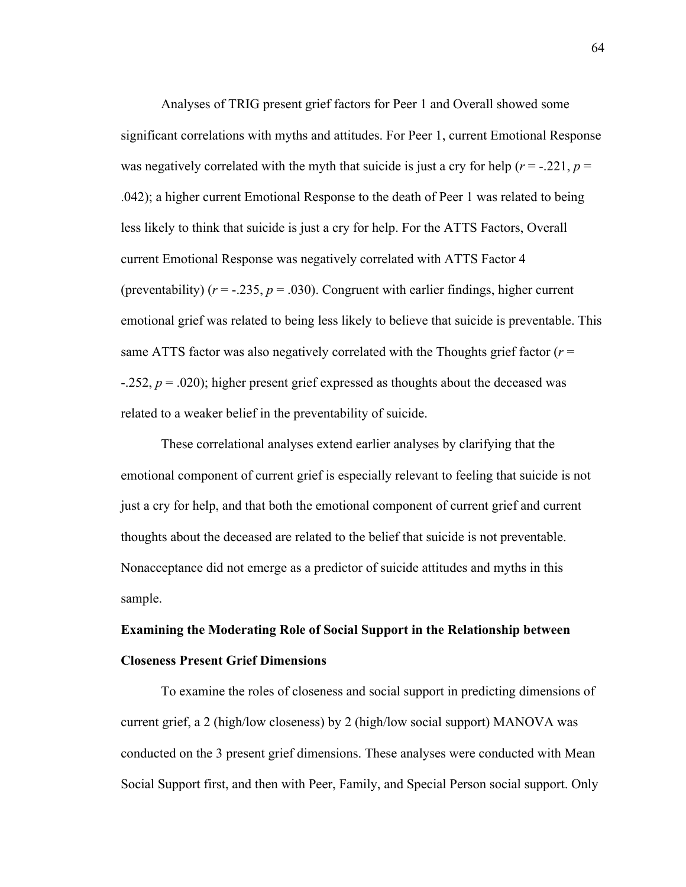Analyses of TRIG present grief factors for Peer 1 and Overall showed some significant correlations with myths and attitudes. For Peer 1, current Emotional Response was negatively correlated with the myth that suicide is just a cry for help ( $r = -0.221$ ,  $p =$ .042); a higher current Emotional Response to the death of Peer 1 was related to being less likely to think that suicide is just a cry for help. For the ATTS Factors, Overall current Emotional Response was negatively correlated with ATTS Factor 4 (preventability) ( $r = -0.235$ ,  $p = 0.030$ ). Congruent with earlier findings, higher current emotional grief was related to being less likely to believe that suicide is preventable. This same ATTS factor was also negatively correlated with the Thoughts grief factor  $(r =$  $-0.252$ ,  $p = 0.020$ ; higher present grief expressed as thoughts about the deceased was related to a weaker belief in the preventability of suicide.

These correlational analyses extend earlier analyses by clarifying that the emotional component of current grief is especially relevant to feeling that suicide is not just a cry for help, and that both the emotional component of current grief and current thoughts about the deceased are related to the belief that suicide is not preventable. Nonacceptance did not emerge as a predictor of suicide attitudes and myths in this sample.

# **Examining the Moderating Role of Social Support in the Relationship between Closeness Present Grief Dimensions**

To examine the roles of closeness and social support in predicting dimensions of current grief, a 2 (high/low closeness) by 2 (high/low social support) MANOVA was conducted on the 3 present grief dimensions. These analyses were conducted with Mean Social Support first, and then with Peer, Family, and Special Person social support. Only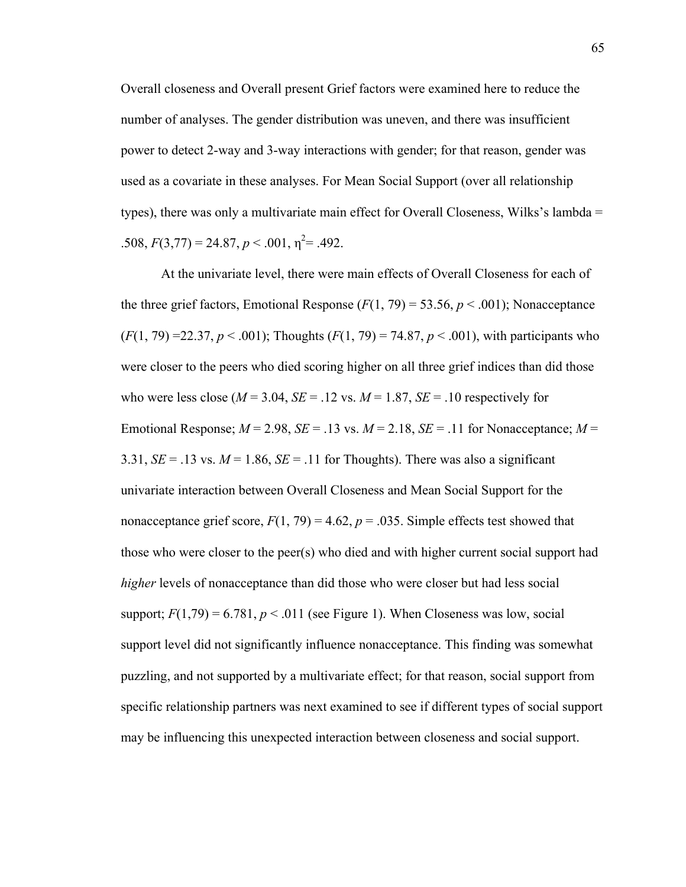Overall closeness and Overall present Grief factors were examined here to reduce the number of analyses. The gender distribution was uneven, and there was insufficient power to detect 2-way and 3-way interactions with gender; for that reason, gender was used as a covariate in these analyses. For Mean Social Support (over all relationship types), there was only a multivariate main effect for Overall Closeness, Wilks's lambda =  $.508, F(3,77) = 24.87, p < .001, \eta^2 = .492.$ 

At the univariate level, there were main effects of Overall Closeness for each of the three grief factors, Emotional Response  $(F(1, 79) = 53.56, p < .001)$ ; Nonacceptance  $(F(1, 79) = 22.37, p \le 0.001)$ ; Thoughts  $(F(1, 79) = 74.87, p \le 0.001)$ , with participants who were closer to the peers who died scoring higher on all three grief indices than did those who were less close ( $M = 3.04$ ,  $SE = .12$  vs.  $M = 1.87$ ,  $SE = .10$  respectively for Emotional Response;  $M = 2.98$ ,  $SE = .13$  vs.  $M = 2.18$ ,  $SE = .11$  for Nonacceptance;  $M =$ 3.31,  $SE = .13$  vs.  $M = 1.86$ ,  $SE = .11$  for Thoughts). There was also a significant univariate interaction between Overall Closeness and Mean Social Support for the nonacceptance grief score,  $F(1, 79) = 4.62$ ,  $p = .035$ . Simple effects test showed that those who were closer to the peer(s) who died and with higher current social support had *higher* levels of nonacceptance than did those who were closer but had less social support;  $F(1,79) = 6.781$ ,  $p < .011$  (see Figure 1). When Closeness was low, social support level did not significantly influence nonacceptance. This finding was somewhat puzzling, and not supported by a multivariate effect; for that reason, social support from specific relationship partners was next examined to see if different types of social support may be influencing this unexpected interaction between closeness and social support.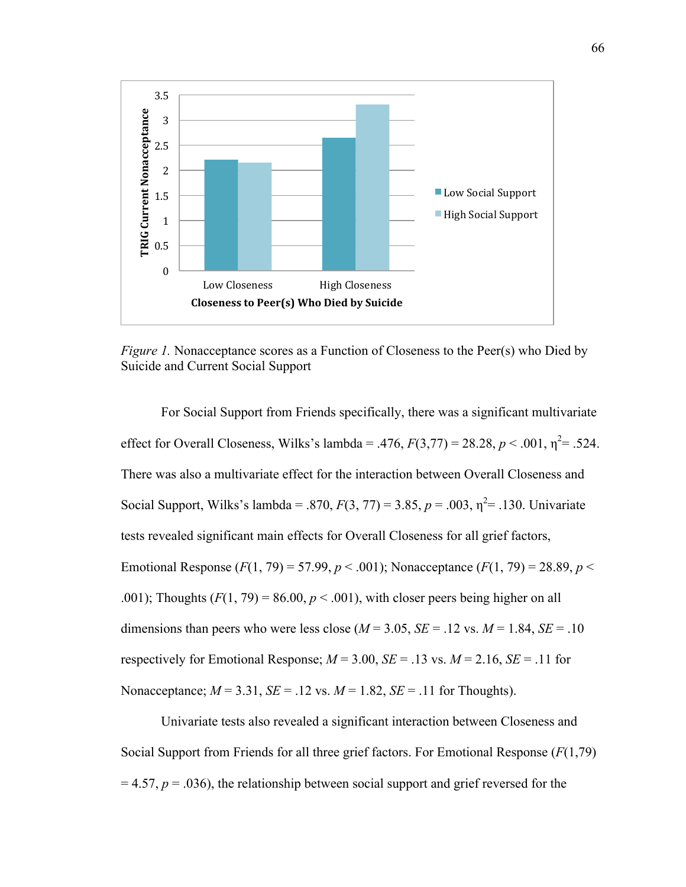

*Figure 1.* Nonacceptance scores as a Function of Closeness to the Peer(s) who Died by Suicide and Current Social Support

For Social Support from Friends specifically, there was a significant multivariate effect for Overall Closeness, Wilks's lambda = .476,  $F(3,77) = 28.28$ ,  $p < .001$ ,  $\eta^2 = .524$ . There was also a multivariate effect for the interaction between Overall Closeness and Social Support, Wilks's lambda = .870,  $F(3, 77) = 3.85$ ,  $p = .003$ ,  $\eta^2 = .130$ . Univariate tests revealed significant main effects for Overall Closeness for all grief factors, Emotional Response  $(F(1, 79) = 57.99, p < .001)$ ; Nonacceptance  $(F(1, 79) = 28.89, p < .001)$ .001); Thoughts  $(F(1, 79) = 86.00, p < .001)$ , with closer peers being higher on all dimensions than peers who were less close ( $M = 3.05$ ,  $SE = .12$  vs.  $M = 1.84$ ,  $SE = .10$ respectively for Emotional Response;  $M = 3.00$ ,  $SE = .13$  vs.  $M = 2.16$ ,  $SE = .11$  for Nonacceptance;  $M = 3.31$ ,  $SE = .12$  vs.  $M = 1.82$ ,  $SE = .11$  for Thoughts).

Univariate tests also revealed a significant interaction between Closeness and Social Support from Friends for all three grief factors. For Emotional Response (*F*(1,79)  $= 4.57$ ,  $p = .036$ ), the relationship between social support and grief reversed for the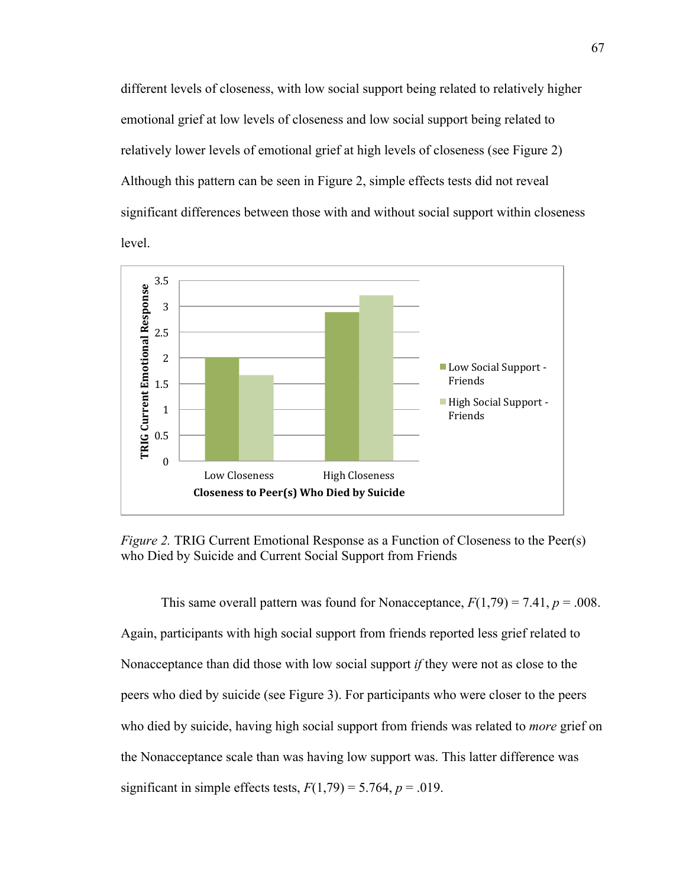different levels of closeness, with low social support being related to relatively higher emotional grief at low levels of closeness and low social support being related to relatively lower levels of emotional grief at high levels of closeness (see Figure 2) Although this pattern can be seen in Figure 2, simple effects tests did not reveal significant differences between those with and without social support within closeness level.



*Figure 2.* TRIG Current Emotional Response as a Function of Closeness to the Peer(s) who Died by Suicide and Current Social Support from Friends

This same overall pattern was found for Nonacceptance,  $F(1,79) = 7.41$ ,  $p = .008$ . Again, participants with high social support from friends reported less grief related to Nonacceptance than did those with low social support *if* they were not as close to the peers who died by suicide (see Figure 3). For participants who were closer to the peers who died by suicide, having high social support from friends was related to *more* grief on the Nonacceptance scale than was having low support was. This latter difference was significant in simple effects tests,  $F(1,79) = 5.764$ ,  $p = .019$ .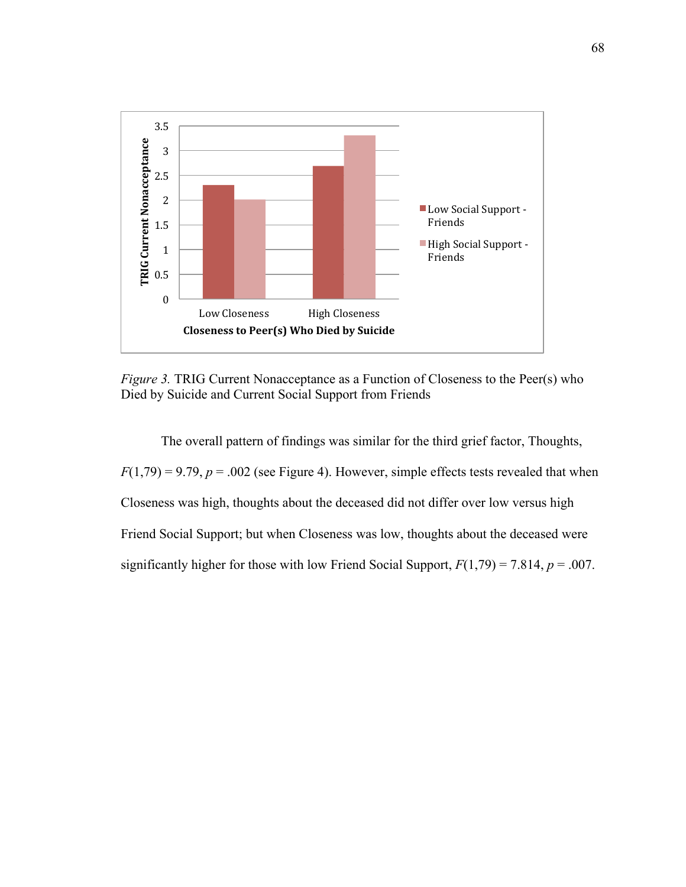

*Figure 3.* TRIG Current Nonacceptance as a Function of Closeness to the Peer(s) who Died by Suicide and Current Social Support from Friends

The overall pattern of findings was similar for the third grief factor, Thoughts,  $F(1,79) = 9.79$ ,  $p = .002$  (see Figure 4). However, simple effects tests revealed that when Closeness was high, thoughts about the deceased did not differ over low versus high Friend Social Support; but when Closeness was low, thoughts about the deceased were significantly higher for those with low Friend Social Support, *F*(1,79) = 7.814, *p* = .007.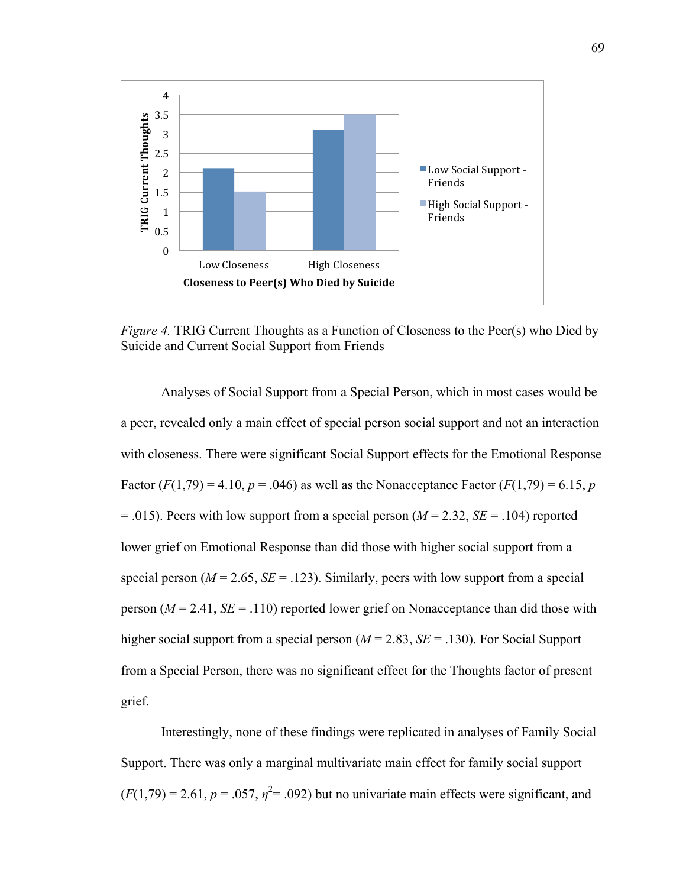

*Figure 4.* TRIG Current Thoughts as a Function of Closeness to the Peer(s) who Died by Suicide and Current Social Support from Friends

Analyses of Social Support from a Special Person, which in most cases would be a peer, revealed only a main effect of special person social support and not an interaction with closeness. There were significant Social Support effects for the Emotional Response Factor  $(F(1,79) = 4.10, p = .046)$  as well as the Nonacceptance Factor  $(F(1,79) = 6.15, p$  $= .015$ ). Peers with low support from a special person ( $M = 2.32$ ,  $SE = .104$ ) reported lower grief on Emotional Response than did those with higher social support from a special person ( $M = 2.65$ ,  $SE = .123$ ). Similarly, peers with low support from a special person  $(M = 2.41, SE = .110)$  reported lower grief on Nonacceptance than did those with higher social support from a special person ( $M = 2.83$ ,  $SE = .130$ ). For Social Support from a Special Person, there was no significant effect for the Thoughts factor of present grief.

Interestingly, none of these findings were replicated in analyses of Family Social Support. There was only a marginal multivariate main effect for family social support  $(F(1,79) = 2.61, p = .057, \eta^2 = .092)$  but no univariate main effects were significant, and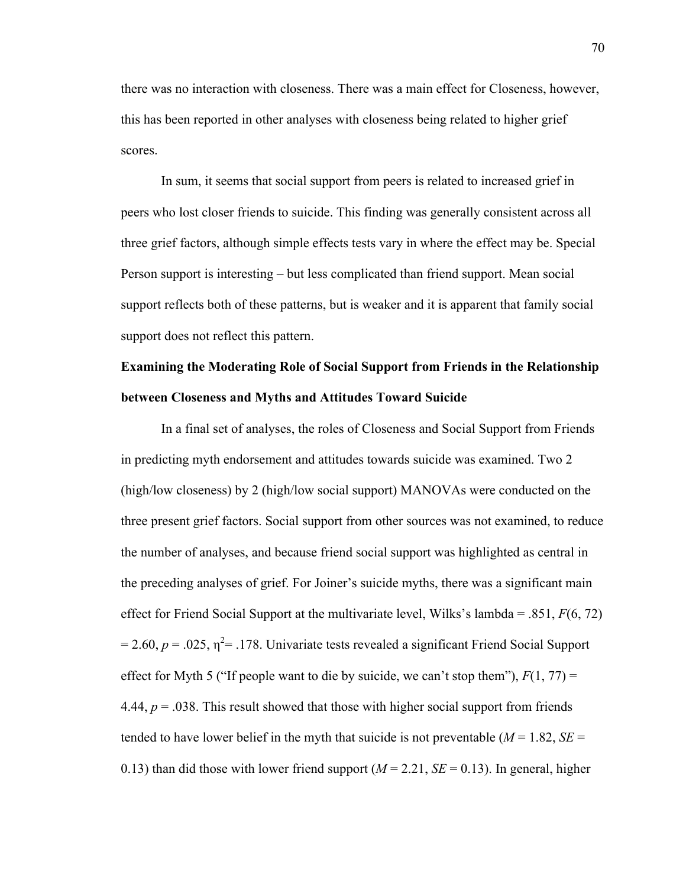there was no interaction with closeness. There was a main effect for Closeness, however, this has been reported in other analyses with closeness being related to higher grief scores.

In sum, it seems that social support from peers is related to increased grief in peers who lost closer friends to suicide. This finding was generally consistent across all three grief factors, although simple effects tests vary in where the effect may be. Special Person support is interesting – but less complicated than friend support. Mean social support reflects both of these patterns, but is weaker and it is apparent that family social support does not reflect this pattern.

# **Examining the Moderating Role of Social Support from Friends in the Relationship between Closeness and Myths and Attitudes Toward Suicide**

In a final set of analyses, the roles of Closeness and Social Support from Friends in predicting myth endorsement and attitudes towards suicide was examined. Two 2 (high/low closeness) by 2 (high/low social support) MANOVAs were conducted on the three present grief factors. Social support from other sources was not examined, to reduce the number of analyses, and because friend social support was highlighted as central in the preceding analyses of grief. For Joiner's suicide myths, there was a significant main effect for Friend Social Support at the multivariate level, Wilks's lambda = .851, *F*(6, 72)  $= 2.60, p = .025, \eta^2 = .178$ . Univariate tests revealed a significant Friend Social Support effect for Myth 5 ("If people want to die by suicide, we can't stop them"),  $F(1, 77)$  = 4.44,  $p = 0.038$ . This result showed that those with higher social support from friends tended to have lower belief in the myth that suicide is not preventable ( $M = 1.82$ ,  $SE =$ 0.13) than did those with lower friend support  $(M = 2.21, SE = 0.13)$ . In general, higher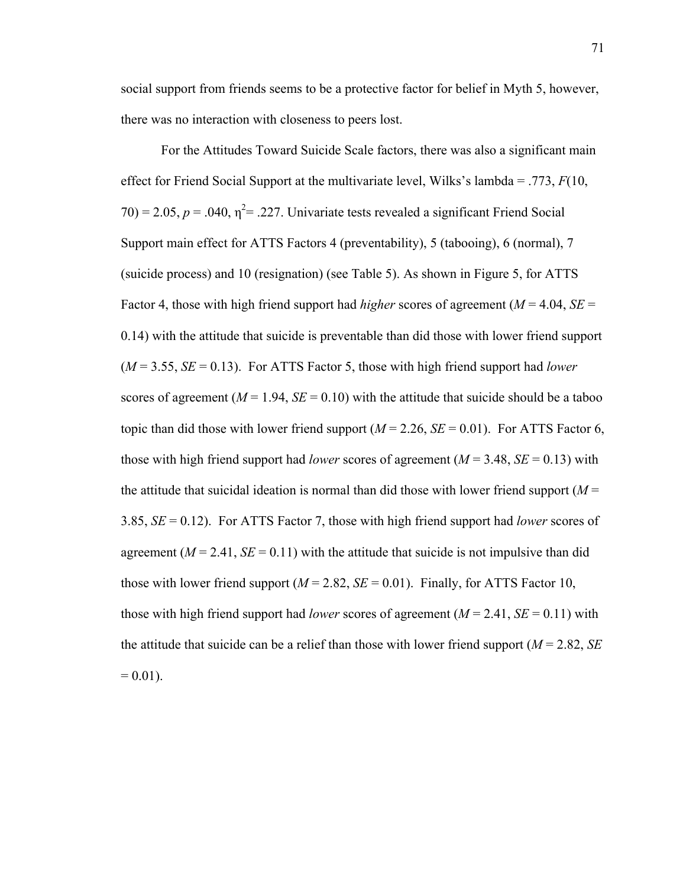social support from friends seems to be a protective factor for belief in Myth 5, however, there was no interaction with closeness to peers lost.

For the Attitudes Toward Suicide Scale factors, there was also a significant main effect for Friend Social Support at the multivariate level, Wilks's lambda = .773, *F*(10,  $70$ ) = 2.05,  $p = .040$ ,  $\eta^2 = .227$ . Univariate tests revealed a significant Friend Social Support main effect for ATTS Factors 4 (preventability), 5 (tabooing), 6 (normal), 7 (suicide process) and 10 (resignation) (see Table 5). As shown in Figure 5, for ATTS Factor 4, those with high friend support had *higher* scores of agreement ( $M = 4.04$ ,  $SE =$ 0.14) with the attitude that suicide is preventable than did those with lower friend support  $(M = 3.55, SE = 0.13)$ . For ATTS Factor 5, those with high friend support had *lower* scores of agreement ( $M = 1.94$ ,  $SE = 0.10$ ) with the attitude that suicide should be a taboo topic than did those with lower friend support  $(M = 2.26, SE = 0.01)$ . For ATTS Factor 6, those with high friend support had *lower* scores of agreement ( $M = 3.48$ ,  $SE = 0.13$ ) with the attitude that suicidal ideation is normal than did those with lower friend support  $(M =$ 3.85, *SE* = 0.12). For ATTS Factor 7, those with high friend support had *lower* scores of agreement ( $M = 2.41$ ,  $SE = 0.11$ ) with the attitude that suicide is not impulsive than did those with lower friend support  $(M = 2.82, SE = 0.01)$ . Finally, for ATTS Factor 10, those with high friend support had *lower* scores of agreement ( $M = 2.41$ ,  $SE = 0.11$ ) with the attitude that suicide can be a relief than those with lower friend support (*M* = 2.82, *SE*  $= 0.01$ ).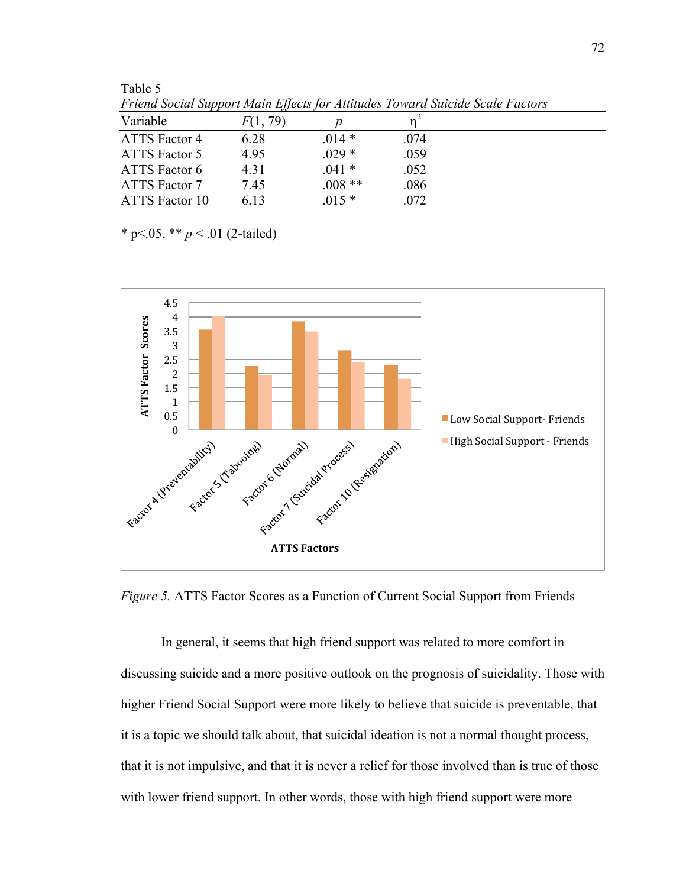| Friend Social Support Main Effects for Attitudes Toward Suicide Scale Factors |          |      |  |  |  |
|-------------------------------------------------------------------------------|----------|------|--|--|--|
| F(1, 79)                                                                      |          |      |  |  |  |
| 6.28                                                                          | $.014*$  | .074 |  |  |  |
| 4.95                                                                          | $.029*$  | .059 |  |  |  |
| 4.31                                                                          | $.041*$  | .052 |  |  |  |
| 7.45                                                                          | $.008**$ | .086 |  |  |  |
| 6.13                                                                          | $.015*$  | .072 |  |  |  |
|                                                                               |          |      |  |  |  |

*Friend Social Support Main Effects for Attitudes Toward Suicide Scale Factors*

 $\overline{\ast p}$  p < .05,  $\overline{\ast p}$  < .01 (2-tailed)

Table 5



*Figure 5.* ATTS Factor Scores as a Function of Current Social Support from Friends

In general, it seems that high friend support was related to more comfort in discussing suicide and a more positive outlook on the prognosis of suicidality. Those with higher Friend Social Support were more likely to believe that suicide is preventable, that it is a topic we should talk about, that suicidal ideation is not a normal thought process, that it is not impulsive, and that it is never a relief for those involved than is true of those with lower friend support. In other words, those with high friend support were more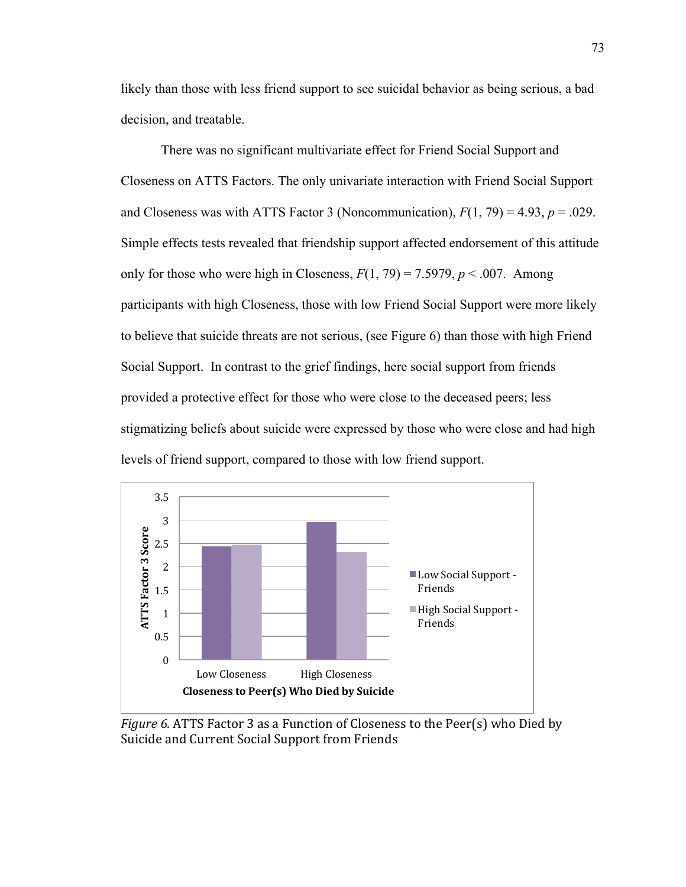likely than those with less friend support to see suicidal behavior as being serious, a bad decision, and treatable.

There was no significant multivariate effect for Friend Social Support and Closeness on ATTS Factors. The only univariate interaction with Friend Social Support and Closeness was with ATTS Factor 3 (Noncommunication),  $F(1, 79) = 4.93$ ,  $p = .029$ . Simple effects tests revealed that friendship support affected endorsement of this attitude only for those who were high in Closeness,  $F(1, 79) = 7.5979$ ,  $p < .007$ . Among participants with high Closeness, those with low Friend Social Support were more likely to believe that suicide threats are not serious, (see Figure 6) than those with high Friend Social Support. In contrast to the grief findings, here social support from friends provided a protective effect for those who were close to the deceased peers; less stigmatizing beliefs about suicide were expressed by those who were close and had high levels of friend support, compared to those with low friend support.



*Figure 6.* ATTS Factor 3 as a Function of Closeness to the Peer(s) who Died by Suicide and Current Social Support from Friends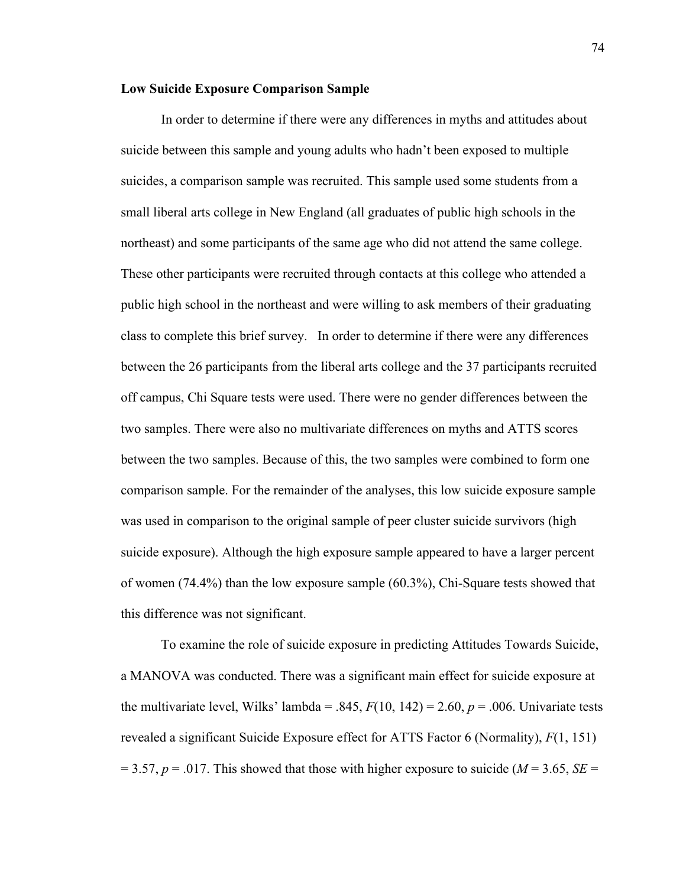## **Low Suicide Exposure Comparison Sample**

In order to determine if there were any differences in myths and attitudes about suicide between this sample and young adults who hadn't been exposed to multiple suicides, a comparison sample was recruited. This sample used some students from a small liberal arts college in New England (all graduates of public high schools in the northeast) and some participants of the same age who did not attend the same college. These other participants were recruited through contacts at this college who attended a public high school in the northeast and were willing to ask members of their graduating class to complete this brief survey. In order to determine if there were any differences between the 26 participants from the liberal arts college and the 37 participants recruited off campus, Chi Square tests were used. There were no gender differences between the two samples. There were also no multivariate differences on myths and ATTS scores between the two samples. Because of this, the two samples were combined to form one comparison sample. For the remainder of the analyses, this low suicide exposure sample was used in comparison to the original sample of peer cluster suicide survivors (high suicide exposure). Although the high exposure sample appeared to have a larger percent of women (74.4%) than the low exposure sample (60.3%), Chi-Square tests showed that this difference was not significant.

To examine the role of suicide exposure in predicting Attitudes Towards Suicide, a MANOVA was conducted. There was a significant main effect for suicide exposure at the multivariate level, Wilks' lambda = .845,  $F(10, 142) = 2.60$ ,  $p = .006$ . Univariate tests revealed a significant Suicide Exposure effect for ATTS Factor 6 (Normality), *F*(1, 151)  $= 3.57, p = .017$ . This showed that those with higher exposure to suicide ( $M = 3.65$ ,  $SE =$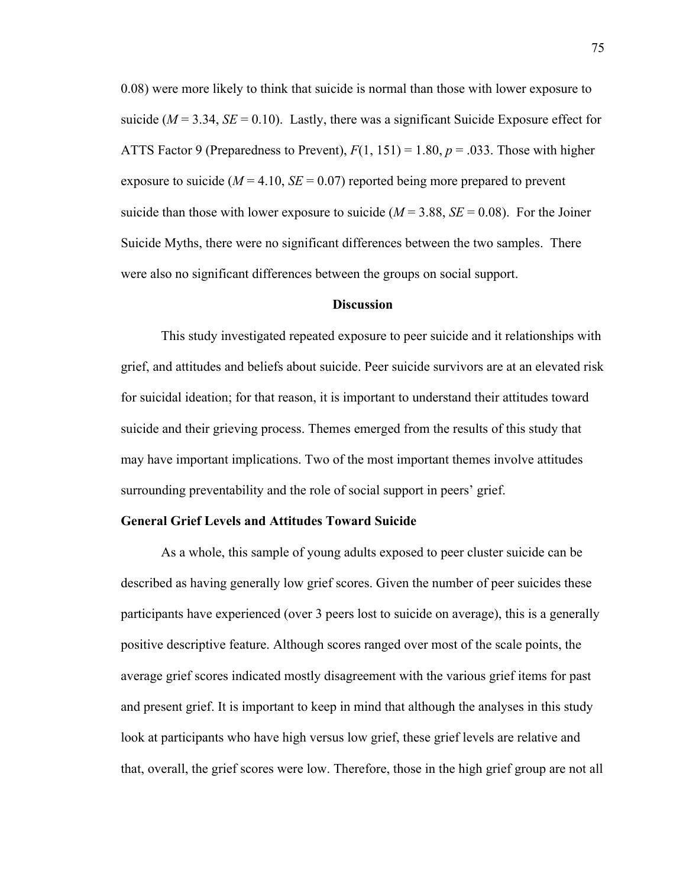0.08) were more likely to think that suicide is normal than those with lower exposure to suicide ( $M = 3.34$ ,  $SE = 0.10$ ). Lastly, there was a significant Suicide Exposure effect for ATTS Factor 9 (Preparedness to Prevent), *F*(1, 151) = 1.80, *p* = .033. Those with higher exposure to suicide ( $M = 4.10$ ,  $SE = 0.07$ ) reported being more prepared to prevent suicide than those with lower exposure to suicide  $(M = 3.88, SE = 0.08)$ . For the Joiner Suicide Myths, there were no significant differences between the two samples. There were also no significant differences between the groups on social support.

#### **Discussion**

This study investigated repeated exposure to peer suicide and it relationships with grief, and attitudes and beliefs about suicide. Peer suicide survivors are at an elevated risk for suicidal ideation; for that reason, it is important to understand their attitudes toward suicide and their grieving process. Themes emerged from the results of this study that may have important implications. Two of the most important themes involve attitudes surrounding preventability and the role of social support in peers' grief.

#### **General Grief Levels and Attitudes Toward Suicide**

As a whole, this sample of young adults exposed to peer cluster suicide can be described as having generally low grief scores. Given the number of peer suicides these participants have experienced (over 3 peers lost to suicide on average), this is a generally positive descriptive feature. Although scores ranged over most of the scale points, the average grief scores indicated mostly disagreement with the various grief items for past and present grief. It is important to keep in mind that although the analyses in this study look at participants who have high versus low grief, these grief levels are relative and that, overall, the grief scores were low. Therefore, those in the high grief group are not all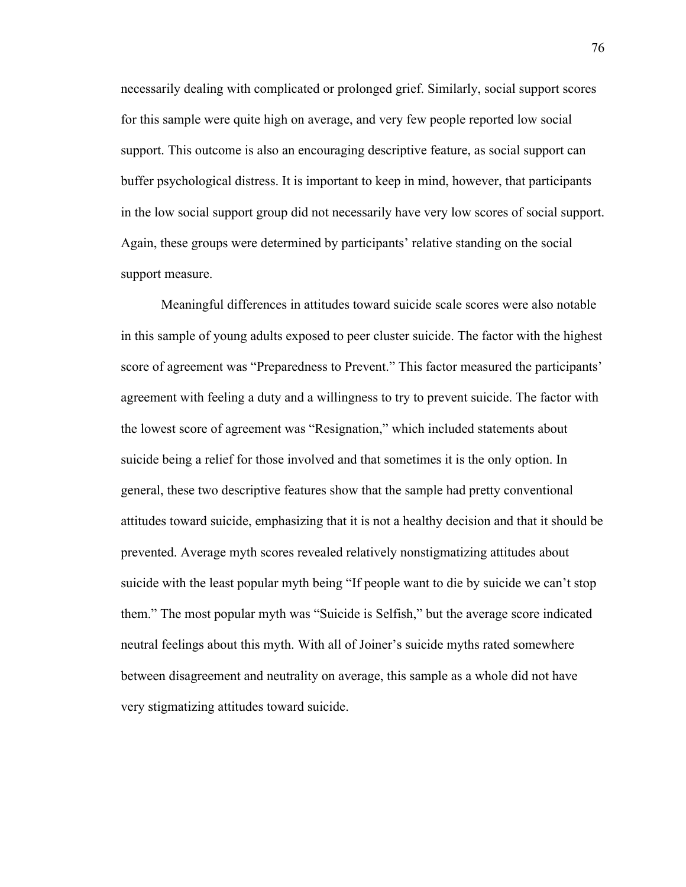necessarily dealing with complicated or prolonged grief. Similarly, social support scores for this sample were quite high on average, and very few people reported low social support. This outcome is also an encouraging descriptive feature, as social support can buffer psychological distress. It is important to keep in mind, however, that participants in the low social support group did not necessarily have very low scores of social support. Again, these groups were determined by participants' relative standing on the social support measure.

Meaningful differences in attitudes toward suicide scale scores were also notable in this sample of young adults exposed to peer cluster suicide. The factor with the highest score of agreement was "Preparedness to Prevent." This factor measured the participants' agreement with feeling a duty and a willingness to try to prevent suicide. The factor with the lowest score of agreement was "Resignation," which included statements about suicide being a relief for those involved and that sometimes it is the only option. In general, these two descriptive features show that the sample had pretty conventional attitudes toward suicide, emphasizing that it is not a healthy decision and that it should be prevented. Average myth scores revealed relatively nonstigmatizing attitudes about suicide with the least popular myth being "If people want to die by suicide we can't stop them." The most popular myth was "Suicide is Selfish," but the average score indicated neutral feelings about this myth. With all of Joiner's suicide myths rated somewhere between disagreement and neutrality on average, this sample as a whole did not have very stigmatizing attitudes toward suicide.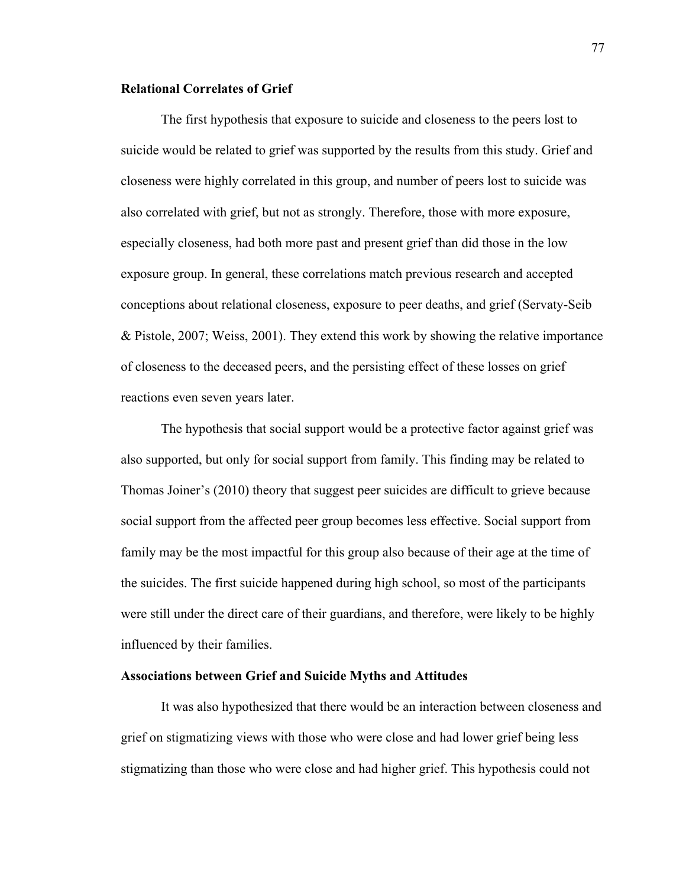## **Relational Correlates of Grief**

The first hypothesis that exposure to suicide and closeness to the peers lost to suicide would be related to grief was supported by the results from this study. Grief and closeness were highly correlated in this group, and number of peers lost to suicide was also correlated with grief, but not as strongly. Therefore, those with more exposure, especially closeness, had both more past and present grief than did those in the low exposure group. In general, these correlations match previous research and accepted conceptions about relational closeness, exposure to peer deaths, and grief (Servaty-Seib & Pistole, 2007; Weiss, 2001). They extend this work by showing the relative importance of closeness to the deceased peers, and the persisting effect of these losses on grief reactions even seven years later.

The hypothesis that social support would be a protective factor against grief was also supported, but only for social support from family. This finding may be related to Thomas Joiner's (2010) theory that suggest peer suicides are difficult to grieve because social support from the affected peer group becomes less effective. Social support from family may be the most impactful for this group also because of their age at the time of the suicides. The first suicide happened during high school, so most of the participants were still under the direct care of their guardians, and therefore, were likely to be highly influenced by their families.

## **Associations between Grief and Suicide Myths and Attitudes**

It was also hypothesized that there would be an interaction between closeness and grief on stigmatizing views with those who were close and had lower grief being less stigmatizing than those who were close and had higher grief. This hypothesis could not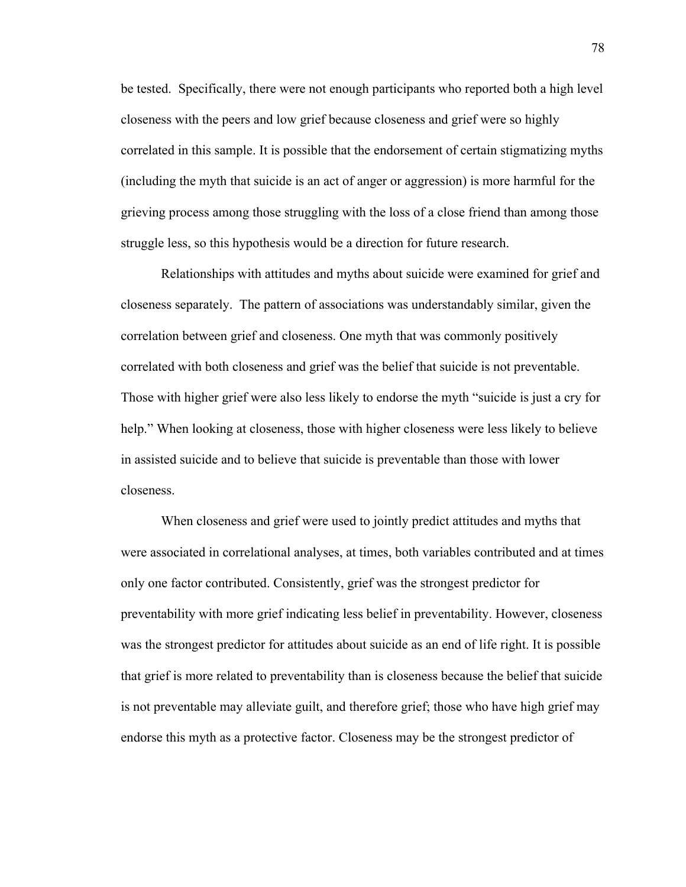be tested. Specifically, there were not enough participants who reported both a high level closeness with the peers and low grief because closeness and grief were so highly correlated in this sample. It is possible that the endorsement of certain stigmatizing myths (including the myth that suicide is an act of anger or aggression) is more harmful for the grieving process among those struggling with the loss of a close friend than among those struggle less, so this hypothesis would be a direction for future research.

Relationships with attitudes and myths about suicide were examined for grief and closeness separately. The pattern of associations was understandably similar, given the correlation between grief and closeness. One myth that was commonly positively correlated with both closeness and grief was the belief that suicide is not preventable. Those with higher grief were also less likely to endorse the myth "suicide is just a cry for help." When looking at closeness, those with higher closeness were less likely to believe in assisted suicide and to believe that suicide is preventable than those with lower closeness.

When closeness and grief were used to jointly predict attitudes and myths that were associated in correlational analyses, at times, both variables contributed and at times only one factor contributed. Consistently, grief was the strongest predictor for preventability with more grief indicating less belief in preventability. However, closeness was the strongest predictor for attitudes about suicide as an end of life right. It is possible that grief is more related to preventability than is closeness because the belief that suicide is not preventable may alleviate guilt, and therefore grief; those who have high grief may endorse this myth as a protective factor. Closeness may be the strongest predictor of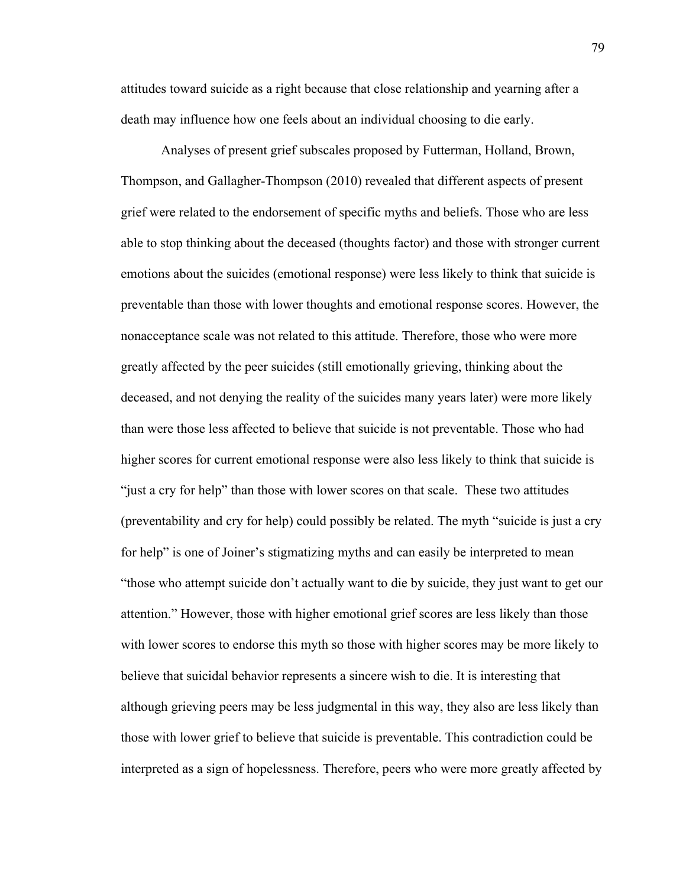attitudes toward suicide as a right because that close relationship and yearning after a death may influence how one feels about an individual choosing to die early.

Analyses of present grief subscales proposed by Futterman, Holland, Brown, Thompson, and Gallagher-Thompson (2010) revealed that different aspects of present grief were related to the endorsement of specific myths and beliefs. Those who are less able to stop thinking about the deceased (thoughts factor) and those with stronger current emotions about the suicides (emotional response) were less likely to think that suicide is preventable than those with lower thoughts and emotional response scores. However, the nonacceptance scale was not related to this attitude. Therefore, those who were more greatly affected by the peer suicides (still emotionally grieving, thinking about the deceased, and not denying the reality of the suicides many years later) were more likely than were those less affected to believe that suicide is not preventable. Those who had higher scores for current emotional response were also less likely to think that suicide is "just a cry for help" than those with lower scores on that scale. These two attitudes (preventability and cry for help) could possibly be related. The myth "suicide is just a cry for help" is one of Joiner's stigmatizing myths and can easily be interpreted to mean "those who attempt suicide don't actually want to die by suicide, they just want to get our attention." However, those with higher emotional grief scores are less likely than those with lower scores to endorse this myth so those with higher scores may be more likely to believe that suicidal behavior represents a sincere wish to die. It is interesting that although grieving peers may be less judgmental in this way, they also are less likely than those with lower grief to believe that suicide is preventable. This contradiction could be interpreted as a sign of hopelessness. Therefore, peers who were more greatly affected by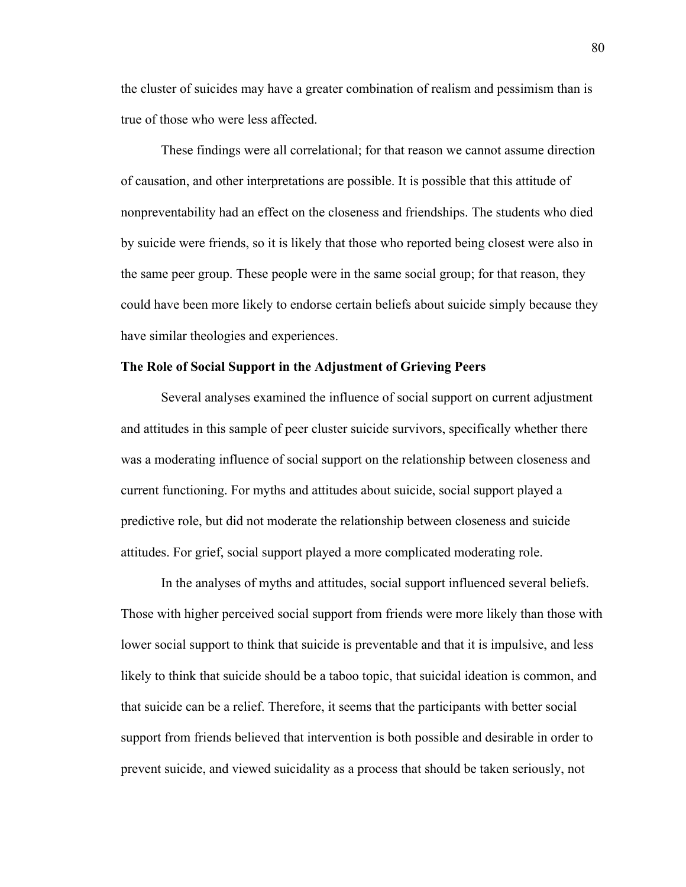the cluster of suicides may have a greater combination of realism and pessimism than is true of those who were less affected.

These findings were all correlational; for that reason we cannot assume direction of causation, and other interpretations are possible. It is possible that this attitude of nonpreventability had an effect on the closeness and friendships. The students who died by suicide were friends, so it is likely that those who reported being closest were also in the same peer group. These people were in the same social group; for that reason, they could have been more likely to endorse certain beliefs about suicide simply because they have similar theologies and experiences.

## **The Role of Social Support in the Adjustment of Grieving Peers**

Several analyses examined the influence of social support on current adjustment and attitudes in this sample of peer cluster suicide survivors, specifically whether there was a moderating influence of social support on the relationship between closeness and current functioning. For myths and attitudes about suicide, social support played a predictive role, but did not moderate the relationship between closeness and suicide attitudes. For grief, social support played a more complicated moderating role.

In the analyses of myths and attitudes, social support influenced several beliefs. Those with higher perceived social support from friends were more likely than those with lower social support to think that suicide is preventable and that it is impulsive, and less likely to think that suicide should be a taboo topic, that suicidal ideation is common, and that suicide can be a relief. Therefore, it seems that the participants with better social support from friends believed that intervention is both possible and desirable in order to prevent suicide, and viewed suicidality as a process that should be taken seriously, not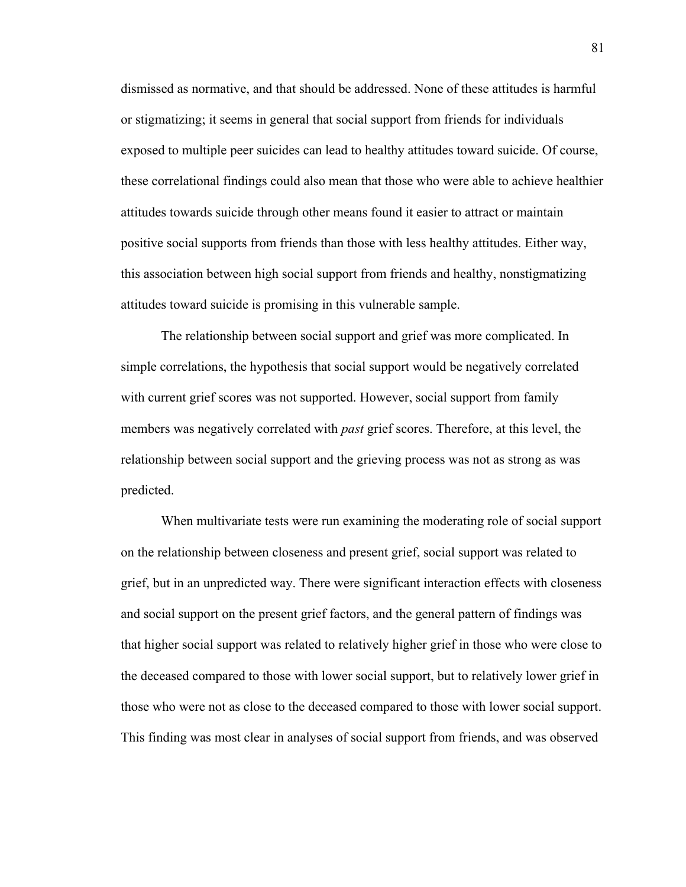dismissed as normative, and that should be addressed. None of these attitudes is harmful or stigmatizing; it seems in general that social support from friends for individuals exposed to multiple peer suicides can lead to healthy attitudes toward suicide. Of course, these correlational findings could also mean that those who were able to achieve healthier attitudes towards suicide through other means found it easier to attract or maintain positive social supports from friends than those with less healthy attitudes. Either way, this association between high social support from friends and healthy, nonstigmatizing attitudes toward suicide is promising in this vulnerable sample.

The relationship between social support and grief was more complicated. In simple correlations, the hypothesis that social support would be negatively correlated with current grief scores was not supported. However, social support from family members was negatively correlated with *past* grief scores. Therefore, at this level, the relationship between social support and the grieving process was not as strong as was predicted.

When multivariate tests were run examining the moderating role of social support on the relationship between closeness and present grief, social support was related to grief, but in an unpredicted way. There were significant interaction effects with closeness and social support on the present grief factors, and the general pattern of findings was that higher social support was related to relatively higher grief in those who were close to the deceased compared to those with lower social support, but to relatively lower grief in those who were not as close to the deceased compared to those with lower social support. This finding was most clear in analyses of social support from friends, and was observed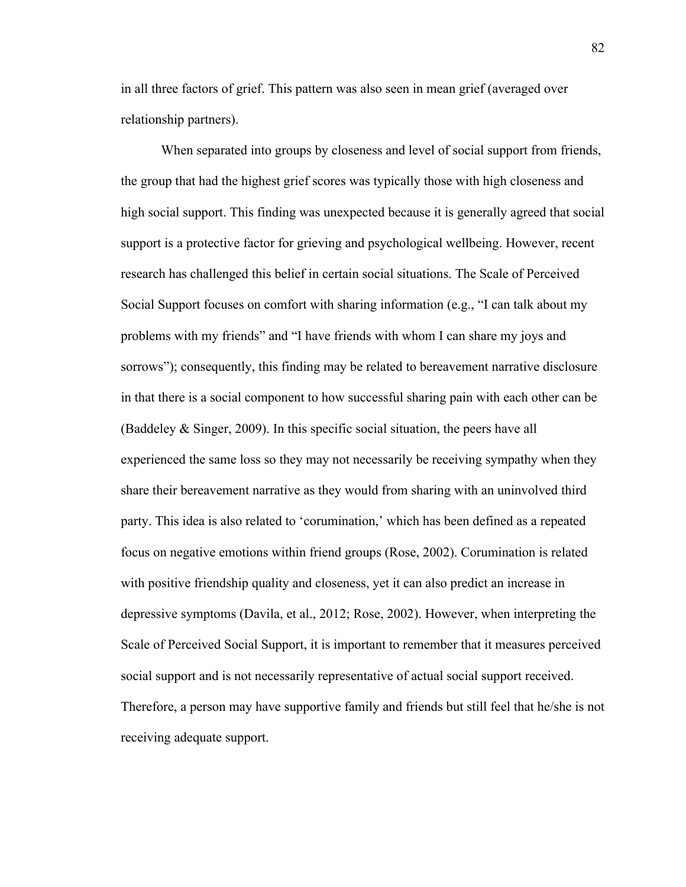in all three factors of grief. This pattern was also seen in mean grief (averaged over relationship partners).

When separated into groups by closeness and level of social support from friends, the group that had the highest grief scores was typically those with high closeness and high social support. This finding was unexpected because it is generally agreed that social support is a protective factor for grieving and psychological wellbeing. However, recent research has challenged this belief in certain social situations. The Scale of Perceived Social Support focuses on comfort with sharing information (e.g., "I can talk about my problems with my friends" and "I have friends with whom I can share my joys and sorrows"); consequently, this finding may be related to bereavement narrative disclosure in that there is a social component to how successful sharing pain with each other can be (Baddeley & Singer, 2009). In this specific social situation, the peers have all experienced the same loss so they may not necessarily be receiving sympathy when they share their bereavement narrative as they would from sharing with an uninvolved third party. This idea is also related to 'corumination,' which has been defined as a repeated focus on negative emotions within friend groups (Rose, 2002). Corumination is related with positive friendship quality and closeness, yet it can also predict an increase in depressive symptoms (Davila, et al., 2012; Rose, 2002). However, when interpreting the Scale of Perceived Social Support, it is important to remember that it measures perceived social support and is not necessarily representative of actual social support received. Therefore, a person may have supportive family and friends but still feel that he/she is not receiving adequate support.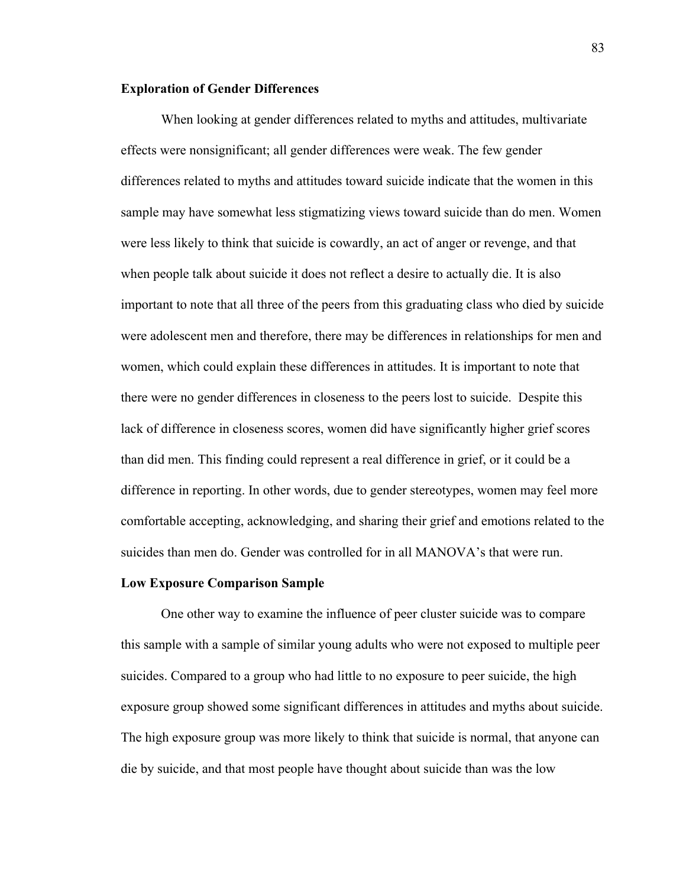## **Exploration of Gender Differences**

When looking at gender differences related to myths and attitudes, multivariate effects were nonsignificant; all gender differences were weak. The few gender differences related to myths and attitudes toward suicide indicate that the women in this sample may have somewhat less stigmatizing views toward suicide than do men. Women were less likely to think that suicide is cowardly, an act of anger or revenge, and that when people talk about suicide it does not reflect a desire to actually die. It is also important to note that all three of the peers from this graduating class who died by suicide were adolescent men and therefore, there may be differences in relationships for men and women, which could explain these differences in attitudes. It is important to note that there were no gender differences in closeness to the peers lost to suicide. Despite this lack of difference in closeness scores, women did have significantly higher grief scores than did men. This finding could represent a real difference in grief, or it could be a difference in reporting. In other words, due to gender stereotypes, women may feel more comfortable accepting, acknowledging, and sharing their grief and emotions related to the suicides than men do. Gender was controlled for in all MANOVA's that were run.

#### **Low Exposure Comparison Sample**

One other way to examine the influence of peer cluster suicide was to compare this sample with a sample of similar young adults who were not exposed to multiple peer suicides. Compared to a group who had little to no exposure to peer suicide, the high exposure group showed some significant differences in attitudes and myths about suicide. The high exposure group was more likely to think that suicide is normal, that anyone can die by suicide, and that most people have thought about suicide than was the low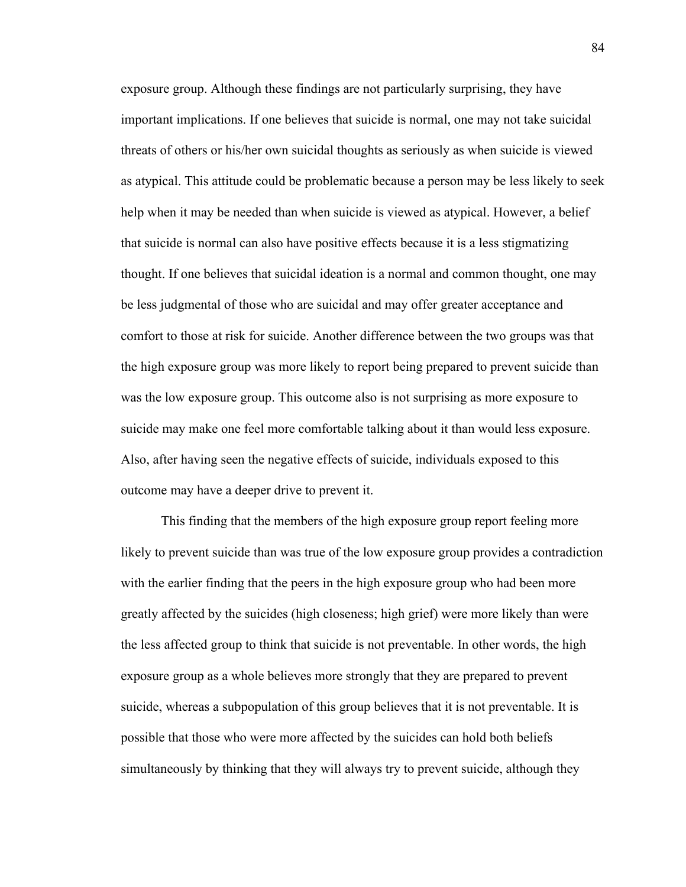exposure group. Although these findings are not particularly surprising, they have important implications. If one believes that suicide is normal, one may not take suicidal threats of others or his/her own suicidal thoughts as seriously as when suicide is viewed as atypical. This attitude could be problematic because a person may be less likely to seek help when it may be needed than when suicide is viewed as atypical. However, a belief that suicide is normal can also have positive effects because it is a less stigmatizing thought. If one believes that suicidal ideation is a normal and common thought, one may be less judgmental of those who are suicidal and may offer greater acceptance and comfort to those at risk for suicide. Another difference between the two groups was that the high exposure group was more likely to report being prepared to prevent suicide than was the low exposure group. This outcome also is not surprising as more exposure to suicide may make one feel more comfortable talking about it than would less exposure. Also, after having seen the negative effects of suicide, individuals exposed to this outcome may have a deeper drive to prevent it.

This finding that the members of the high exposure group report feeling more likely to prevent suicide than was true of the low exposure group provides a contradiction with the earlier finding that the peers in the high exposure group who had been more greatly affected by the suicides (high closeness; high grief) were more likely than were the less affected group to think that suicide is not preventable. In other words, the high exposure group as a whole believes more strongly that they are prepared to prevent suicide, whereas a subpopulation of this group believes that it is not preventable. It is possible that those who were more affected by the suicides can hold both beliefs simultaneously by thinking that they will always try to prevent suicide, although they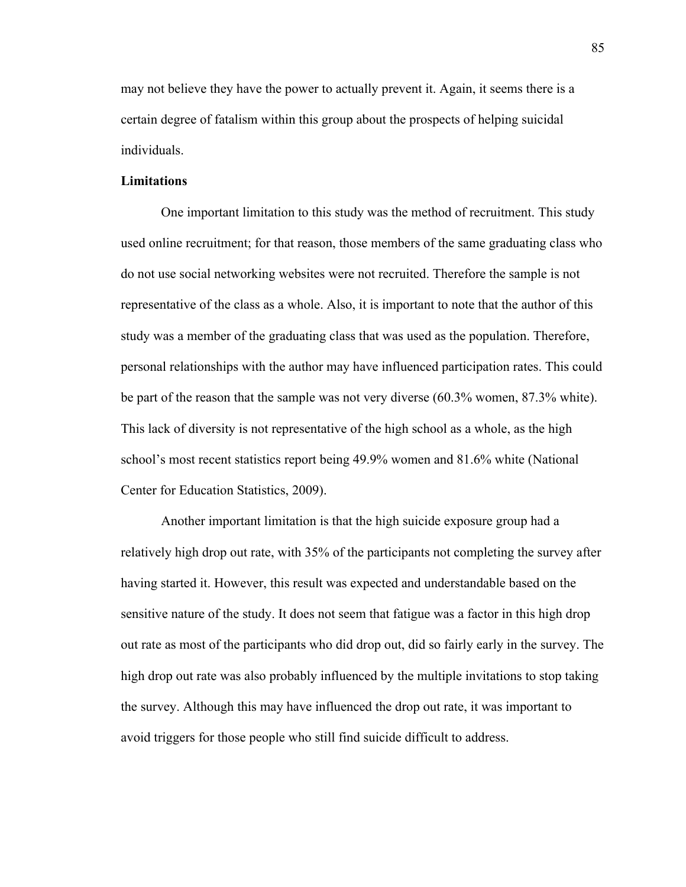may not believe they have the power to actually prevent it. Again, it seems there is a certain degree of fatalism within this group about the prospects of helping suicidal individuals.

## **Limitations**

One important limitation to this study was the method of recruitment. This study used online recruitment; for that reason, those members of the same graduating class who do not use social networking websites were not recruited. Therefore the sample is not representative of the class as a whole. Also, it is important to note that the author of this study was a member of the graduating class that was used as the population. Therefore, personal relationships with the author may have influenced participation rates. This could be part of the reason that the sample was not very diverse (60.3% women, 87.3% white). This lack of diversity is not representative of the high school as a whole, as the high school's most recent statistics report being 49.9% women and 81.6% white (National Center for Education Statistics, 2009).

Another important limitation is that the high suicide exposure group had a relatively high drop out rate, with 35% of the participants not completing the survey after having started it. However, this result was expected and understandable based on the sensitive nature of the study. It does not seem that fatigue was a factor in this high drop out rate as most of the participants who did drop out, did so fairly early in the survey. The high drop out rate was also probably influenced by the multiple invitations to stop taking the survey. Although this may have influenced the drop out rate, it was important to avoid triggers for those people who still find suicide difficult to address.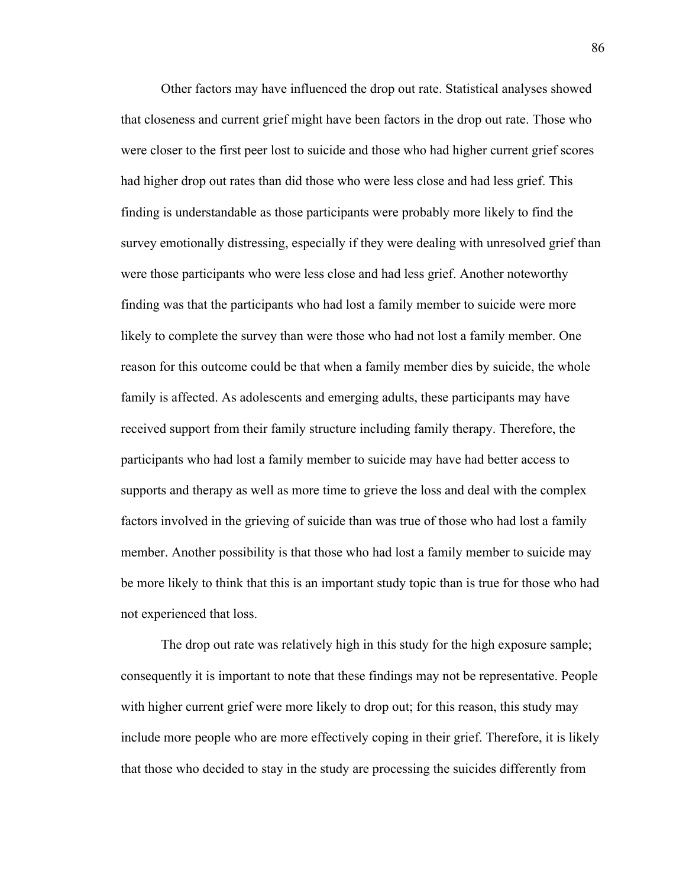Other factors may have influenced the drop out rate. Statistical analyses showed that closeness and current grief might have been factors in the drop out rate. Those who were closer to the first peer lost to suicide and those who had higher current grief scores had higher drop out rates than did those who were less close and had less grief. This finding is understandable as those participants were probably more likely to find the survey emotionally distressing, especially if they were dealing with unresolved grief than were those participants who were less close and had less grief. Another noteworthy finding was that the participants who had lost a family member to suicide were more likely to complete the survey than were those who had not lost a family member. One reason for this outcome could be that when a family member dies by suicide, the whole family is affected. As adolescents and emerging adults, these participants may have received support from their family structure including family therapy. Therefore, the participants who had lost a family member to suicide may have had better access to supports and therapy as well as more time to grieve the loss and deal with the complex factors involved in the grieving of suicide than was true of those who had lost a family member. Another possibility is that those who had lost a family member to suicide may be more likely to think that this is an important study topic than is true for those who had not experienced that loss.

The drop out rate was relatively high in this study for the high exposure sample; consequently it is important to note that these findings may not be representative. People with higher current grief were more likely to drop out; for this reason, this study may include more people who are more effectively coping in their grief. Therefore, it is likely that those who decided to stay in the study are processing the suicides differently from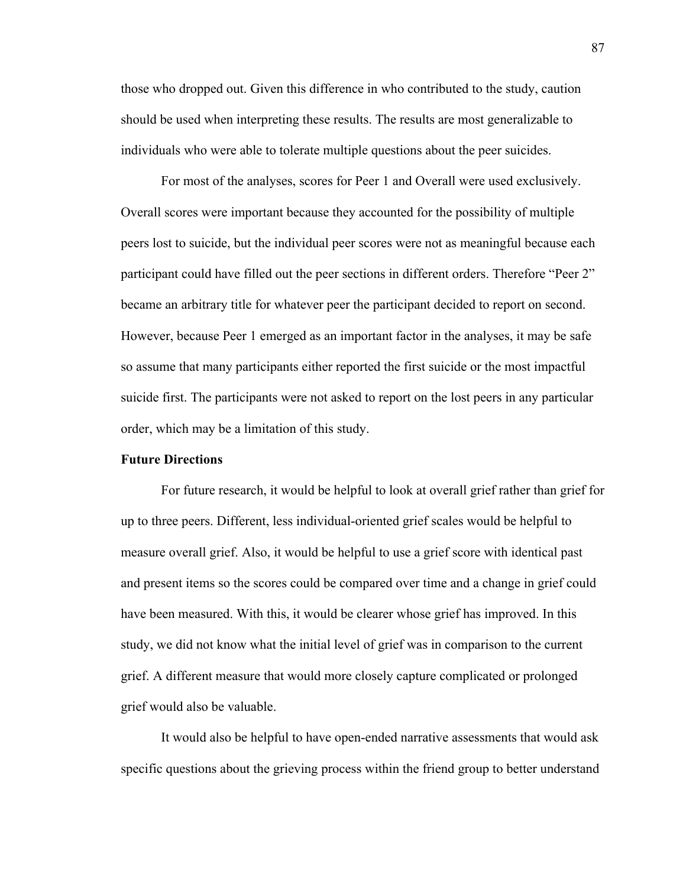those who dropped out. Given this difference in who contributed to the study, caution should be used when interpreting these results. The results are most generalizable to individuals who were able to tolerate multiple questions about the peer suicides.

For most of the analyses, scores for Peer 1 and Overall were used exclusively. Overall scores were important because they accounted for the possibility of multiple peers lost to suicide, but the individual peer scores were not as meaningful because each participant could have filled out the peer sections in different orders. Therefore "Peer 2" became an arbitrary title for whatever peer the participant decided to report on second. However, because Peer 1 emerged as an important factor in the analyses, it may be safe so assume that many participants either reported the first suicide or the most impactful suicide first. The participants were not asked to report on the lost peers in any particular order, which may be a limitation of this study.

### **Future Directions**

For future research, it would be helpful to look at overall grief rather than grief for up to three peers. Different, less individual-oriented grief scales would be helpful to measure overall grief. Also, it would be helpful to use a grief score with identical past and present items so the scores could be compared over time and a change in grief could have been measured. With this, it would be clearer whose grief has improved. In this study, we did not know what the initial level of grief was in comparison to the current grief. A different measure that would more closely capture complicated or prolonged grief would also be valuable.

It would also be helpful to have open-ended narrative assessments that would ask specific questions about the grieving process within the friend group to better understand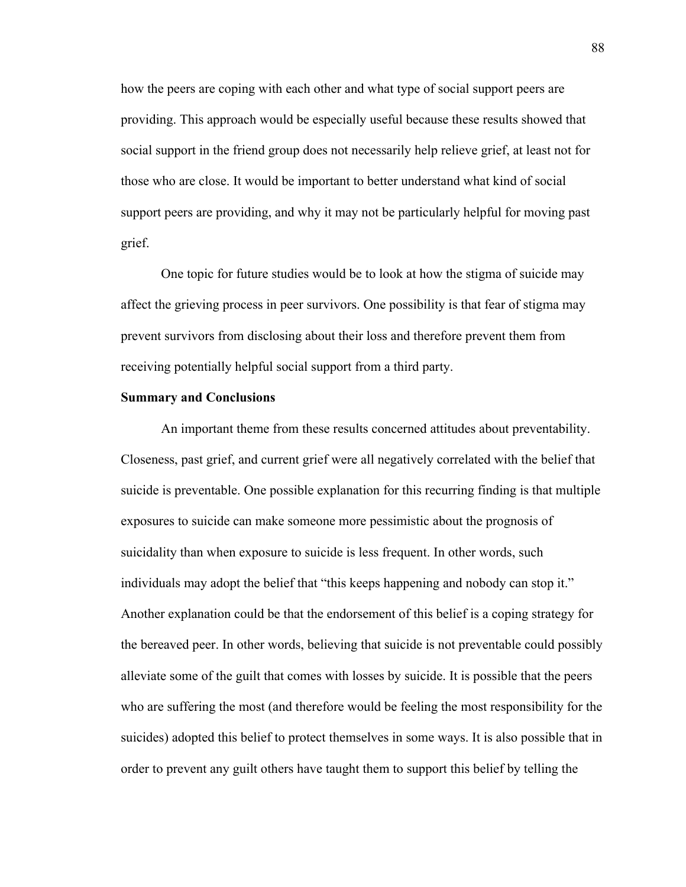how the peers are coping with each other and what type of social support peers are providing. This approach would be especially useful because these results showed that social support in the friend group does not necessarily help relieve grief, at least not for those who are close. It would be important to better understand what kind of social support peers are providing, and why it may not be particularly helpful for moving past grief.

One topic for future studies would be to look at how the stigma of suicide may affect the grieving process in peer survivors. One possibility is that fear of stigma may prevent survivors from disclosing about their loss and therefore prevent them from receiving potentially helpful social support from a third party.

#### **Summary and Conclusions**

An important theme from these results concerned attitudes about preventability. Closeness, past grief, and current grief were all negatively correlated with the belief that suicide is preventable. One possible explanation for this recurring finding is that multiple exposures to suicide can make someone more pessimistic about the prognosis of suicidality than when exposure to suicide is less frequent. In other words, such individuals may adopt the belief that "this keeps happening and nobody can stop it." Another explanation could be that the endorsement of this belief is a coping strategy for the bereaved peer. In other words, believing that suicide is not preventable could possibly alleviate some of the guilt that comes with losses by suicide. It is possible that the peers who are suffering the most (and therefore would be feeling the most responsibility for the suicides) adopted this belief to protect themselves in some ways. It is also possible that in order to prevent any guilt others have taught them to support this belief by telling the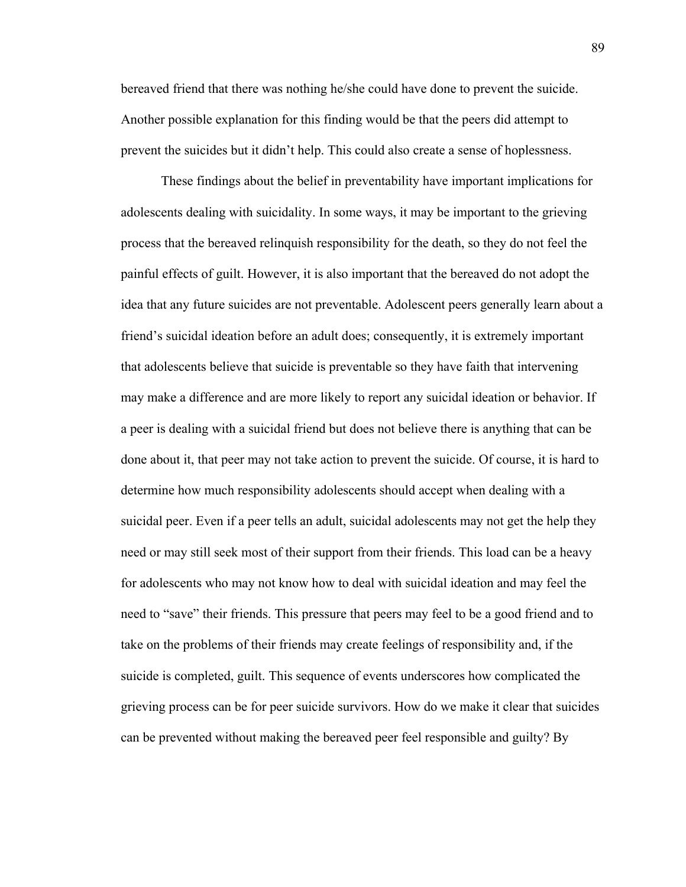bereaved friend that there was nothing he/she could have done to prevent the suicide. Another possible explanation for this finding would be that the peers did attempt to prevent the suicides but it didn't help. This could also create a sense of hoplessness.

These findings about the belief in preventability have important implications for adolescents dealing with suicidality. In some ways, it may be important to the grieving process that the bereaved relinquish responsibility for the death, so they do not feel the painful effects of guilt. However, it is also important that the bereaved do not adopt the idea that any future suicides are not preventable. Adolescent peers generally learn about a friend's suicidal ideation before an adult does; consequently, it is extremely important that adolescents believe that suicide is preventable so they have faith that intervening may make a difference and are more likely to report any suicidal ideation or behavior. If a peer is dealing with a suicidal friend but does not believe there is anything that can be done about it, that peer may not take action to prevent the suicide. Of course, it is hard to determine how much responsibility adolescents should accept when dealing with a suicidal peer. Even if a peer tells an adult, suicidal adolescents may not get the help they need or may still seek most of their support from their friends. This load can be a heavy for adolescents who may not know how to deal with suicidal ideation and may feel the need to "save" their friends. This pressure that peers may feel to be a good friend and to take on the problems of their friends may create feelings of responsibility and, if the suicide is completed, guilt. This sequence of events underscores how complicated the grieving process can be for peer suicide survivors. How do we make it clear that suicides can be prevented without making the bereaved peer feel responsible and guilty? By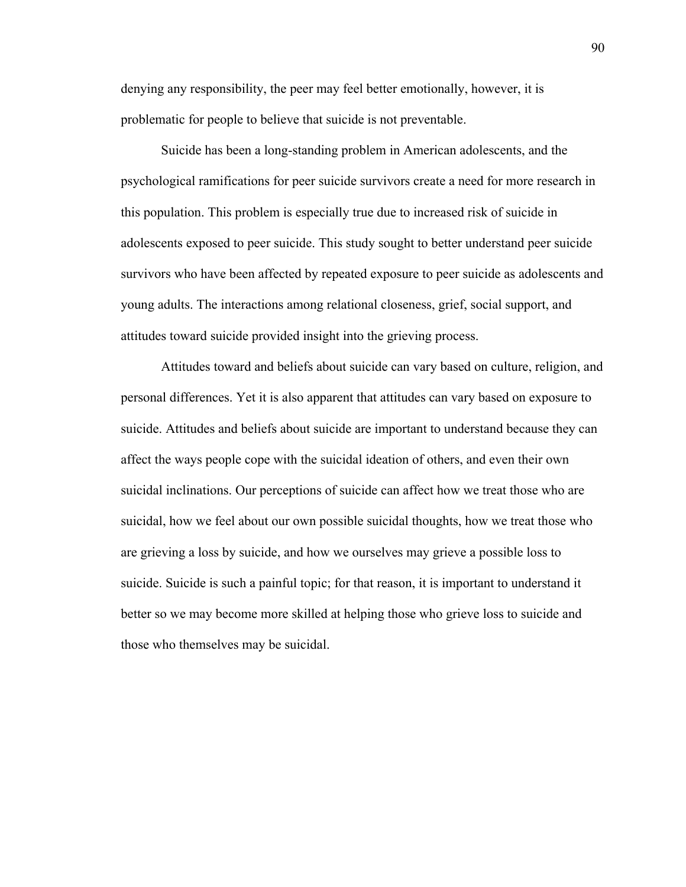denying any responsibility, the peer may feel better emotionally, however, it is problematic for people to believe that suicide is not preventable.

Suicide has been a long-standing problem in American adolescents, and the psychological ramifications for peer suicide survivors create a need for more research in this population. This problem is especially true due to increased risk of suicide in adolescents exposed to peer suicide. This study sought to better understand peer suicide survivors who have been affected by repeated exposure to peer suicide as adolescents and young adults. The interactions among relational closeness, grief, social support, and attitudes toward suicide provided insight into the grieving process.

Attitudes toward and beliefs about suicide can vary based on culture, religion, and personal differences. Yet it is also apparent that attitudes can vary based on exposure to suicide. Attitudes and beliefs about suicide are important to understand because they can affect the ways people cope with the suicidal ideation of others, and even their own suicidal inclinations. Our perceptions of suicide can affect how we treat those who are suicidal, how we feel about our own possible suicidal thoughts, how we treat those who are grieving a loss by suicide, and how we ourselves may grieve a possible loss to suicide. Suicide is such a painful topic; for that reason, it is important to understand it better so we may become more skilled at helping those who grieve loss to suicide and those who themselves may be suicidal.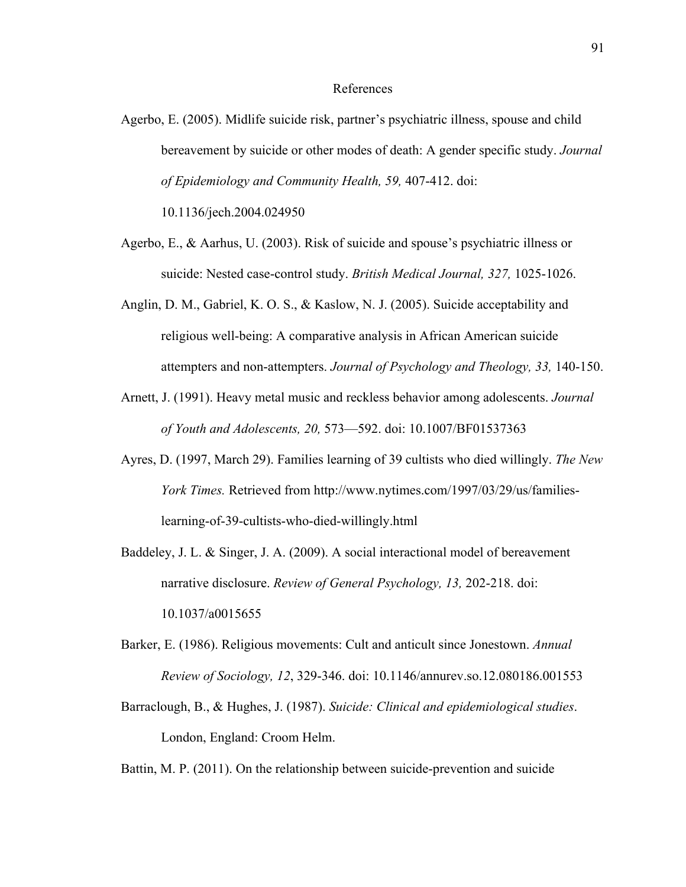#### References

Agerbo, E. (2005). Midlife suicide risk, partner's psychiatric illness, spouse and child bereavement by suicide or other modes of death: A gender specific study. *Journal of Epidemiology and Community Health, 59,* 407-412. doi:

10.1136/jech.2004.024950

- Agerbo, E., & Aarhus, U. (2003). Risk of suicide and spouse's psychiatric illness or suicide: Nested case-control study. *British Medical Journal, 327,* 1025-1026.
- Anglin, D. M., Gabriel, K. O. S., & Kaslow, N. J. (2005). Suicide acceptability and religious well-being: A comparative analysis in African American suicide attempters and non-attempters. *Journal of Psychology and Theology, 33,* 140-150.
- Arnett, J. (1991). Heavy metal music and reckless behavior among adolescents. *Journal of Youth and Adolescents, 20,* 573—592. doi: 10.1007/BF01537363
- Ayres, D. (1997, March 29). Families learning of 39 cultists who died willingly. *The New York Times.* Retrieved from http://www.nytimes.com/1997/03/29/us/familieslearning-of-39-cultists-who-died-willingly.html
- Baddeley, J. L. & Singer, J. A. (2009). A social interactional model of bereavement narrative disclosure. *Review of General Psychology, 13,* 202-218. doi: 10.1037/a0015655
- Barker, E. (1986). Religious movements: Cult and anticult since Jonestown. *Annual Review of Sociology, 12*, 329-346. doi: 10.1146/annurev.so.12.080186.001553
- Barraclough, B., & Hughes, J. (1987). *Suicide: Clinical and epidemiological studies*. London, England: Croom Helm.

Battin, M. P. (2011). On the relationship between suicide-prevention and suicide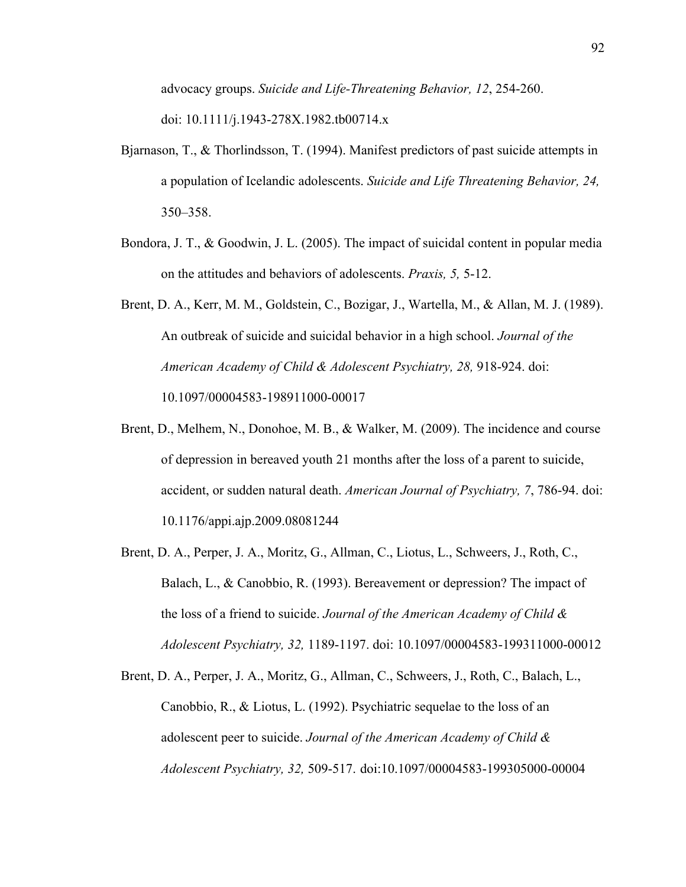advocacy groups. *Suicide and Life-Threatening Behavior, 12*, 254-260. doi: 10.1111/j.1943-278X.1982.tb00714.x

- Bjarnason, T., & Thorlindsson, T. (1994). Manifest predictors of past suicide attempts in a population of Icelandic adolescents. *Suicide and Life Threatening Behavior, 24,* 350–358.
- Bondora, J. T., & Goodwin, J. L. (2005). The impact of suicidal content in popular media on the attitudes and behaviors of adolescents. *Praxis, 5,* 5-12.
- Brent, D. A., Kerr, M. M., Goldstein, C., Bozigar, J., Wartella, M., & Allan, M. J. (1989). An outbreak of suicide and suicidal behavior in a high school. *Journal of the American Academy of Child & Adolescent Psychiatry, 28,* 918-924. doi: 10.1097/00004583-198911000-00017
- Brent, D., Melhem, N., Donohoe, M. B., & Walker, M. (2009). The incidence and course of depression in bereaved youth 21 months after the loss of a parent to suicide, accident, or sudden natural death. *American Journal of Psychiatry, 7*, 786-94. doi: 10.1176/appi.ajp.2009.08081244
- Brent, D. A., Perper, J. A., Moritz, G., Allman, C., Liotus, L., Schweers, J., Roth, C., Balach, L., & Canobbio, R. (1993). Bereavement or depression? The impact of the loss of a friend to suicide. *Journal of the American Academy of Child & Adolescent Psychiatry, 32,* 1189-1197. doi: 10.1097/00004583-199311000-00012
- Brent, D. A., Perper, J. A., Moritz, G., Allman, C., Schweers, J., Roth, C., Balach, L., Canobbio, R., & Liotus, L. (1992). Psychiatric sequelae to the loss of an adolescent peer to suicide. *Journal of the American Academy of Child & Adolescent Psychiatry, 32,* 509-517. doi:10.1097/00004583-199305000-00004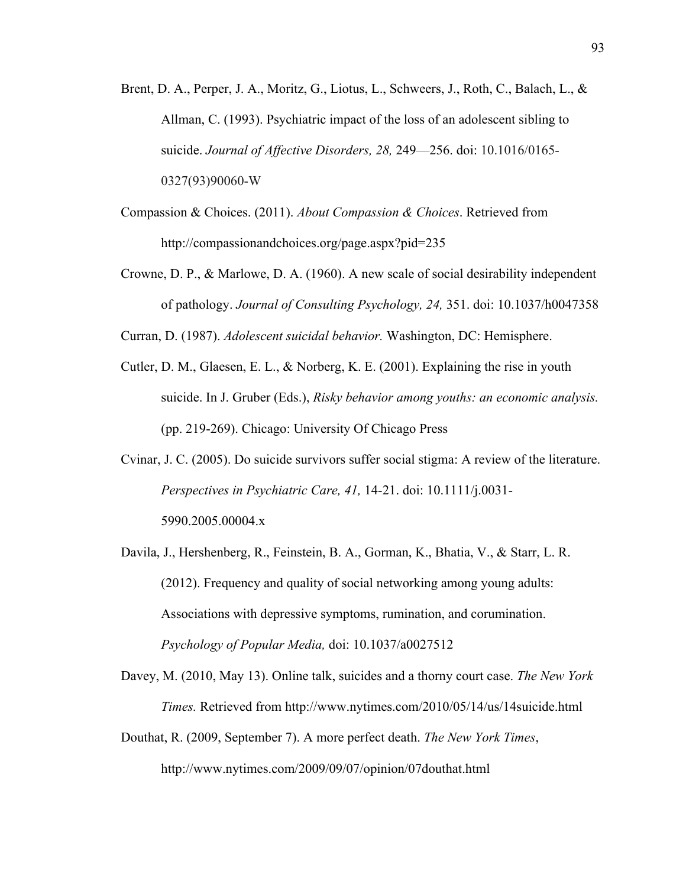- Brent, D. A., Perper, J. A., Moritz, G., Liotus, L., Schweers, J., Roth, C., Balach, L., & Allman, C. (1993). Psychiatric impact of the loss of an adolescent sibling to suicide. *Journal of Affective Disorders, 28,* 249—256. doi: 10.1016/0165- 0327(93)90060-W
- Compassion & Choices. (2011). *About Compassion & Choices*. Retrieved from http://compassionandchoices.org/page.aspx?pid=235
- Crowne, D. P., & Marlowe, D. A. (1960). A new scale of social desirability independent of pathology. *Journal of Consulting Psychology, 24,* 351. doi: 10.1037/h0047358
- Curran, D. (1987). *Adolescent suicidal behavior.* Washington, DC: Hemisphere.
- Cutler, D. M., Glaesen, E. L., & Norberg, K. E. (2001). Explaining the rise in youth suicide. In J. Gruber (Eds.), *Risky behavior among youths: an economic analysis.* (pp. 219-269). Chicago: University Of Chicago Press
- Cvinar, J. C. (2005). Do suicide survivors suffer social stigma: A review of the literature. *Perspectives in Psychiatric Care, 41,* 14-21. doi: 10.1111/j.0031- 5990.2005.00004.x
- Davila, J., Hershenberg, R., Feinstein, B. A., Gorman, K., Bhatia, V., & Starr, L. R. (2012). Frequency and quality of social networking among young adults: Associations with depressive symptoms, rumination, and corumination. *Psychology of Popular Media,* doi: 10.1037/a0027512
- Davey, M. (2010, May 13). Online talk, suicides and a thorny court case. *The New York Times.* Retrieved from http://www.nytimes.com/2010/05/14/us/14suicide.html
- Douthat, R. (2009, September 7). A more perfect death. *The New York Times*, http://www.nytimes.com/2009/09/07/opinion/07douthat.html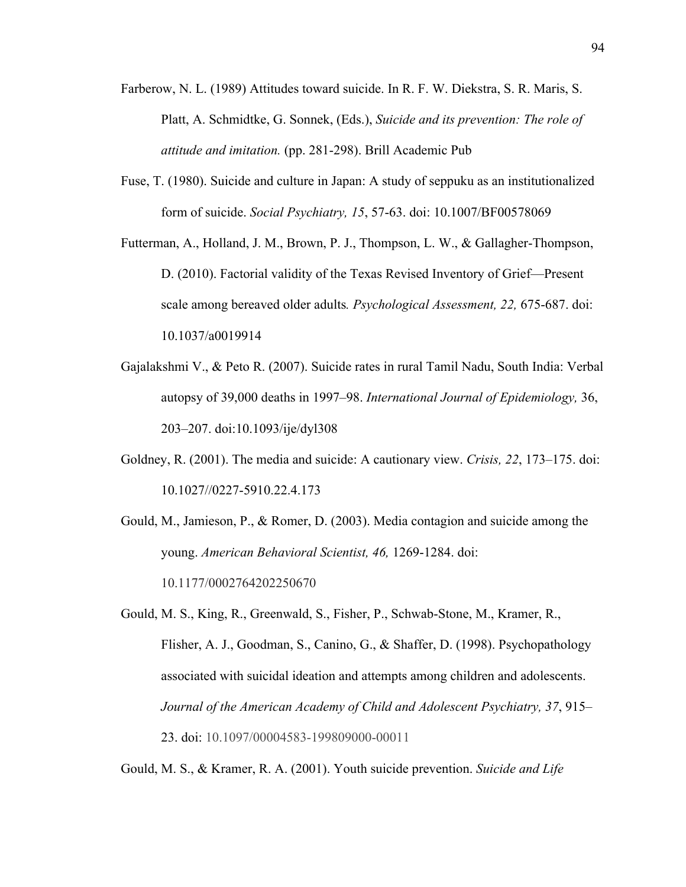- Farberow, N. L. (1989) Attitudes toward suicide. In R. F. W. Diekstra, S. R. Maris, S. Platt, A. Schmidtke, G. Sonnek, (Eds.), *Suicide and its prevention: The role of attitude and imitation.* (pp. 281-298). Brill Academic Pub
- Fuse, T. (1980). Suicide and culture in Japan: A study of seppuku as an institutionalized form of suicide. *Social Psychiatry, 15*, 57-63. doi: 10.1007/BF00578069
- Futterman, A., Holland, J. M., Brown, P. J., Thompson, L. W., & Gallagher-Thompson, D. (2010). Factorial validity of the Texas Revised Inventory of Grief—Present scale among bereaved older adults*. Psychological Assessment, 22,* 675-687. doi: 10.1037/a0019914
- Gajalakshmi V., & Peto R. (2007). Suicide rates in rural Tamil Nadu, South India: Verbal autopsy of 39,000 deaths in 1997–98. *International Journal of Epidemiology,* 36, 203–207. doi:10.1093/ije/dyl308
- Goldney, R. (2001). The media and suicide: A cautionary view. *Crisis, 22*, 173–175. doi: 10.1027//0227-5910.22.4.173
- Gould, M., Jamieson, P., & Romer, D. (2003). Media contagion and suicide among the young. *American Behavioral Scientist, 46,* 1269-1284. doi: 10.1177/0002764202250670
- Gould, M. S., King, R., Greenwald, S., Fisher, P., Schwab-Stone, M., Kramer, R., Flisher, A. J., Goodman, S., Canino, G., & Shaffer, D. (1998). Psychopathology associated with suicidal ideation and attempts among children and adolescents. *Journal of the American Academy of Child and Adolescent Psychiatry, 37*, 915– 23. doi: 10.1097/00004583-199809000-00011

Gould, M. S., & Kramer, R. A. (2001). Youth suicide prevention. *Suicide and Life*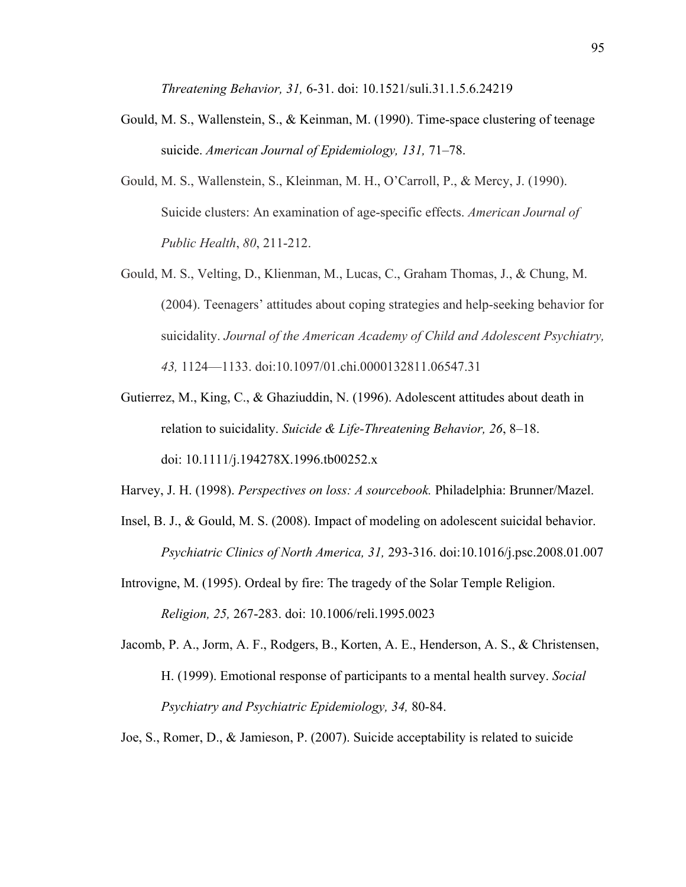*Threatening Behavior, 31,* 6-31. doi: 10.1521/suli.31.1.5.6.24219

- Gould, M. S., Wallenstein, S., & Keinman, M. (1990). Time-space clustering of teenage suicide. *American Journal of Epidemiology, 131,* 71–78.
- Gould, M. S., Wallenstein, S., Kleinman, M. H., O'Carroll, P., & Mercy, J. (1990). Suicide clusters: An examination of age-specific effects. *American Journal of Public Health*, *80*, 211-212.
- Gould, M. S., Velting, D., Klienman, M., Lucas, C., Graham Thomas, J., & Chung, M. (2004). Teenagers' attitudes about coping strategies and help-seeking behavior for suicidality. *Journal of the American Academy of Child and Adolescent Psychiatry, 43,* 1124—1133. doi:10.1097/01.chi.0000132811.06547.31
- Gutierrez, M., King, C., & Ghaziuddin, N. (1996). Adolescent attitudes about death in relation to suicidality. *Suicide & Life-Threatening Behavior, 26*, 8–18. doi: 10.1111/j.194278X.1996.tb00252.x
- Harvey, J. H. (1998). *Perspectives on loss: A sourcebook.* Philadelphia: Brunner/Mazel.
- Insel, B. J., & Gould, M. S. (2008). Impact of modeling on adolescent suicidal behavior. *Psychiatric Clinics of North America, 31,* 293-316. doi:10.1016/j.psc.2008.01.007
- Introvigne, M. (1995). Ordeal by fire: The tragedy of the Solar Temple Religion. *Religion, 25,* 267-283. doi: 10.1006/reli.1995.0023
- Jacomb, P. A., Jorm, A. F., Rodgers, B., Korten, A. E., Henderson, A. S., & Christensen, H. (1999). Emotional response of participants to a mental health survey. *Social Psychiatry and Psychiatric Epidemiology, 34,* 80-84.
- Joe, S., Romer, D., & Jamieson, P. (2007). Suicide acceptability is related to suicide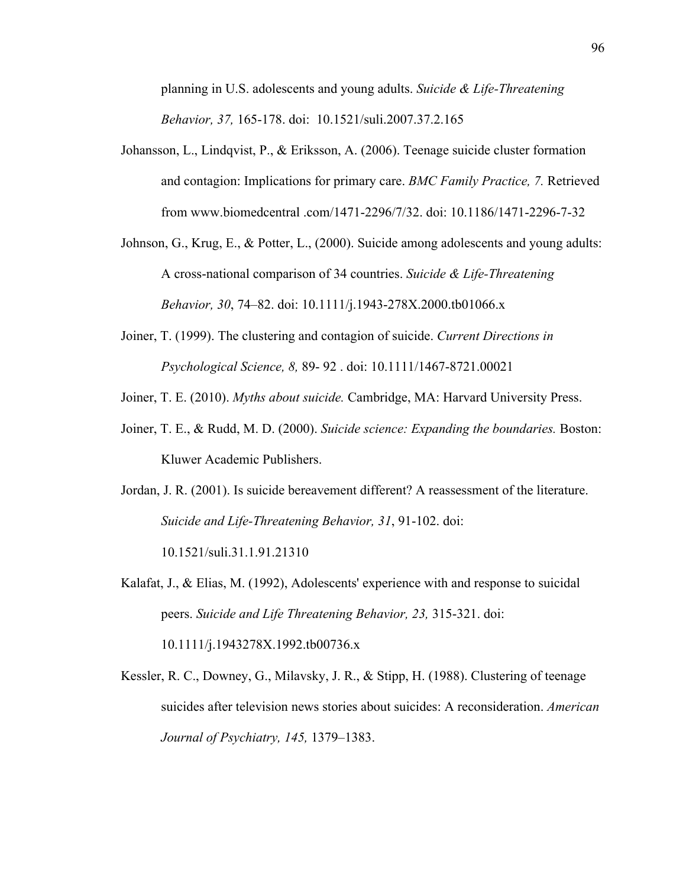planning in U.S. adolescents and young adults. *Suicide & Life-Threatening Behavior, 37,* 165-178. doi: 10.1521/suli.2007.37.2.165

- Johansson, L., Lindqvist, P., & Eriksson, A. (2006). Teenage suicide cluster formation and contagion: Implications for primary care. *BMC Family Practice, 7.* Retrieved from www.biomedcentral .com/1471-2296/7/32. doi: 10.1186/1471-2296-7-32
- Johnson, G., Krug, E., & Potter, L., (2000). Suicide among adolescents and young adults: A cross-national comparison of 34 countries. *Suicide & Life-Threatening Behavior, 30*, 74–82. doi: 10.1111/j.1943-278X.2000.tb01066.x
- Joiner, T. (1999). The clustering and contagion of suicide. *Current Directions in Psychological Science, 8,* 89- 92 . doi: 10.1111/1467-8721.00021
- Joiner, T. E. (2010). *Myths about suicide.* Cambridge, MA: Harvard University Press.
- Joiner, T. E., & Rudd, M. D. (2000). *Suicide science: Expanding the boundaries.* Boston: Kluwer Academic Publishers.
- Jordan, J. R. (2001). Is suicide bereavement different? A reassessment of the literature. *Suicide and Life-Threatening Behavior, 31*, 91-102. doi:

10.1521/suli.31.1.91.21310

Kalafat, J., & Elias, M. (1992), Adolescents' experience with and response to suicidal peers. *Suicide and Life Threatening Behavior, 23,* 315-321. doi:

10.1111/j.1943278X.1992.tb00736.x

Kessler, R. C., Downey, G., Milavsky, J. R., & Stipp, H. (1988). Clustering of teenage suicides after television news stories about suicides: A reconsideration. *American Journal of Psychiatry, 145,* 1379–1383.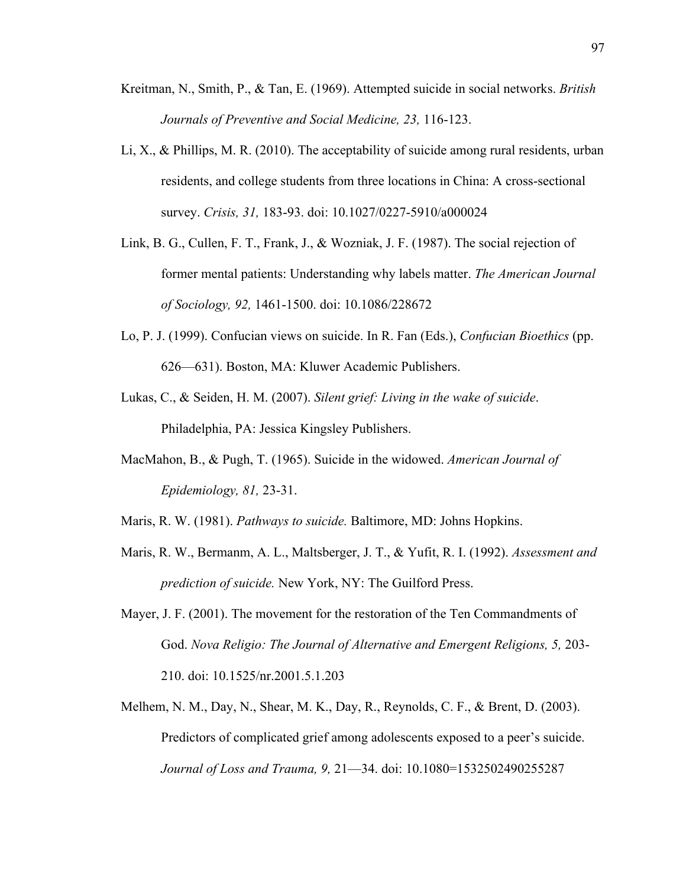- Kreitman, N., Smith, P., & Tan, E. (1969). Attempted suicide in social networks. *British Journals of Preventive and Social Medicine, 23,* 116-123.
- Li, X., & Phillips, M. R. (2010). The acceptability of suicide among rural residents, urban residents, and college students from three locations in China: A cross-sectional survey. *Crisis, 31,* 183-93. doi: 10.1027/0227-5910/a000024
- Link, B. G., Cullen, F. T., Frank, J., & Wozniak, J. F. (1987). The social rejection of former mental patients: Understanding why labels matter. *The American Journal of Sociology, 92,* 1461-1500. doi: 10.1086/228672
- Lo, P. J. (1999). Confucian views on suicide. In R. Fan (Eds.), *Confucian Bioethics* (pp. 626—631). Boston, MA: Kluwer Academic Publishers.
- Lukas, C., & Seiden, H. M. (2007). *Silent grief: Living in the wake of suicide*. Philadelphia, PA: Jessica Kingsley Publishers.
- MacMahon, B., & Pugh, T. (1965). Suicide in the widowed. *American Journal of Epidemiology, 81,* 23-31.
- Maris, R. W. (1981). *Pathways to suicide.* Baltimore, MD: Johns Hopkins.
- Maris, R. W., Bermanm, A. L., Maltsberger, J. T., & Yufit, R. I. (1992). *Assessment and prediction of suicide.* New York, NY: The Guilford Press.
- Mayer, J. F. (2001). The movement for the restoration of the Ten Commandments of God. *Nova Religio: The Journal of Alternative and Emergent Religions, 5,* 203- 210. doi: 10.1525/nr.2001.5.1.203
- Melhem, N. M., Day, N., Shear, M. K., Day, R., Reynolds, C. F., & Brent, D. (2003). Predictors of complicated grief among adolescents exposed to a peer's suicide. *Journal of Loss and Trauma, 9,* 21—34. doi: 10.1080=1532502490255287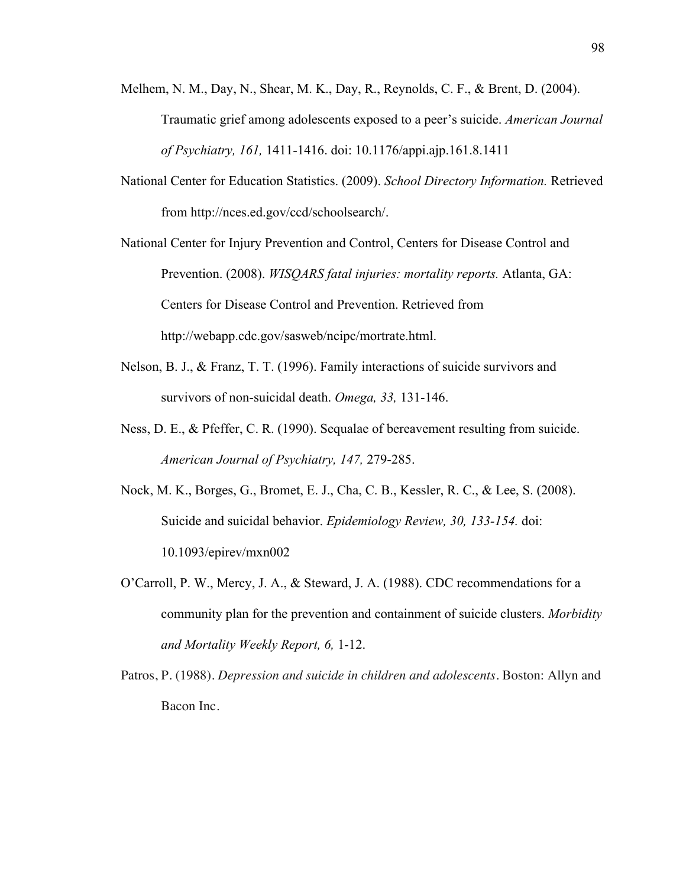- Melhem, N. M., Day, N., Shear, M. K., Day, R., Reynolds, C. F., & Brent, D. (2004). Traumatic grief among adolescents exposed to a peer's suicide. *American Journal of Psychiatry, 161,* 1411-1416. doi: 10.1176/appi.ajp.161.8.1411
- National Center for Education Statistics. (2009). *School Directory Information.* Retrieved from http://nces.ed.gov/ccd/schoolsearch/.
- National Center for Injury Prevention and Control, Centers for Disease Control and Prevention. (2008). *WISQARS fatal injuries: mortality reports.* Atlanta, GA: Centers for Disease Control and Prevention. Retrieved from http://webapp.cdc.gov/sasweb/ncipc/mortrate.html.
- Nelson, B. J., & Franz, T. T. (1996). Family interactions of suicide survivors and survivors of non-suicidal death. *Omega, 33,* 131-146.
- Ness, D. E., & Pfeffer, C. R. (1990). Sequalae of bereavement resulting from suicide. *American Journal of Psychiatry, 147,* 279-285.
- Nock, M. K., Borges, G., Bromet, E. J., Cha, C. B., Kessler, R. C., & Lee, S. (2008). Suicide and suicidal behavior. *Epidemiology Review, 30, 133-154.* doi: 10.1093/epirev/mxn002
- O'Carroll, P. W., Mercy, J. A., & Steward, J. A. (1988). CDC recommendations for a community plan for the prevention and containment of suicide clusters. *Morbidity and Mortality Weekly Report, 6,* 1-12.
- Patros, P. (1988). *Depression and suicide in children and adolescents.* Boston: Allyn and Bacon Inc.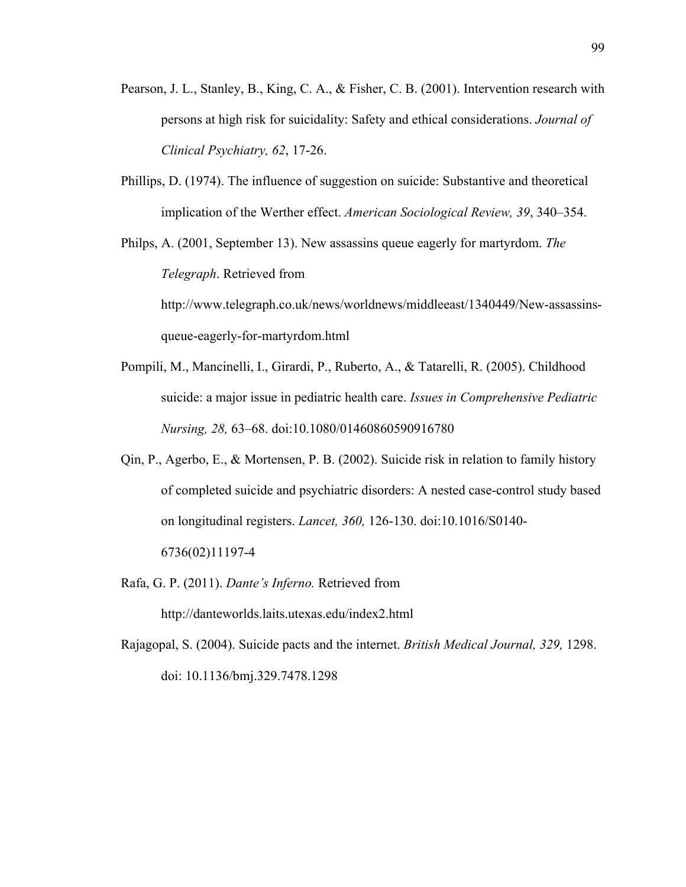- Pearson, J. L., Stanley, B., King, C. A., & Fisher, C. B. (2001). Intervention research with persons at high risk for suicidality: Safety and ethical considerations. *Journal of Clinical Psychiatry, 62*, 17-26.
- Phillips, D. (1974). The influence of suggestion on suicide: Substantive and theoretical implication of the Werther effect. *American Sociological Review, 39*, 340–354.

Philps, A. (2001, September 13). New assassins queue eagerly for martyrdom. *The Telegraph*. Retrieved from http://www.telegraph.co.uk/news/worldnews/middleeast/1340449/New-assassinsqueue-eagerly-for-martyrdom.html

- Pompili, M., Mancinelli, I., Girardi, P., Ruberto, A., & Tatarelli, R. (2005). Childhood suicide: a major issue in pediatric health care. *Issues in Comprehensive Pediatric Nursing, 28,* 63–68. doi:10.1080/01460860590916780
- Qin, P., Agerbo, E., & Mortensen, P. B. (2002). Suicide risk in relation to family history of completed suicide and psychiatric disorders: A nested case-control study based on longitudinal registers. *Lancet, 360,* 126-130. doi:10.1016/S0140- 6736(02)11197-4
- Rafa, G. P. (2011). *Dante's Inferno.* Retrieved from

http://danteworlds.laits.utexas.edu/index2.html

Rajagopal, S. (2004). Suicide pacts and the internet. *British Medical Journal, 329,* 1298. doi: 10.1136/bmj.329.7478.1298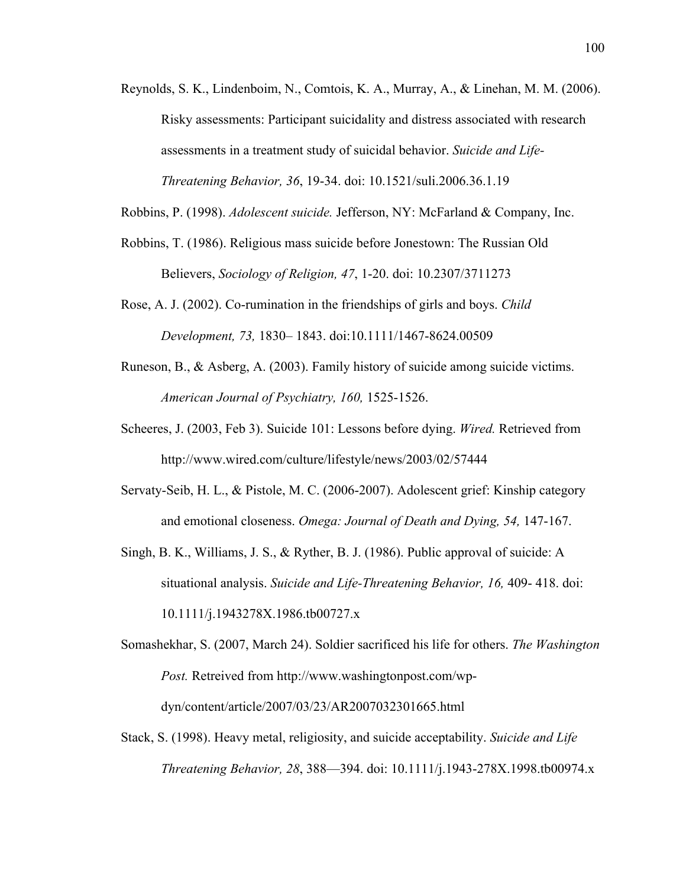Reynolds, S. K., Lindenboim, N., Comtois, K. A., Murray, A., & Linehan, M. M. (2006). Risky assessments: Participant suicidality and distress associated with research assessments in a treatment study of suicidal behavior. *Suicide and Life-Threatening Behavior, 36*, 19-34. doi: 10.1521/suli.2006.36.1.19

Robbins, P. (1998). *Adolescent suicide.* Jefferson, NY: McFarland & Company, Inc.

- Robbins, T. (1986). Religious mass suicide before Jonestown: The Russian Old Believers, *Sociology of Religion, 47*, 1-20. doi: 10.2307/3711273
- Rose, A. J. (2002). Co-rumination in the friendships of girls and boys. *Child Development, 73,* 1830– 1843. doi:10.1111/1467-8624.00509
- Runeson, B., & Asberg, A. (2003). Family history of suicide among suicide victims. *American Journal of Psychiatry, 160,* 1525-1526.
- Scheeres, J. (2003, Feb 3). Suicide 101: Lessons before dying. *Wired.* Retrieved from http://www.wired.com/culture/lifestyle/news/2003/02/57444
- Servaty-Seib, H. L., & Pistole, M. C. (2006-2007). Adolescent grief: Kinship category and emotional closeness. *Omega: Journal of Death and Dying, 54,* 147-167.
- Singh, B. K., Williams, J. S., & Ryther, B. J. (1986). Public approval of suicide: A situational analysis. *Suicide and Life-Threatening Behavior, 16,* 409- 418. doi: 10.1111/j.1943278X.1986.tb00727.x

Somashekhar, S. (2007, March 24). Soldier sacrificed his life for others. *The Washington Post.* Retreived from http://www.washingtonpost.com/wpdyn/content/article/2007/03/23/AR2007032301665.html

Stack, S. (1998). Heavy metal, religiosity, and suicide acceptability. *Suicide and Life Threatening Behavior, 28*, 388—394. doi: 10.1111/j.1943-278X.1998.tb00974.x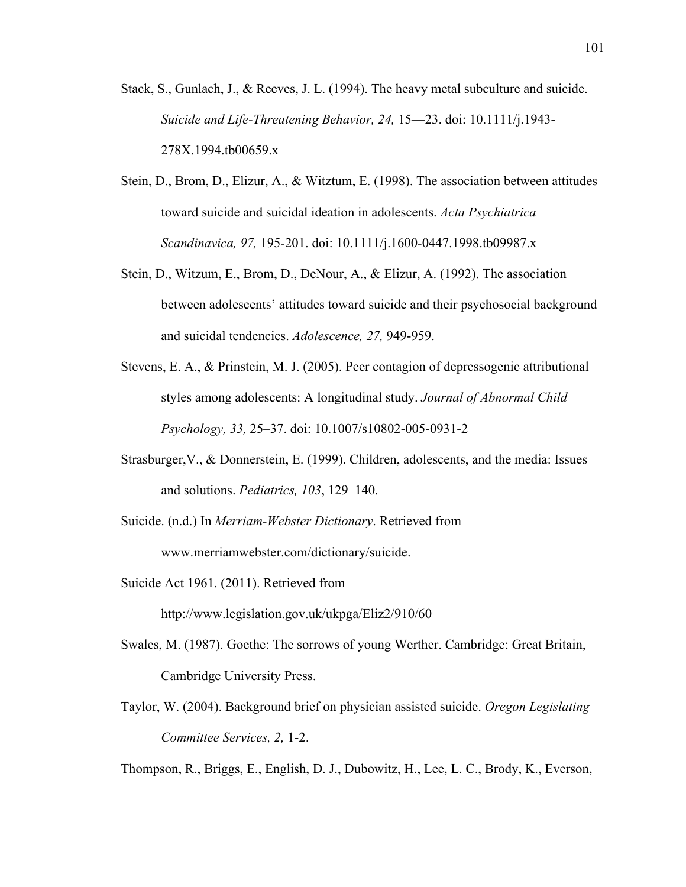- Stack, S., Gunlach, J., & Reeves, J. L. (1994). The heavy metal subculture and suicide. *Suicide and Life-Threatening Behavior, 24,* 15—23. doi: 10.1111/j.1943- 278X.1994.tb00659.x
- Stein, D., Brom, D., Elizur, A., & Witztum, E. (1998). The association between attitudes toward suicide and suicidal ideation in adolescents. *Acta Psychiatrica Scandinavica, 97,* 195-201. doi: 10.1111/j.1600-0447.1998.tb09987.x
- Stein, D., Witzum, E., Brom, D., DeNour, A., & Elizur, A. (1992). The association between adolescents' attitudes toward suicide and their psychosocial background and suicidal tendencies. *Adolescence, 27,* 949-959.
- Stevens, E. A., & Prinstein, M. J. (2005). Peer contagion of depressogenic attributional styles among adolescents: A longitudinal study. *Journal of Abnormal Child Psychology, 33,* 25–37. doi: 10.1007/s10802-005-0931-2
- Strasburger,V., & Donnerstein, E. (1999). Children, adolescents, and the media: Issues and solutions. *Pediatrics, 103*, 129–140.
- Suicide. (n.d.) In *Merriam-Webster Dictionary*. Retrieved from www.merriamwebster.com/dictionary/suicide.
- Suicide Act 1961. (2011). Retrieved from

http://www.legislation.gov.uk/ukpga/Eliz2/910/60

- Swales, M. (1987). Goethe: The sorrows of young Werther. Cambridge: Great Britain, Cambridge University Press.
- Taylor, W. (2004). Background brief on physician assisted suicide. *Oregon Legislating Committee Services, 2,* 1-2.

Thompson, R., Briggs, E., English, D. J., Dubowitz, H., Lee, L. C., Brody, K., Everson,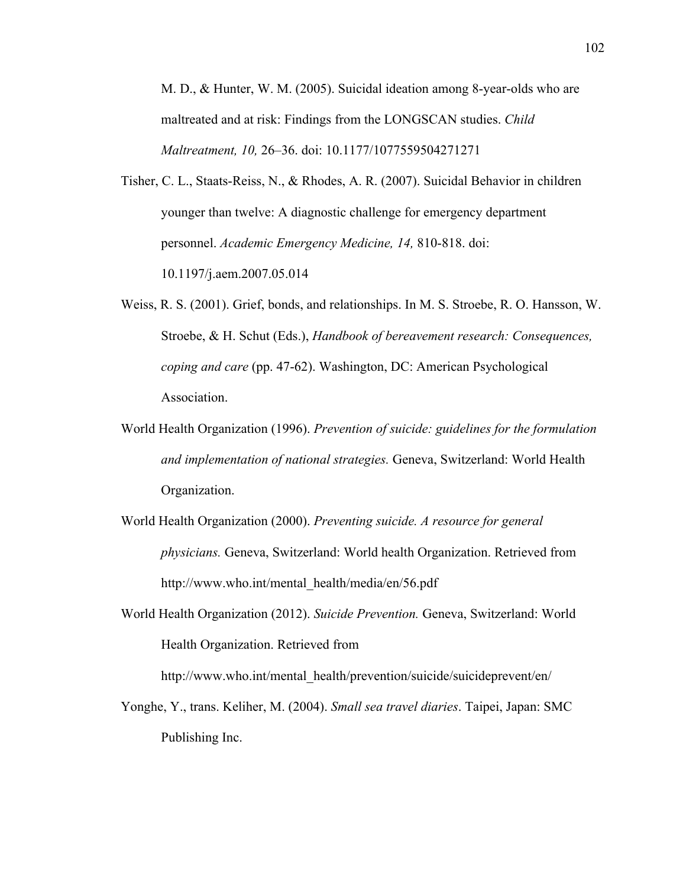M. D., & Hunter, W. M. (2005). Suicidal ideation among 8-year-olds who are maltreated and at risk: Findings from the LONGSCAN studies. *Child Maltreatment, 10,* 26–36. doi: 10.1177/1077559504271271

- Tisher, C. L., Staats-Reiss, N., & Rhodes, A. R. (2007). Suicidal Behavior in children younger than twelve: A diagnostic challenge for emergency department personnel. *Academic Emergency Medicine, 14,* 810-818. doi: 10.1197/j.aem.2007.05.014
- Weiss, R. S. (2001). Grief, bonds, and relationships. In M. S. Stroebe, R. O. Hansson, W. Stroebe, & H. Schut (Eds.), *Handbook of bereavement research: Consequences, coping and care* (pp. 47-62). Washington, DC: American Psychological Association.
- World Health Organization (1996). *Prevention of suicide: guidelines for the formulation and implementation of national strategies.* Geneva, Switzerland: World Health Organization.
- World Health Organization (2000). *Preventing suicide. A resource for general physicians.* Geneva, Switzerland: World health Organization. Retrieved from http://www.who.int/mental\_health/media/en/56.pdf
- World Health Organization (2012). *Suicide Prevention.* Geneva, Switzerland: World Health Organization. Retrieved from

http://www.who.int/mental\_health/prevention/suicide/suicideprevent/en/

Yonghe, Y., trans. Keliher, M. (2004). *Small sea travel diaries*. Taipei, Japan: SMC Publishing Inc.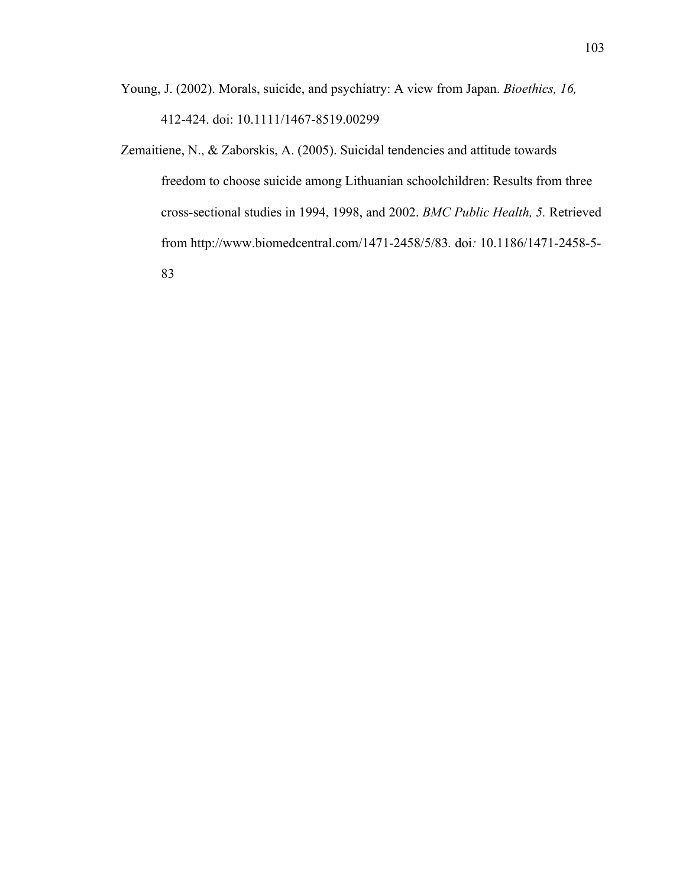- Young, J. (2002). Morals, suicide, and psychiatry: A view from Japan. *Bioethics, 16,* 412-424. doi: 10.1111/1467-8519.00299
- Zemaitiene, N., & Zaborskis, A. (2005). Suicidal tendencies and attitude towards freedom to choose suicide among Lithuanian schoolchildren: Results from three cross-sectional studies in 1994, 1998, and 2002. *BMC Public Health, 5.* Retrieved from http://www.biomedcentral.com/1471-2458/5/83*.* doi*:* 10.1186/1471-2458-5- 83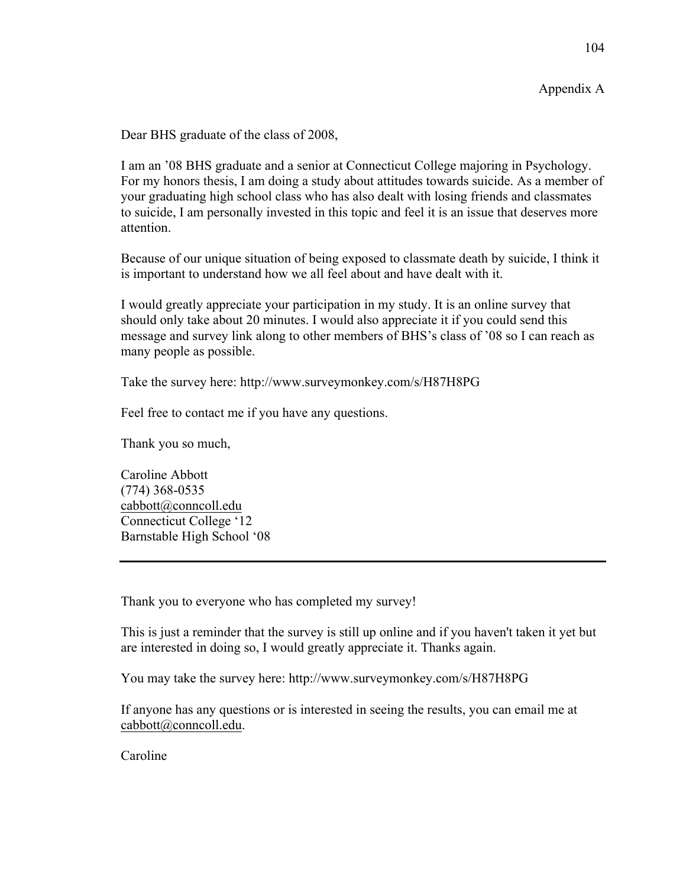Dear BHS graduate of the class of 2008,

I am an '08 BHS graduate and a senior at Connecticut College majoring in Psychology. For my honors thesis, I am doing a study about attitudes towards suicide. As a member of your graduating high school class who has also dealt with losing friends and classmates to suicide, I am personally invested in this topic and feel it is an issue that deserves more attention.

Because of our unique situation of being exposed to classmate death by suicide, I think it is important to understand how we all feel about and have dealt with it.

I would greatly appreciate your participation in my study. It is an online survey that should only take about 20 minutes. I would also appreciate it if you could send this message and survey link along to other members of BHS's class of '08 so I can reach as many people as possible.

Take the survey here: http://www.surveymonkey.com/s/H87H8PG

Feel free to contact me if you have any questions.

Thank you so much,

Caroline Abbott (774) 368-0535 cabbott@conncoll.edu Connecticut College '12 Barnstable High School '08

Thank you to everyone who has completed my survey!

This is just a reminder that the survey is still up online and if you haven't taken it yet but are interested in doing so, I would greatly appreciate it. Thanks again.

You may take the survey here: http://www.surveymonkey.com/s/H87H8PG

If anyone has any questions or is interested in seeing the results, you can email me at cabbott@conncoll.edu.

Caroline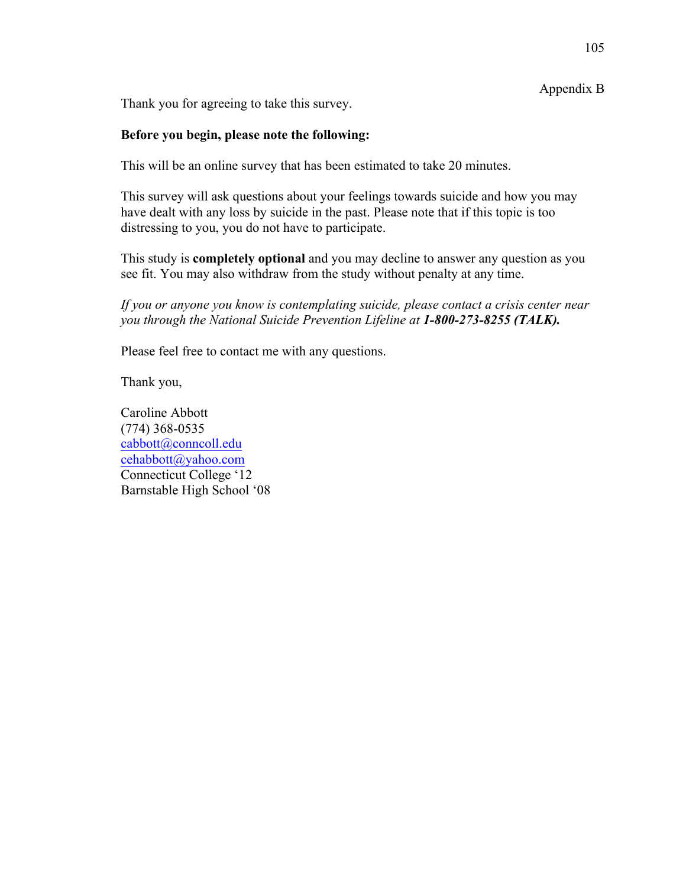Appendix B

Thank you for agreeing to take this survey.

# **Before you begin, please note the following:**

This will be an online survey that has been estimated to take 20 minutes.

This survey will ask questions about your feelings towards suicide and how you may have dealt with any loss by suicide in the past. Please note that if this topic is too distressing to you, you do not have to participate.

This study is **completely optional** and you may decline to answer any question as you see fit. You may also withdraw from the study without penalty at any time.

*If you or anyone you know is contemplating suicide, please contact a crisis center near you through the National Suicide Prevention Lifeline at 1-800-273-8255 (TALK).* 

Please feel free to contact me with any questions.

Thank you,

Caroline Abbott (774) 368-0535 cabbott@conncoll.edu cehabbott@yahoo.com Connecticut College '12 Barnstable High School '08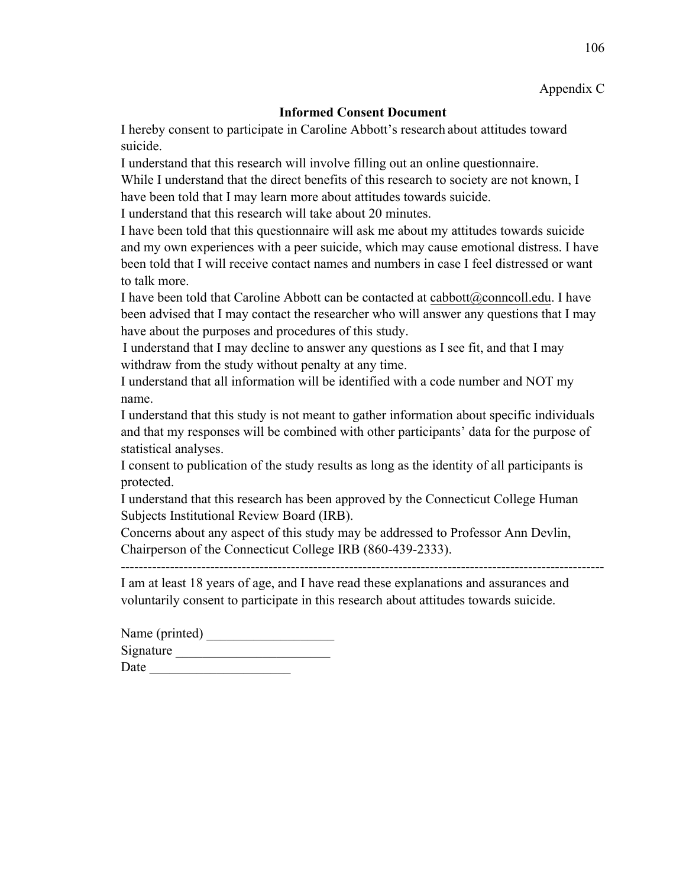Appendix C

## **Informed Consent Document**

I hereby consent to participate in Caroline Abbott's research about attitudes toward suicide.

I understand that this research will involve filling out an online questionnaire. While I understand that the direct benefits of this research to society are not known, I

have been told that I may learn more about attitudes towards suicide.

I understand that this research will take about 20 minutes.

I have been told that this questionnaire will ask me about my attitudes towards suicide and my own experiences with a peer suicide, which may cause emotional distress. I have been told that I will receive contact names and numbers in case I feel distressed or want to talk more.

I have been told that Caroline Abbott can be contacted at cabbott@conncoll.edu. I have been advised that I may contact the researcher who will answer any questions that I may have about the purposes and procedures of this study.

I understand that I may decline to answer any questions as I see fit, and that I may withdraw from the study without penalty at any time.

I understand that all information will be identified with a code number and NOT my name.

I understand that this study is not meant to gather information about specific individuals and that my responses will be combined with other participants' data for the purpose of statistical analyses.

I consent to publication of the study results as long as the identity of all participants is protected.

I understand that this research has been approved by the Connecticut College Human Subjects Institutional Review Board (IRB).

Concerns about any aspect of this study may be addressed to Professor Ann Devlin, Chairperson of the Connecticut College IRB (860-439-2333).

------------------------------------------------------------------------------------------------------------

I am at least 18 years of age, and I have read these explanations and assurances and voluntarily consent to participate in this research about attitudes towards suicide.

| Name (printed) |  |
|----------------|--|
| Signature      |  |
| Date           |  |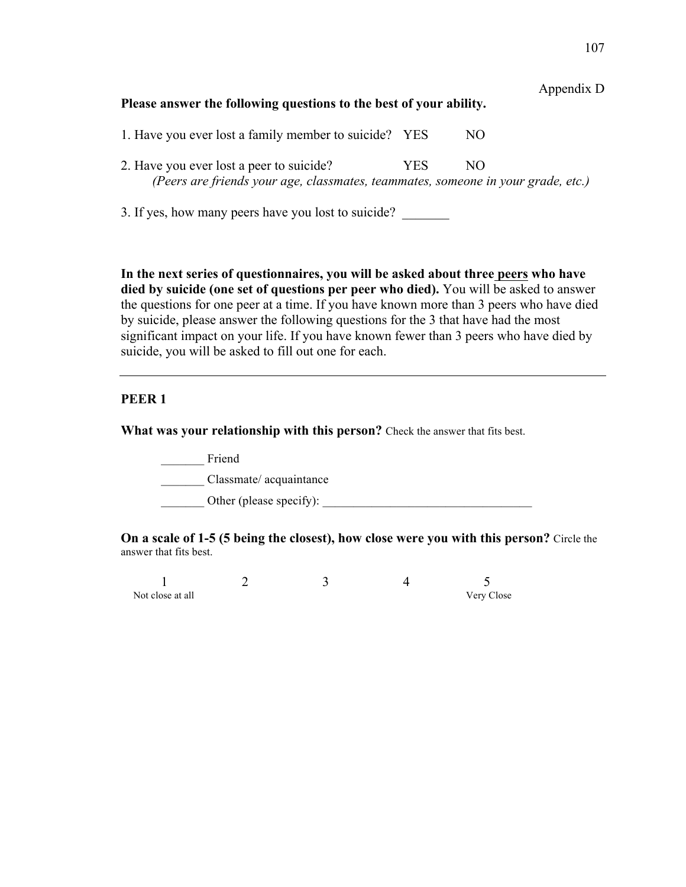| Appendix D<br>Please answer the following questions to the best of your ability.                                             |            |     |  |  |  |  |  |
|------------------------------------------------------------------------------------------------------------------------------|------------|-----|--|--|--|--|--|
| 1. Have you ever lost a family member to suicide? YES                                                                        |            | NO. |  |  |  |  |  |
| 2. Have you ever lost a peer to suicide?<br>(Peers are friends your age, classmates, teammates, someone in your grade, etc.) | <b>YES</b> | NO. |  |  |  |  |  |
| 3. If yes, how many peers have you lost to suicide?                                                                          |            |     |  |  |  |  |  |

**In the next series of questionnaires, you will be asked about three peers who have died by suicide (one set of questions per peer who died).** You will be asked to answer the questions for one peer at a time. If you have known more than 3 peers who have died by suicide, please answer the following questions for the 3 that have had the most significant impact on your life. If you have known fewer than 3 peers who have died by suicide, you will be asked to fill out one for each.

## **PEER 1**

**What was your relationship with this person?** Check the answer that fits best.

\_\_\_\_\_\_\_ Friend \_\_\_\_\_\_\_ Classmate/ acquaintance \_\_\_\_\_\_\_\_ Other (please specify):

**On a scale of 1-5 (5 being the closest), how close were you with this person?** Circle the answer that fits best.

| Not close at all |  | Very Close |
|------------------|--|------------|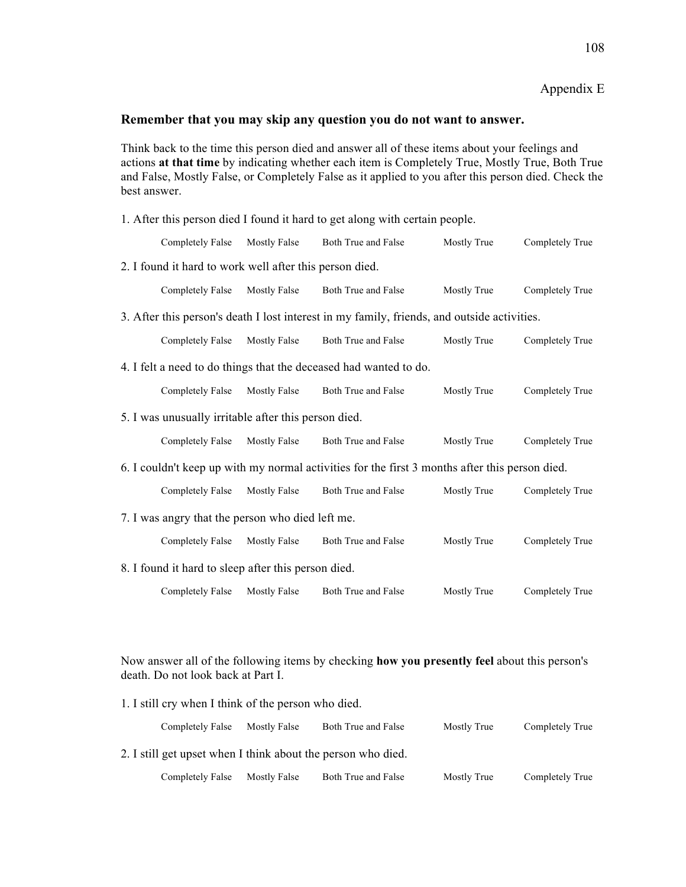Appendix E

#### **Remember that you may skip any question you do not want to answer.**

Think back to the time this person died and answer all of these items about your feelings and actions **at that time** by indicating whether each item is Completely True, Mostly True, Both True and False, Mostly False, or Completely False as it applied to you after this person died. Check the best answer.

1. After this person died I found it hard to get along with certain people.

|                                                                                                | Completely False                                        | <b>Mostly False</b> | Both True and False                                                                         | Mostly True | Completely True |
|------------------------------------------------------------------------------------------------|---------------------------------------------------------|---------------------|---------------------------------------------------------------------------------------------|-------------|-----------------|
|                                                                                                | 2. I found it hard to work well after this person died. |                     |                                                                                             |             |                 |
|                                                                                                | Completely False                                        | Mostly False        | Both True and False                                                                         | Mostly True | Completely True |
|                                                                                                |                                                         |                     | 3. After this person's death I lost interest in my family, friends, and outside activities. |             |                 |
|                                                                                                | Completely False                                        | Mostly False        | Both True and False                                                                         | Mostly True | Completely True |
|                                                                                                |                                                         |                     | 4. I felt a need to do things that the deceased had wanted to do.                           |             |                 |
|                                                                                                | Completely False                                        | <b>Mostly False</b> | Both True and False                                                                         | Mostly True | Completely True |
|                                                                                                | 5. I was unusually irritable after this person died.    |                     |                                                                                             |             |                 |
|                                                                                                | Completely False                                        | Mostly False        | Both True and False                                                                         | Mostly True | Completely True |
| 6. I couldn't keep up with my normal activities for the first 3 months after this person died. |                                                         |                     |                                                                                             |             |                 |
|                                                                                                | Completely False                                        | Mostly False        | Both True and False                                                                         | Mostly True | Completely True |
| 7. I was angry that the person who died left me.                                               |                                                         |                     |                                                                                             |             |                 |
|                                                                                                | Completely False                                        | <b>Mostly False</b> | Both True and False                                                                         | Mostly True | Completely True |
| 8. I found it hard to sleep after this person died.                                            |                                                         |                     |                                                                                             |             |                 |
|                                                                                                | Completely False                                        | Mostly False        | Both True and False                                                                         | Mostly True | Completely True |

Now answer all of the following items by checking **how you presently feel** about this person's death. Do not look back at Part I.

|                                                              | 1. I still cry when I think of the person who died. |              |                     |             |                 |
|--------------------------------------------------------------|-----------------------------------------------------|--------------|---------------------|-------------|-----------------|
|                                                              | Completely False                                    | Mostly False | Both True and False | Mostly True | Completely True |
| 2. I still get upset when I think about the person who died. |                                                     |              |                     |             |                 |
|                                                              | Completely False                                    | Mostly False | Both True and False | Mostly True | Completely True |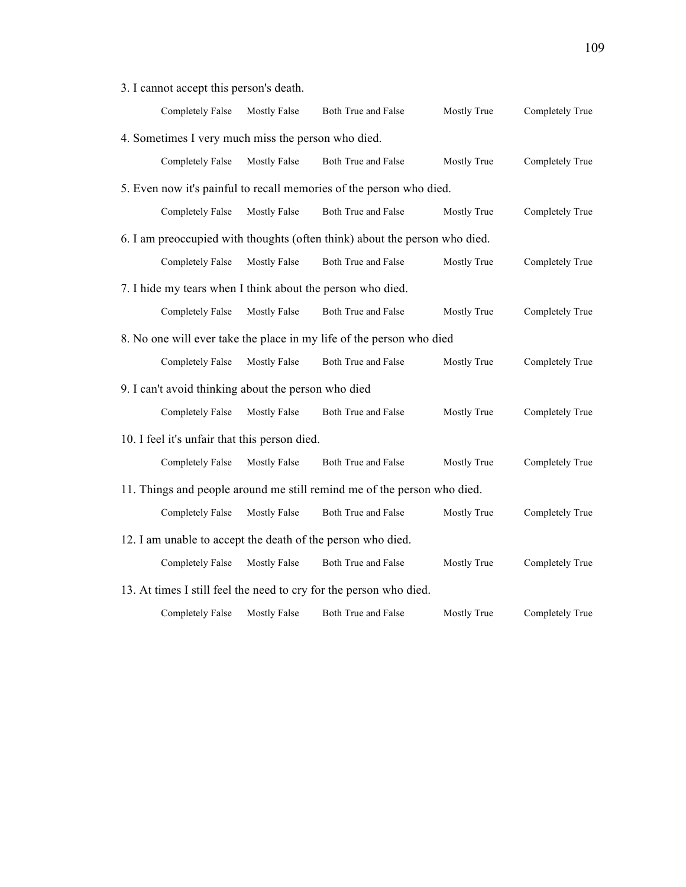3. I cannot accept this person's death.

|                                                                         | Completely False                                    | <b>Mostly False</b> | Both True and False                                                        | Mostly True | Completely True |
|-------------------------------------------------------------------------|-----------------------------------------------------|---------------------|----------------------------------------------------------------------------|-------------|-----------------|
|                                                                         | 4. Sometimes I very much miss the person who died.  |                     |                                                                            |             |                 |
|                                                                         | <b>Completely False</b>                             | Mostly False        | Both True and False                                                        | Mostly True | Completely True |
|                                                                         |                                                     |                     | 5. Even now it's painful to recall memories of the person who died.        |             |                 |
|                                                                         | Completely False                                    | <b>Mostly False</b> | Both True and False                                                        | Mostly True | Completely True |
|                                                                         |                                                     |                     | 6. I am preoccupied with thoughts (often think) about the person who died. |             |                 |
|                                                                         | <b>Completely False</b>                             | <b>Mostly False</b> | Both True and False                                                        | Mostly True | Completely True |
|                                                                         |                                                     |                     | 7. I hide my tears when I think about the person who died.                 |             |                 |
|                                                                         | <b>Completely False</b>                             | <b>Mostly False</b> | Both True and False                                                        | Mostly True | Completely True |
|                                                                         |                                                     |                     | 8. No one will ever take the place in my life of the person who died       |             |                 |
|                                                                         | <b>Completely False</b>                             | <b>Mostly False</b> | Both True and False                                                        | Mostly True | Completely True |
|                                                                         | 9. I can't avoid thinking about the person who died |                     |                                                                            |             |                 |
|                                                                         | <b>Completely False</b>                             | <b>Mostly False</b> | Both True and False                                                        | Mostly True | Completely True |
|                                                                         | 10. I feel it's unfair that this person died.       |                     |                                                                            |             |                 |
|                                                                         | <b>Completely False</b>                             | <b>Mostly False</b> | Both True and False                                                        | Mostly True | Completely True |
| 11. Things and people around me still remind me of the person who died. |                                                     |                     |                                                                            |             |                 |
|                                                                         | Completely False                                    | <b>Mostly False</b> | Both True and False                                                        | Mostly True | Completely True |
| 12. I am unable to accept the death of the person who died.             |                                                     |                     |                                                                            |             |                 |
|                                                                         | <b>Completely False</b>                             | <b>Mostly False</b> | Both True and False                                                        | Mostly True | Completely True |
|                                                                         |                                                     |                     | 13. At times I still feel the need to cry for the person who died.         |             |                 |
|                                                                         | <b>Completely False</b>                             | <b>Mostly False</b> | <b>Both True and False</b>                                                 | Mostly True | Completely True |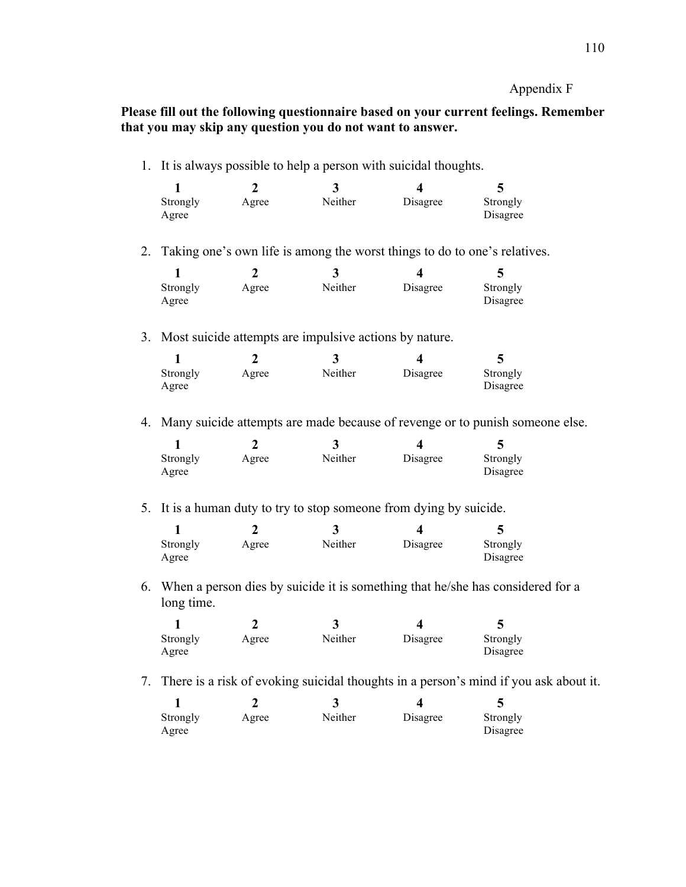Appendix F

**Please fill out the following questionnaire based on your current feelings. Remember that you may skip any question you do not want to answer.**

1. It is always possible to help a person with suicidal thoughts.

| Strongly | Agree | Neither | Disagree | Strongly |
|----------|-------|---------|----------|----------|
| Agree    |       |         |          | Disagree |

2. Taking one's own life is among the worst things to do to one's relatives.

| Strongly | Agree | Neither | Disagree | Strongly |
|----------|-------|---------|----------|----------|
| Agree    |       |         |          | Disagree |

3. Most suicide attempts are impulsive actions by nature.

| Strongly<br>Agree | Agree | Neither | Disagree | Strongly<br>Disagree |
|-------------------|-------|---------|----------|----------------------|

4. Many suicide attempts are made because of revenge or to punish someone else.

| Strongly | Agree | Neither | Disagree | Strongly |
|----------|-------|---------|----------|----------|
| Agree    |       |         |          | Disagree |

5. It is a human duty to try to stop someone from dying by suicide.

| Strongly<br>Agree | Agree | Neither | Disagree | Strongly<br>Disagree |
|-------------------|-------|---------|----------|----------------------|

6. When a person dies by suicide it is something that he/she has considered for a long time.

| Strongly<br>Agree | Agree | Neither | Disagree | Strongly<br>Disagree |
|-------------------|-------|---------|----------|----------------------|

7. There is a risk of evoking suicidal thoughts in a person's mind if you ask about it.

| Strongly | Agree | Neither | Disagree | Strongly |
|----------|-------|---------|----------|----------|
| Agree    |       |         |          | Disagree |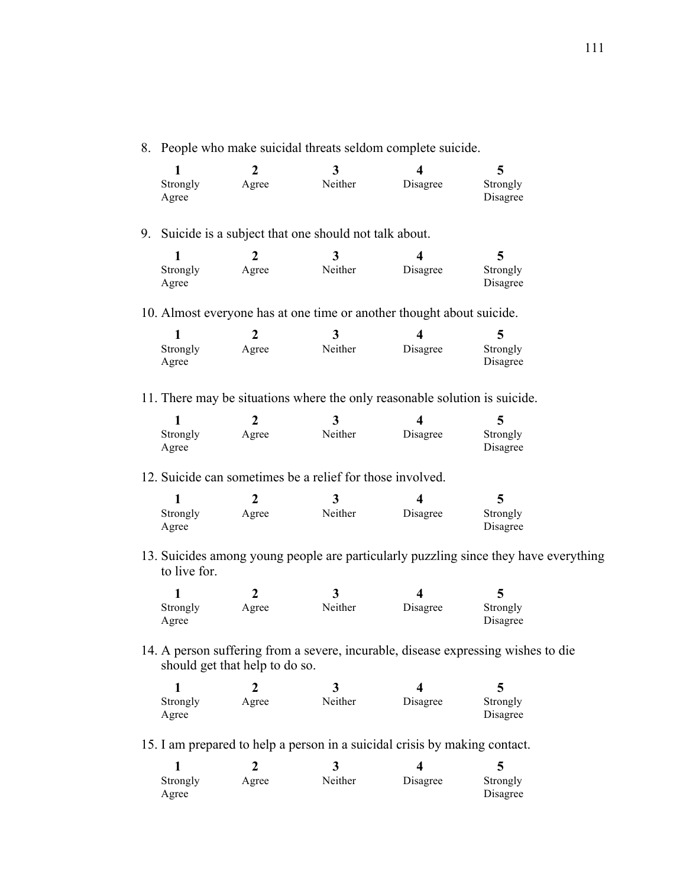8. People who make suicidal threats seldom complete suicide.

|                   |       | د.      |          |                      |
|-------------------|-------|---------|----------|----------------------|
| Strongly<br>Agree | Agree | Neither | Disagree | Strongly<br>Disagree |

9. Suicide is a subject that one should not talk about.

| Strongly<br>Agree | Agree | Neither | Disagree | Strongly<br>Disagree |
|-------------------|-------|---------|----------|----------------------|

10. Almost everyone has at one time or another thought about suicide.

| Strongly | Agree | Neither | Disagree | Strongly |
|----------|-------|---------|----------|----------|
| Agree    |       |         |          | Disagree |

11. There may be situations where the only reasonable solution is suicide.

| Strongly | Agree | Neither | Disagree | Strongly |
|----------|-------|---------|----------|----------|
| Agree    |       |         |          | Disagree |

12. Suicide can sometimes be a relief for those involved.

| Strongly | Agree | Neither | Disagree | Strongly |
|----------|-------|---------|----------|----------|
| Agree    |       |         |          | Disagree |

13. Suicides among young people are particularly puzzling since they have everything to live for.

| Strongly | Agree | Neither | Disagree | Strongly |
|----------|-------|---------|----------|----------|
| Agree    |       |         |          | Disagree |

14. A person suffering from a severe, incurable, disease expressing wishes to die should get that help to do so.

| Strongly | Agree | Neither | Disagree | Strongly |
|----------|-------|---------|----------|----------|
| Agree    |       |         |          | Disagree |

15. I am prepared to help a person in a suicidal crisis by making contact.

| Strongly<br>Agree | Agree | Neither | Disagree | Strongly<br>Disagree |
|-------------------|-------|---------|----------|----------------------|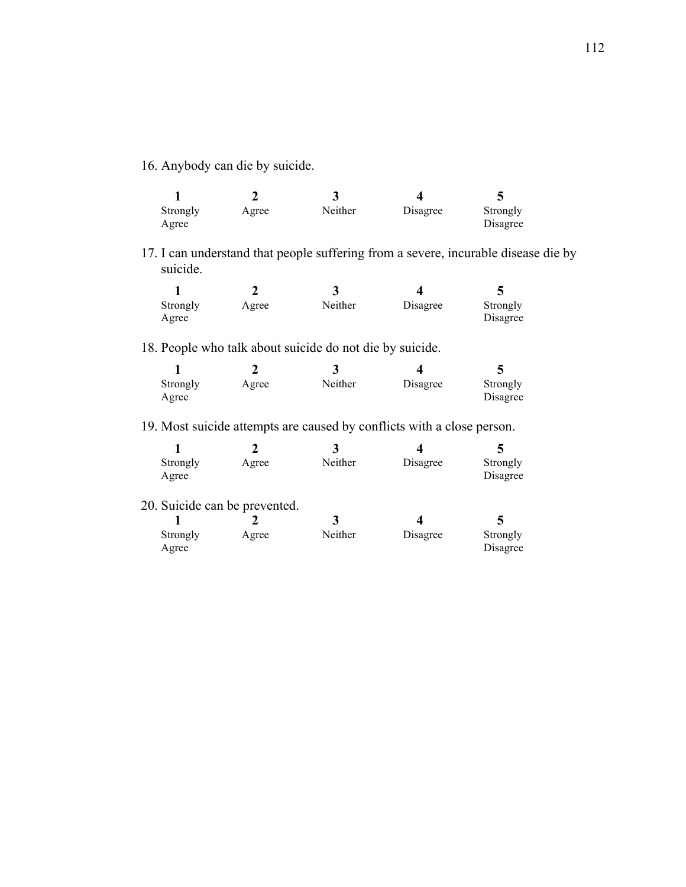16. Anybody can die by suicide.

| Strongly | Agree | Neither | Disagree | Strongly |
|----------|-------|---------|----------|----------|
| Agree    |       |         |          | Disagree |

17. I can understand that people suffering from a severe, incurable disease die by suicide.

| Strongly<br>Agree | Agree | Neither | Disagree | Strongly<br>Disagree |
|-------------------|-------|---------|----------|----------------------|

18. People who talk about suicide do not die by suicide.

|                   |       | J       |          |                      |
|-------------------|-------|---------|----------|----------------------|
| Strongly<br>Agree | Agree | Neither | Disagree | Strongly<br>Disagree |

19. Most suicide attempts are caused by conflicts with a close person.

| Strongly | Agree | Neither | Disagree | Strongly |
|----------|-------|---------|----------|----------|
| Agree    |       |         |          | Disagree |

20. Suicide can be prevented.

| Strongly | Agree | Neither | Disagree | Strongly |
|----------|-------|---------|----------|----------|
| Agree    |       |         |          | Disagree |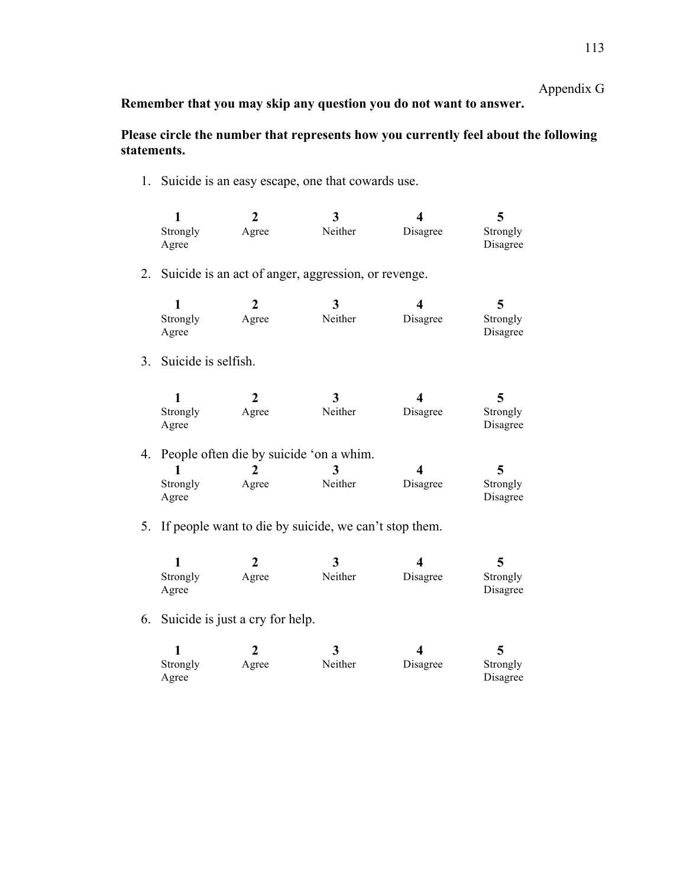# Appendix G

**Remember that you may skip any question you do not want to answer.**

### **Please circle the number that represents how you currently feel about the following statements.**

1. Suicide is an easy escape, one that cowards use.

| Strongly | Agree | Neither | Disagree | Strongly |
|----------|-------|---------|----------|----------|
| Agree    |       |         |          | Disagree |

2. Suicide is an act of anger, aggression, or revenge.

| Strongly | Agree | Neither | Disagree | Strongly |  |
|----------|-------|---------|----------|----------|--|
| Agree    |       |         |          | Disagree |  |

3. Suicide is selfish.

|          |       | ◡       |          |          |  |
|----------|-------|---------|----------|----------|--|
| Strongly | Agree | Neither | Disagree | Strongly |  |
| Agree    |       |         |          | Disagree |  |

4. People often die by suicide 'on a whim.

| Strongly<br>Agree | Agree | Neither | Disagree | Strongly<br>Disagree |
|-------------------|-------|---------|----------|----------------------|

5. If people want to die by suicide, we can't stop them.

| Strongly<br>Agree | Agree | Neither | Disagree | Strongly<br>Disagree |
|-------------------|-------|---------|----------|----------------------|

6. Suicide is just a cry for help.

|          |       | ◡       |          |          |
|----------|-------|---------|----------|----------|
| Strongly | Agree | Neither | Disagree | Strongly |
| Agree    |       |         |          | Disagree |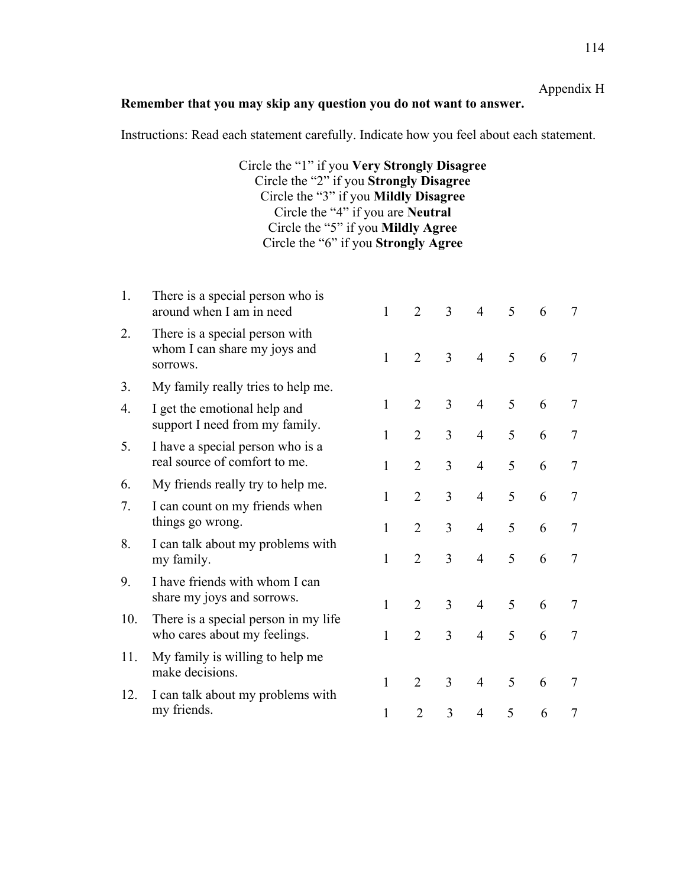### **Remember that you may skip any question you do not want to answer.**

Instructions: Read each statement carefully. Indicate how you feel about each statement.

Circle the "1" if you **Very Strongly Disagree** Circle the "2" if you **Strongly Disagree** Circle the "3" if you **Mildly Disagree** Circle the "4" if you are **Neutral** Circle the "5" if you **Mildly Agree** Circle the "6" if you **Strongly Agree**

| 1.  | There is a special person who is<br>around when I am in need               | $\mathbf{1}$ | $\overline{2}$ | $\overline{3}$ | $\overline{4}$ | 5 | 6 | 7              |
|-----|----------------------------------------------------------------------------|--------------|----------------|----------------|----------------|---|---|----------------|
| 2.  | There is a special person with<br>whom I can share my joys and<br>sorrows. | $\mathbf{1}$ | $\overline{2}$ | $\overline{3}$ | $\overline{4}$ | 5 | 6 | 7              |
| 3.  | My family really tries to help me.                                         |              |                |                |                |   |   |                |
| 4.  | I get the emotional help and<br>support I need from my family.             | 1            | $\overline{2}$ | 3              | $\overline{4}$ | 5 | 6 | 7              |
| 5.  | I have a special person who is a                                           | 1            | $\overline{2}$ | 3              | $\overline{4}$ | 5 | 6 | 7              |
|     | real source of comfort to me.                                              | 1            | $\overline{2}$ | 3              | $\overline{4}$ | 5 | 6 | $\overline{7}$ |
| 6.  | My friends really try to help me.                                          | 1            | $\overline{2}$ | 3              | $\overline{4}$ | 5 | 6 | 7              |
| 7.  | I can count on my friends when<br>things go wrong.                         | 1            | $\overline{2}$ | 3              | $\overline{4}$ | 5 | 6 | 7              |
| 8.  | I can talk about my problems with<br>my family.                            | 1            | $\overline{2}$ | 3              | $\overline{4}$ | 5 | 6 | $\overline{7}$ |
| 9.  | I have friends with whom I can                                             |              |                |                |                |   |   |                |
|     | share my joys and sorrows.                                                 | 1            | $\overline{2}$ | 3              | $\overline{4}$ | 5 | 6 | 7              |
| 10. | There is a special person in my life<br>who cares about my feelings.       | 1            | $\overline{2}$ | 3              | $\overline{4}$ | 5 | 6 | 7              |
| 11. | My family is willing to help me<br>make decisions.                         |              |                |                |                |   |   |                |
| 12. | I can talk about my problems with                                          | 1            | $\overline{2}$ | 3              | $\overline{4}$ | 5 | 6 | 7              |
|     | my friends.                                                                | 1            | $\overline{2}$ | 3              | $\overline{4}$ | 5 | 6 | 7              |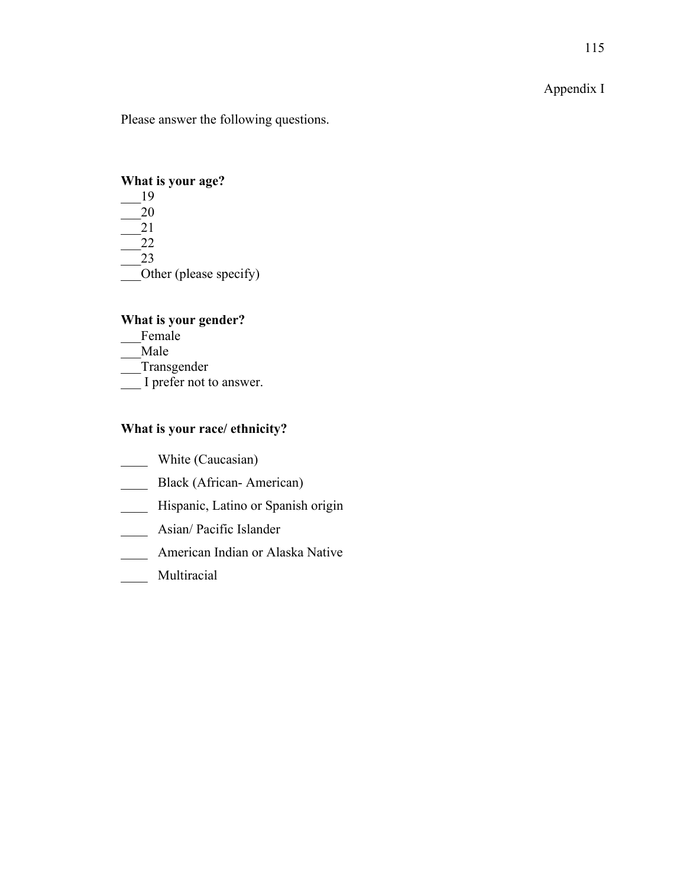# Appendix I

Please answer the following questions.

#### **What is your age?**

\_\_\_19 \_\_\_20 \_\_\_21 \_\_\_22 \_\_\_23 — Other (please specify)

# **What is your gender?**

\_\_\_Female \_\_\_Male \_\_\_Transgender \_\_\_ I prefer not to answer.

# **What is your race/ ethnicity?**

- \_\_\_\_ White (Caucasian)
- \_\_\_\_ Black (African- American)
- \_\_\_\_ Hispanic, Latino or Spanish origin
- \_\_\_\_ Asian/ Pacific Islander
- \_\_\_\_ American Indian or Alaska Native
- \_\_\_\_ Multiracial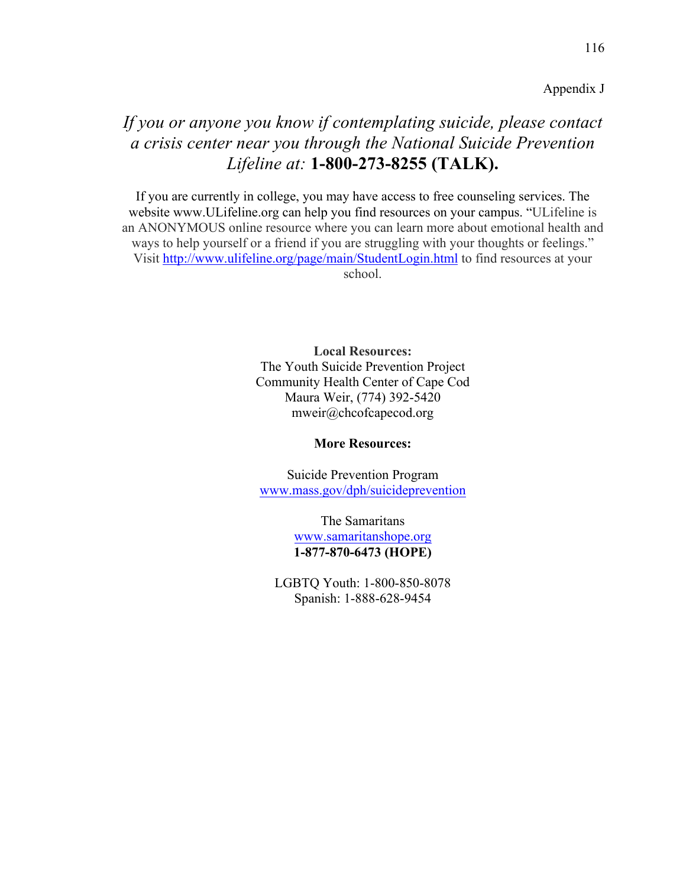Appendix J

# *If you or anyone you know if contemplating suicide, please contact a crisis center near you through the National Suicide Prevention Lifeline at:* **1-800-273-8255 (TALK).**

If you are currently in college, you may have access to free counseling services. The website www.ULifeline.org can help you find resources on your campus. "ULifeline is an ANONYMOUS online resource where you can learn more about emotional health and ways to help yourself or a friend if you are struggling with your thoughts or feelings." Visit http://www.ulifeline.org/page/main/StudentLogin.html to find resources at your school.

> **Local Resources:** The Youth Suicide Prevention Project Community Health Center of Cape Cod Maura Weir, (774) 392-5420 mweir@chcofcapecod.org

#### **More Resources:**

Suicide Prevention Program www.mass.gov/dph/suicideprevention

> The Samaritans www.samaritanshope.org **1-877-870-6473 (HOPE)**

LGBTQ Youth: 1-800-850-8078 Spanish: 1-888-628-9454